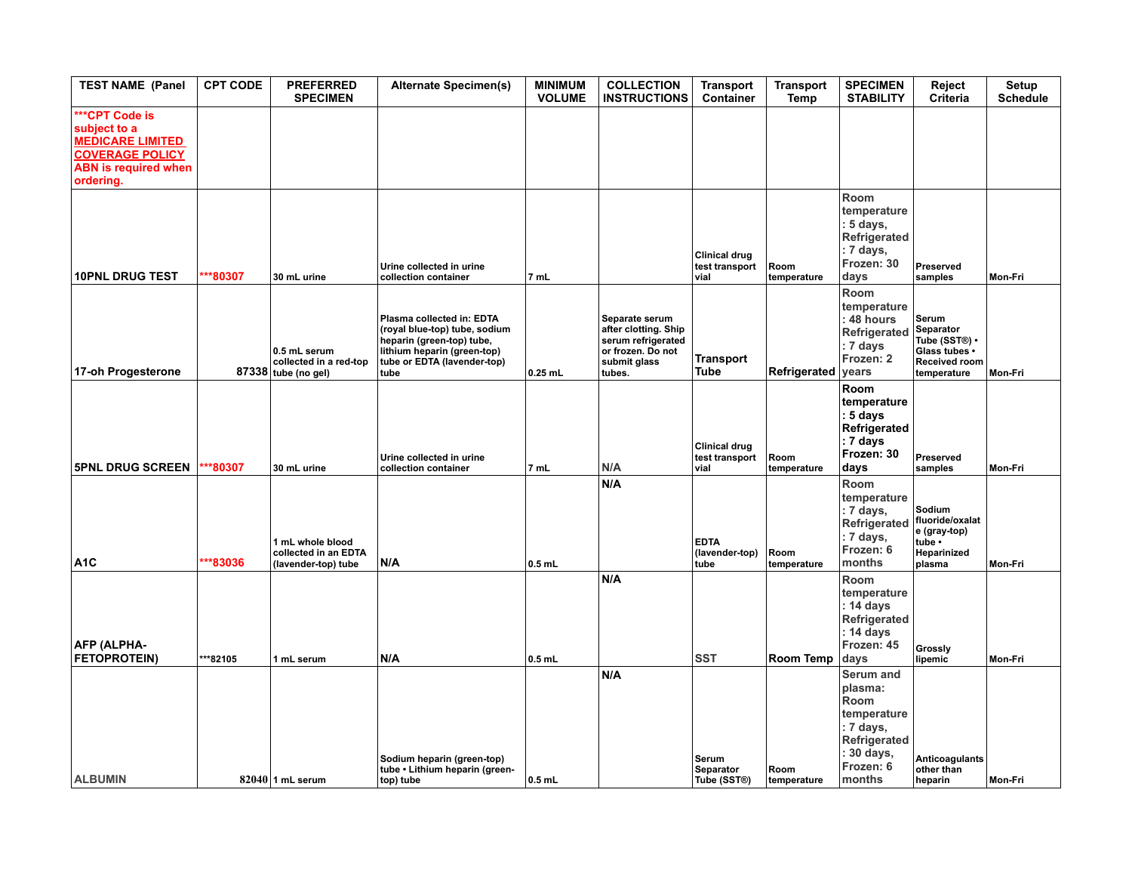| <b>TEST NAME (Panel</b>                                                                                                         | <b>CPT CODE</b> | <b>PREFERRED</b><br><b>SPECIMEN</b>                             | <b>Alternate Specimen(s)</b>                                                                                                                                  | <b>MINIMUM</b><br><b>VOLUME</b> | <b>COLLECTION</b><br><b>INSTRUCTIONS</b>                                                                    | <b>Transport</b><br>Container                  | <b>Transport</b><br>Temp | <b>SPECIMEN</b><br><b>STABILITY</b>                                                                         | Reject<br>Criteria                                                                                 | Setup<br><b>Schedule</b> |
|---------------------------------------------------------------------------------------------------------------------------------|-----------------|-----------------------------------------------------------------|---------------------------------------------------------------------------------------------------------------------------------------------------------------|---------------------------------|-------------------------------------------------------------------------------------------------------------|------------------------------------------------|--------------------------|-------------------------------------------------------------------------------------------------------------|----------------------------------------------------------------------------------------------------|--------------------------|
| ***CPT Code is<br>subject to a<br><b>MEDICARE LIMITED</b><br><b>COVERAGE POLICY</b><br><b>ABN is required when</b><br>ordering. |                 |                                                                 |                                                                                                                                                               |                                 |                                                                                                             |                                                |                          |                                                                                                             |                                                                                                    |                          |
| <b>10PNL DRUG TEST</b>                                                                                                          | **80307         | 30 mL urine                                                     | Urine collected in urine<br>collection container                                                                                                              | 7 mL                            |                                                                                                             | <b>Clinical drug</b><br>test transport<br>vial | Room<br>temperature      | Room<br>temperature<br>: 5 days,<br>Refrigerated<br>: 7 days,<br>Frozen: 30<br>days                         | Preserved<br>samples                                                                               | Mon-Fri                  |
| 17-oh Progesterone                                                                                                              |                 | 0.5 mL serum<br>collected in a red-top<br>87338 tube (no gel)   | Plasma collected in: EDTA<br>(royal blue-top) tube, sodium<br>heparin (green-top) tube,<br>lithium heparin (green-top)<br>tube or EDTA (lavender-top)<br>tube | $0.25$ mL                       | Separate serum<br>after clotting. Ship<br>serum refrigerated<br>or frozen. Do not<br>submit glass<br>tubes. | <b>Transport</b><br><b>Tube</b>                | Refrigerated             | Room<br>temperature<br>$: 48$ hours<br>Refrigerated<br>$: 7 \overline{\text{ days}}$<br>Frozen: 2<br>years  | Serum<br><b>Separator</b><br>Tube (SST®) •<br>Glass tubes .<br><b>Received room</b><br>temperature | Mon-Fri                  |
| <b>5PNL DRUG SCREEN</b>                                                                                                         | **80307         | 30 mL urine                                                     | Urine collected in urine<br>collection container                                                                                                              | 7 mL                            | N/A                                                                                                         | <b>Clinical drug</b><br>test transport<br>vial | Room<br>temperature      | Room<br>temperature<br>$: 5$ days<br>Refrigerated<br>$: 7 \overline{\text{ days}}$<br>Frozen: 30<br>days    | Preserved<br>samples                                                                               | Mon-Fri                  |
| A <sub>1</sub> C                                                                                                                | **83036         | 1 mL whole blood<br>collected in an EDTA<br>(lavender-top) tube | N/A                                                                                                                                                           | $0.5$ mL                        | N/A                                                                                                         | <b>EDTA</b><br>(lavender-top)<br>tube          | Room<br>temperature      | Room<br>temperature<br>: 7 days,<br><b>Refrigerated</b><br>: 7 days,<br>Frozen: 6<br>months                 | Sodium<br>fluoride/oxalat<br>e (gray-top)<br>tube •<br>Heparinized<br>plasma                       | Mon-Fri                  |
| <b>AFP (ALPHA-</b>                                                                                                              |                 |                                                                 |                                                                                                                                                               |                                 | N/A                                                                                                         | <b>SST</b>                                     |                          | Room<br>temperature<br>: 14 days<br>Refrigerated<br>: 14 days<br>Frozen: 45                                 | Grossly                                                                                            |                          |
| <b>FETOPROTEIN)</b>                                                                                                             | **82105         | 1 mL serum                                                      | N/A<br>Sodium heparin (green-top)<br>tube • Lithium heparin (green-                                                                                           | $0.5$ mL                        | N/A                                                                                                         | Serum<br><b>Separator</b>                      | Room Temp<br>Room        | days<br>Serum and<br>plasma:<br>Room<br>temperature<br>: 7 days,<br>Refrigerated<br>: 30 days,<br>Frozen: 6 | lipemic<br><b>Anticoagulants</b><br>other than                                                     | Mon-Fri                  |
| <b>ALBUMIN</b>                                                                                                                  |                 | $82040$ 1 mL serum                                              | top) tube                                                                                                                                                     | $ 0.5$ mL                       |                                                                                                             | Tube (SST®)                                    | temperature              | months                                                                                                      | heparin                                                                                            | Mon-Fri                  |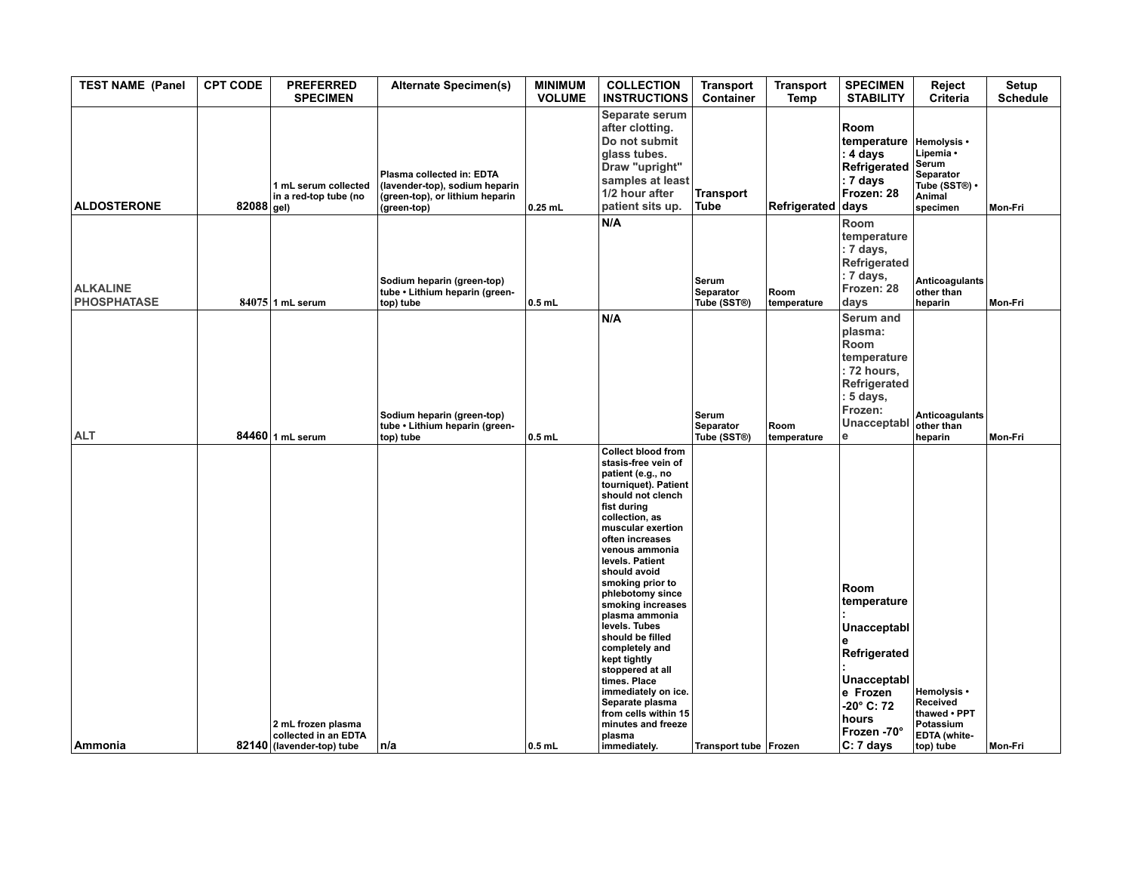| <b>TEST NAME (Panel</b>               | <b>CPT CODE</b> | <b>PREFERRED</b><br><b>SPECIMEN</b>                                     | <b>Alternate Specimen(s)</b>                                                                                  | <b>MINIMUM</b><br><b>VOLUME</b> | <b>COLLECTION</b><br><b>INSTRUCTIONS</b>                                                                                                                                                                                                                                                                                                                                                                                                                                                                                                                     | <b>Transport</b><br>Container            | <b>Transport</b><br><b>Temp</b> | <b>SPECIMEN</b><br><b>STABILITY</b>                                                                                                  | Reject<br>Criteria                                                                    | <b>Setup</b><br><b>Schedule</b> |
|---------------------------------------|-----------------|-------------------------------------------------------------------------|---------------------------------------------------------------------------------------------------------------|---------------------------------|--------------------------------------------------------------------------------------------------------------------------------------------------------------------------------------------------------------------------------------------------------------------------------------------------------------------------------------------------------------------------------------------------------------------------------------------------------------------------------------------------------------------------------------------------------------|------------------------------------------|---------------------------------|--------------------------------------------------------------------------------------------------------------------------------------|---------------------------------------------------------------------------------------|---------------------------------|
| <b>ALDOSTERONE</b>                    | 82088 gel)      | 1 mL serum collected<br>in a red-top tube (no                           | Plasma collected in: EDTA<br>(lavender-top), sodium heparin<br>(green-top), or lithium heparin<br>(green-top) | $0.25$ mL                       | Separate serum<br>after clotting.<br>Do not submit<br>glass tubes.<br>Draw "upright"<br>samples at least<br>1/2 hour after<br>patient sits up.                                                                                                                                                                                                                                                                                                                                                                                                               | <b>Transport</b><br><b>Tube</b>          | Refrigerated                    | Room<br>∣temperature<br>: 4 days<br>Refrigerated<br>$ : 7$ days<br>Frozen: 28<br>days                                                | Hemolysis •<br>Lipemia •<br>Serum<br>Separator<br>Tube (SST®) •<br>Animal<br>specimen | Mon-Fri                         |
| <b>ALKALINE</b><br><b>PHOSPHATASE</b> |                 | $84075$ 1 mL serum                                                      | Sodium heparin (green-top)<br>tube • Lithium heparin (green-<br>top) tube                                     | $0.5$ mL                        | N/A                                                                                                                                                                                                                                                                                                                                                                                                                                                                                                                                                          | Serum<br><b>Separator</b><br>Tube (SST®) | Room<br>temperature             | Room<br>temperature<br>$: 7$ days,<br>Refrigerated<br>: 7 days,<br>Frozen: 28<br>days                                                | Anticoagulants<br>other than<br>heparin                                               | Mon-Fri                         |
| <b>ALT</b>                            |                 | 84460 1 mL serum                                                        | Sodium heparin (green-top)<br>tube • Lithium heparin (green-<br>top) tube                                     | $0.5$ mL                        | N/A                                                                                                                                                                                                                                                                                                                                                                                                                                                                                                                                                          | Serum<br>Separator<br>Tube (SST®)        | Room<br>temperature             | Serum and<br>plasma:<br>Room<br>temperature<br>$: 72$ hours,<br>Refrigerated<br>$: 5 \text{ days},$<br>Frozen:<br>Unacceptabl<br>le  | Anticoagulants<br>other than<br>heparin                                               | Mon-Fri                         |
| Ammonia                               |                 | 2 mL frozen plasma<br>collected in an EDTA<br>82140 (lavender-top) tube | n/a                                                                                                           | $0.5$ mL                        | <b>Collect blood from</b><br>stasis-free vein of<br>patient (e.g., no<br>tourniquet). Patient<br>should not clench<br>fist during<br>collection, as<br>muscular exertion<br>often increases<br>venous ammonia<br>levels. Patient<br>should avoid<br>smoking prior to<br>phlebotomy since<br>smoking increases<br>plasma ammonia<br>levels. Tubes<br>should be filled<br>completely and<br>kept tightly<br>stoppered at all<br>times. Place<br>immediately on ice.<br>Separate plasma<br>from cells within 15<br>minutes and freeze<br>plasma<br>immediately. | Transport tube Frozen                    |                                 | Room<br>∣temperature<br>Unacceptabl<br>Refrigerated<br>Unacceptabl<br>e Frozen<br>-20° C: 72<br>hours<br> Frozen -70°<br>$ C:7$ days | Hemolysis •<br>Received<br>thawed • PPT<br>Potassium<br>EDTA (white-<br>top) tube     | Mon-Fri                         |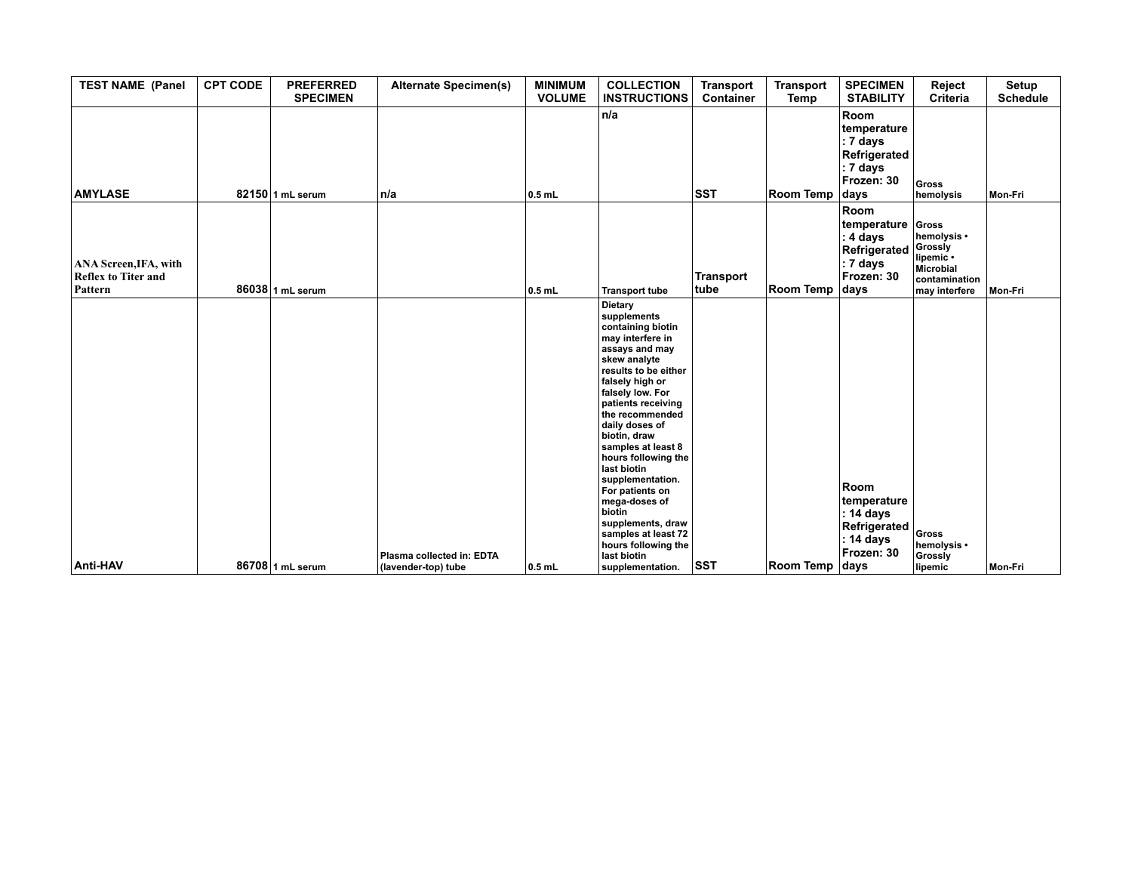| <b>TEST NAME (Panel</b>                                        | <b>CPT CODE</b> | <b>PREFERRED</b><br><b>SPECIMEN</b> | <b>Alternate Specimen(s)</b>                     | <b>MINIMUM</b><br><b>VOLUME</b> | <b>COLLECTION</b><br><b>INSTRUCTIONS</b>                                                                                                                                                                                                                                                                                                                                                                                                                                        | <b>Transport</b><br>Container | <b>Transport</b><br>Temp | <b>SPECIMEN</b><br><b>STABILITY</b>                                                              | Reject<br>Criteria                                                                          | Setup<br><b>Schedule</b> |
|----------------------------------------------------------------|-----------------|-------------------------------------|--------------------------------------------------|---------------------------------|---------------------------------------------------------------------------------------------------------------------------------------------------------------------------------------------------------------------------------------------------------------------------------------------------------------------------------------------------------------------------------------------------------------------------------------------------------------------------------|-------------------------------|--------------------------|--------------------------------------------------------------------------------------------------|---------------------------------------------------------------------------------------------|--------------------------|
| <b>AMYLASE</b>                                                 |                 | 82150 1 mL serum                    | n/a                                              | $0.5$ mL                        | n/a                                                                                                                                                                                                                                                                                                                                                                                                                                                                             | <b>SST</b>                    | Room Temp                | Room<br>temperature<br>$ : 7$ days<br>Refrigerated<br>$ : 7 \text{ days} $<br>Frozen: 30<br>days | Gross<br>hemolysis                                                                          | Mon-Fri                  |
| ANA Screen, IFA, with<br><b>Reflex to Titer and</b><br>Pattern |                 | 86038 1 mL serum                    |                                                  | $0.5$ mL                        | <b>Transport tube</b>                                                                                                                                                                                                                                                                                                                                                                                                                                                           | <b>Transport</b><br>tube      | Room Temp                | Room<br>temperature<br>$: 4$ days<br>Refrigerated<br>$ :7$ days<br>Frozen: 30<br>days            | Gross<br>hemolysis •<br>Grossly<br>lipemic •<br>Microbial<br>contamination<br>may interfere | Mon-Fri                  |
| Anti-HAV                                                       |                 | 86708 1 mL serum                    | Plasma collected in: EDTA<br>(lavender-top) tube | $ 0.5$ mL                       | Dietary<br>supplements<br>containing biotin<br>may interfere in<br>assays and may<br>skew analyte<br>results to be either<br>falsely high or<br>falsely low. For<br>patients receiving<br>the recommended<br>daily doses of<br>biotin, draw<br>samples at least 8<br>hours following the<br>last biotin<br>supplementation.<br>For patients on<br>mega-doses of<br>biotin<br>supplements, draw<br>samples at least 72<br>hours following the<br>last biotin<br>supplementation. | SST                           | Room Temp days           | Room<br>temperature<br>$ :$ 14 days<br>Refrigerated<br>$ :$ 14 days<br>Frozen: 30                | Gross<br>hemolysis •<br>Grossly<br>lipemic                                                  | Mon-Fri                  |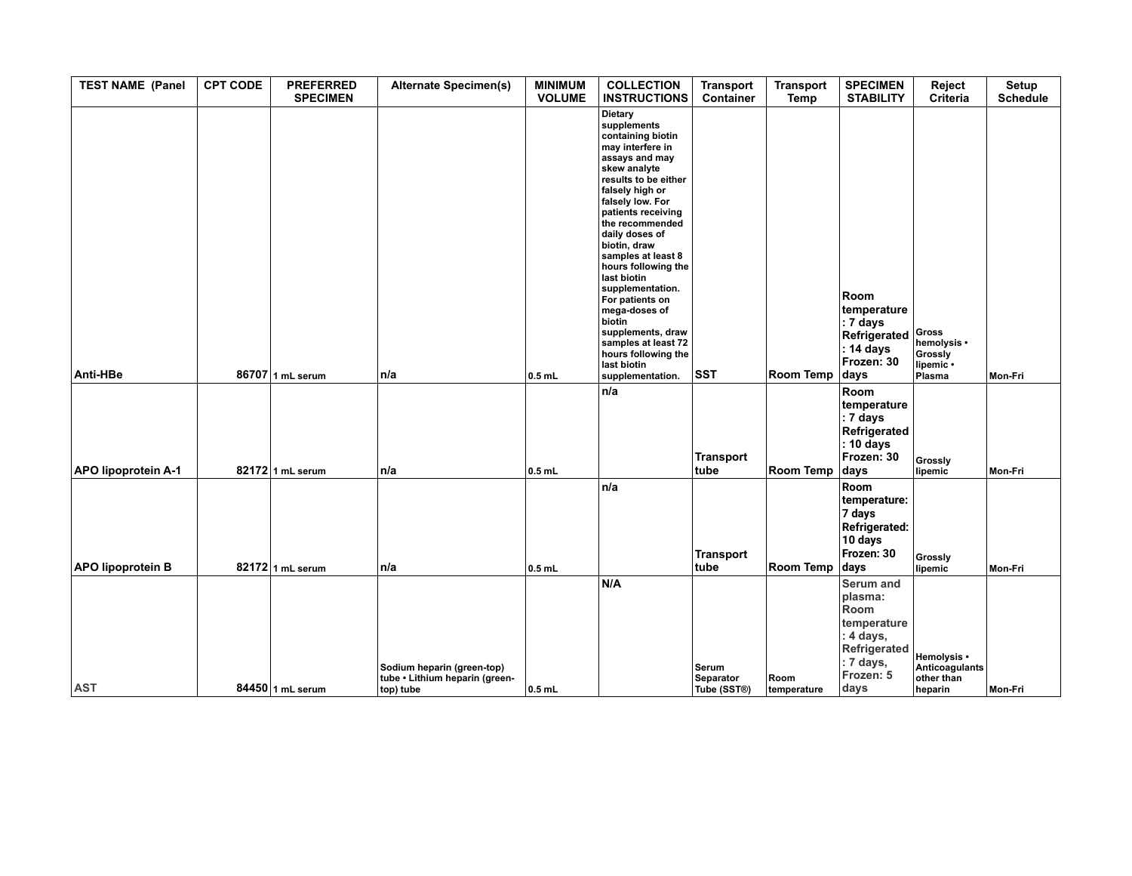| <b>TEST NAME (Panel</b>    | <b>CPT CODE</b> | <b>PREFERRED</b><br><b>SPECIMEN</b> | <b>Alternate Specimen(s)</b>                                              | <b>MINIMUM</b><br><b>VOLUME</b> | <b>COLLECTION</b><br><b>INSTRUCTIONS</b>                                                                                                                                                                                                                                                                                                                                                                                                                                        | <b>Transport</b><br>Container     | <b>Transport</b><br>Temp | <b>SPECIMEN</b><br><b>STABILITY</b>                                                                               | Reject<br>Criteria                                     | <b>Setup</b><br><b>Schedule</b> |
|----------------------------|-----------------|-------------------------------------|---------------------------------------------------------------------------|---------------------------------|---------------------------------------------------------------------------------------------------------------------------------------------------------------------------------------------------------------------------------------------------------------------------------------------------------------------------------------------------------------------------------------------------------------------------------------------------------------------------------|-----------------------------------|--------------------------|-------------------------------------------------------------------------------------------------------------------|--------------------------------------------------------|---------------------------------|
| Anti-HBe                   |                 | 86707 1 mL serum                    | n/a                                                                       | $0.5$ mL                        | Dietary<br>supplements<br>containing biotin<br>may interfere in<br>assays and may<br>skew analyte<br>results to be either<br>falsely high or<br>falsely low. For<br>patients receiving<br>the recommended<br>daily doses of<br>biotin, draw<br>samples at least 8<br>hours following the<br>last biotin<br>supplementation.<br>For patients on<br>mega-doses of<br>biotin<br>supplements, draw<br>samples at least 72<br>hours following the<br>last biotin<br>supplementation. | <b>SST</b>                        | Room Temp                | <b>Room</b><br>temperature<br>: 7 days<br>Refrigerated<br>: 14 days<br>Frozen: 30<br>days                         | Gross<br>hemolysis •<br>Grossly<br>lipemic .<br>Plasma | Mon-Fri                         |
| <b>APO lipoprotein A-1</b> |                 | 82172 1 mL serum                    | n/a                                                                       | $0.5$ mL                        | n/a                                                                                                                                                                                                                                                                                                                                                                                                                                                                             | <b>Transport</b><br>tube          | Room Temp                | Room<br>temperature<br>: 7 days<br>Refrigerated<br>: 10 days<br>Frozen: 30<br>days                                | Grossly<br>lipemic                                     | Mon-Fri                         |
| <b>APO lipoprotein B</b>   |                 | 82172 1 mL serum                    | n/a                                                                       | $0.5$ mL                        | n/a                                                                                                                                                                                                                                                                                                                                                                                                                                                                             | <b>Transport</b><br>tube          | Room Temp                | Room<br>temperature:<br>7 days<br><b>Refrigerated:</b><br>10 days<br>Frozen: 30<br>days                           | Grossly<br>lipemic                                     | Mon-Fri                         |
| <b>AST</b>                 |                 | 84450 1 mL serum                    | Sodium heparin (green-top)<br>tube • Lithium heparin (green-<br>top) tube | $0.5$ mL                        | N/A                                                                                                                                                                                                                                                                                                                                                                                                                                                                             | Serum<br>Separator<br>Tube (SST®) | Room<br>temperature      | <b>Serum and</b><br>plasma:<br>Room<br>temperature<br>: 4 days,<br>Refrigerated<br>: 7 days,<br>Frozen: 5<br>days | Hemolysis •<br>Anticoagulants<br>other than<br>heparin | Mon-Fri                         |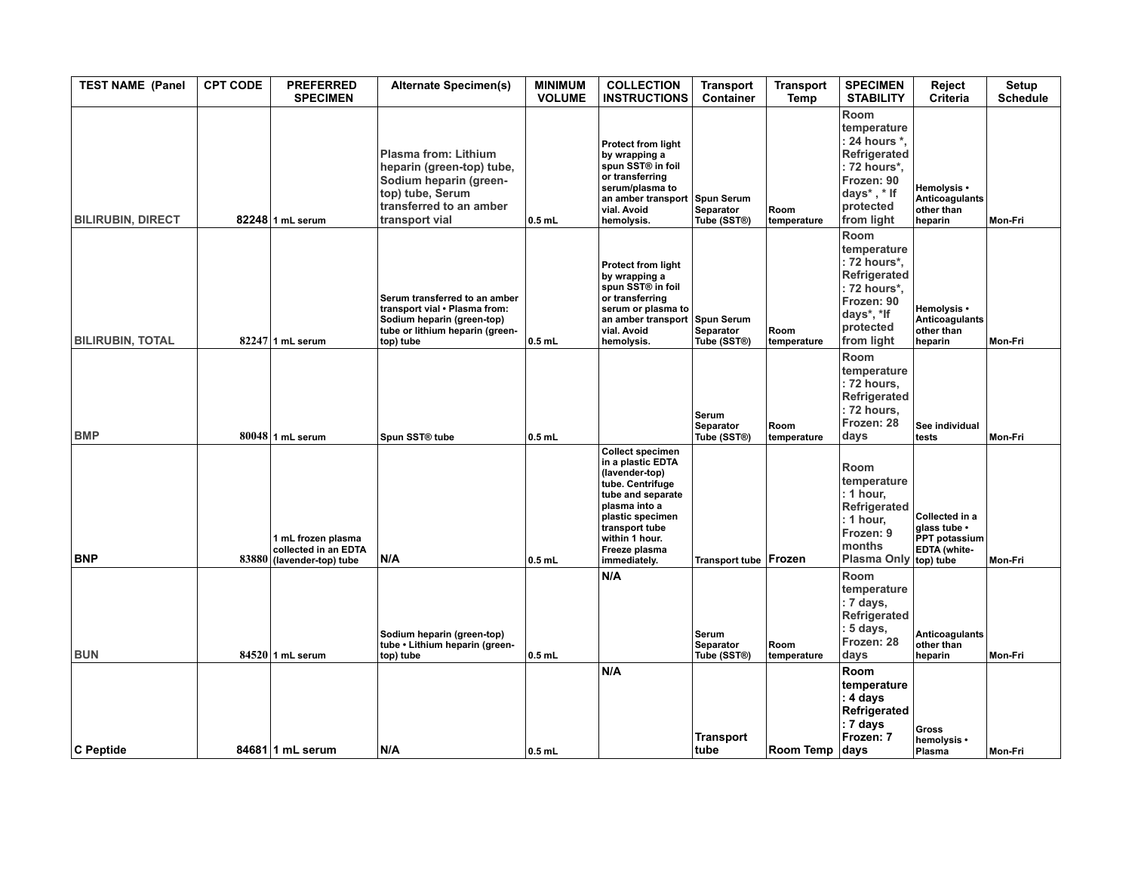| <b>TEST NAME (Panel</b>  | <b>CPT CODE</b> | <b>PREFERRED</b><br><b>SPECIMEN</b>                                     | <b>Alternate Specimen(s)</b>                                                                                                                        | <b>MINIMUM</b><br><b>VOLUME</b> | <b>COLLECTION</b><br><b>INSTRUCTIONS</b>                                                                                                                                                                          | <b>Transport</b><br>Container            | <b>Transport</b><br>Temp | <b>SPECIMEN</b><br><b>STABILITY</b>                                                                                          | Reject<br>Criteria                                                           | <b>Setup</b><br><b>Schedule</b> |
|--------------------------|-----------------|-------------------------------------------------------------------------|-----------------------------------------------------------------------------------------------------------------------------------------------------|---------------------------------|-------------------------------------------------------------------------------------------------------------------------------------------------------------------------------------------------------------------|------------------------------------------|--------------------------|------------------------------------------------------------------------------------------------------------------------------|------------------------------------------------------------------------------|---------------------------------|
| <b>BILIRUBIN, DIRECT</b> |                 | 82248 1 mL serum                                                        | <b>Plasma from: Lithium</b><br>heparin (green-top) tube,<br>Sodium heparin (green-<br>top) tube, Serum<br>transferred to an amber<br>transport vial | $0.5$ mL                        | Protect from light<br>by wrapping a<br>spun SST® in foil<br>or transferring<br>serum/plasma to<br>an amber transport Spun Serum<br>vial. Avoid<br>hemolysis.                                                      | Separator<br>Tube (SST®)                 | Room<br>temperature      | Room<br>temperature<br>: 24 hours *,<br>Refrigerated<br>: 72 hours*,<br>Frozen: 90<br>days*, * If<br>protected<br>from light | Hemolysis •<br><b>Anticoagulants</b><br>other than<br>heparin                | Mon-Fri                         |
| <b>BILIRUBIN, TOTAL</b>  |                 | $82247$ 1 mL serum                                                      | Serum transferred to an amber<br>transport vial . Plasma from:<br>Sodium heparin (green-top)<br>tube or lithium heparin (green-<br>top) tube        | $0.5$ mL                        | Protect from light<br>by wrapping a<br>spun SST® in foil<br>or transferring<br>serum or plasma to<br>an amber transport Spun Serum<br>vial. Avoid<br>hemolysis.                                                   | Separator<br>Tube (SST®)                 | Room<br>temperature      | Room<br>temperature<br>: 72 hours*,<br>Refrigerated<br>: 72 hours*,<br>Frozen: 90<br>days*, *If<br>protected<br>from light   | Hemolysis •<br>Anticoagulants<br>other than<br>heparin                       | Mon-Fri                         |
| <b>BMP</b>               |                 | $80048$ 1 mL serum                                                      | Spun SST <sup>®</sup> tube                                                                                                                          | $0.5$ mL                        |                                                                                                                                                                                                                   | Serum<br><b>Separator</b><br>Tube (SST®) | Room<br>temperature      | Room<br>temperature<br>: 72 hours,<br>Refrigerated<br>: 72 hours.<br>Frozen: 28<br>days                                      | See individual<br>tests                                                      | Mon-Fri                         |
| <b>BNP</b>               |                 | 1 mL frozen plasma<br>collected in an EDTA<br>83880 (lavender-top) tube | N/A                                                                                                                                                 | $0.5$ mL                        | <b>Collect specimen</b><br>in a plastic EDTA<br>(lavender-top)<br>tube. Centrifuge<br>tube and separate<br>plasma into a<br>plastic specimen<br>transport tube<br>within 1 hour.<br>Freeze plasma<br>immediately. | Transport tube   Frozen                  |                          | Room<br>temperature<br>: 1 hour,<br>Refrigerated<br>: 1 hour,<br>Frozen: 9<br>months<br><b>Plasma Only</b>                   | Collected in a<br>glass tube .<br>PPT potassium<br>EDTA (white-<br>top) tube | Mon-Fri                         |
| <b>BUN</b>               |                 | $84520$ 1 mL serum                                                      | Sodium heparin (green-top)<br>tube • Lithium heparin (green-<br>top) tube                                                                           | $0.5$ mL                        | N/A                                                                                                                                                                                                               | Serum<br>Separator<br>Tube (SST®)        | Room<br>temperature      | Room<br>temperature<br>: 7 days,<br>Refrigerated<br>: 5 days,<br>Frozen: 28<br>days                                          | <b>Anticoagulants</b><br>other than<br>heparin                               | Mon-Fri                         |
| C Peptide                |                 | 84681 1 mL serum                                                        | N/A                                                                                                                                                 | $0.5$ mL                        | N/A                                                                                                                                                                                                               | <b>Transport</b><br>∣tube                | Room Temp                | Room<br>temperature<br>: 4 days<br>Refrigerated<br>: 7 days<br>Frozen: 7<br>days                                             | Gross<br>hemolysis •<br>Plasma                                               | Mon-Fri                         |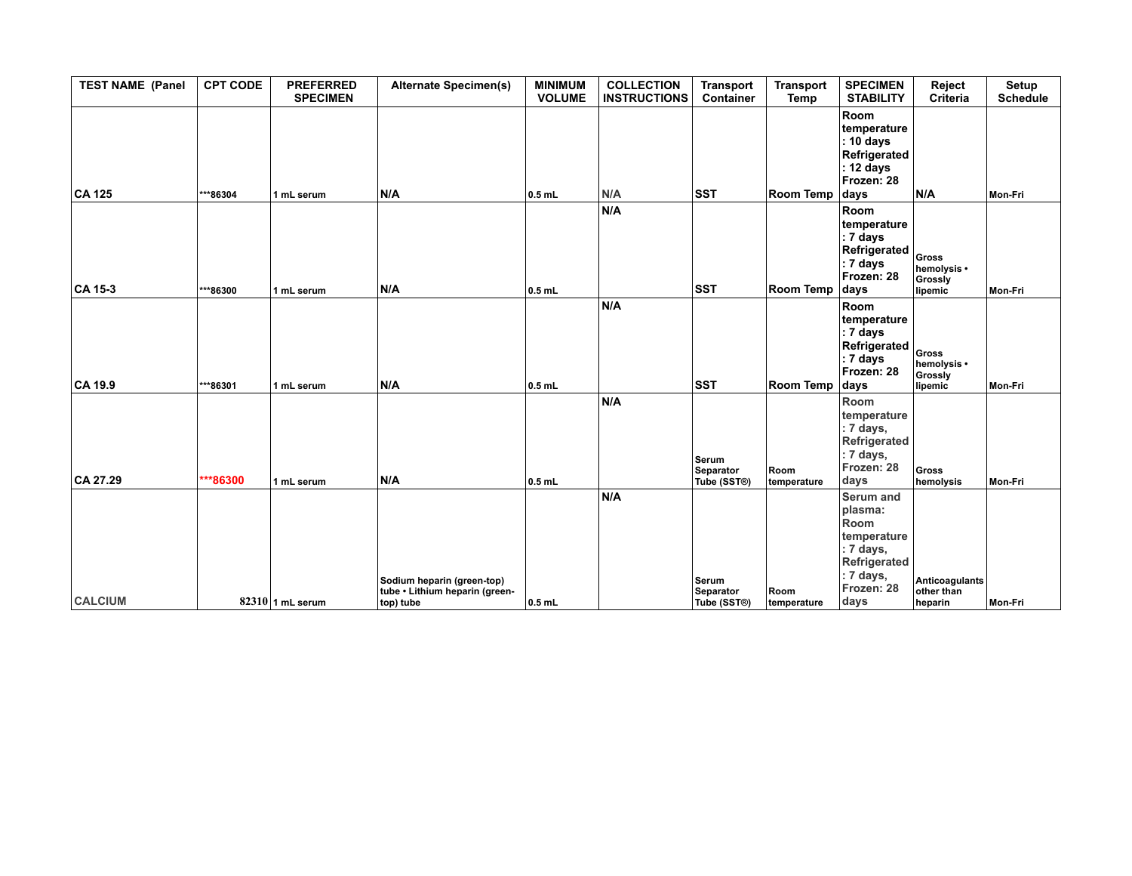| <b>TEST NAME (Panel</b> | <b>CPT CODE</b>      | <b>PREFERRED</b><br><b>SPECIMEN</b> | <b>Alternate Specimen(s)</b>                                              | <b>MINIMUM</b><br><b>VOLUME</b> | <b>COLLECTION</b><br><b>INSTRUCTIONS</b> | <b>Transport</b><br><b>Container</b>            | <b>Transport</b><br>Temp         | <b>SPECIMEN</b><br><b>STABILITY</b>                                                                                | Reject<br><b>Criteria</b>                  | Setup<br><b>Schedule</b> |
|-------------------------|----------------------|-------------------------------------|---------------------------------------------------------------------------|---------------------------------|------------------------------------------|-------------------------------------------------|----------------------------------|--------------------------------------------------------------------------------------------------------------------|--------------------------------------------|--------------------------|
| <b>CA 125</b>           | ***86304             | 1 mL serum                          | N/A                                                                       | $0.5$ mL                        | N/A                                      | <b>SST</b>                                      | Room Temp                        | Room<br>temperature<br>: 10 days<br>Refrigerated<br>: 12 days<br>Frozen: 28<br>days                                | N/A                                        | Mon-Fri                  |
|                         |                      |                                     |                                                                           |                                 | N/A                                      |                                                 |                                  | Room<br>temperature<br>: 7 days<br>Refrigerated<br>: 7 days<br>Frozen: 28                                          | Gross<br>hemolysis •<br>Grossly            |                          |
| CA 15-3                 | ***86300             | 1 mL serum                          | N/A                                                                       | $0.5$ mL                        | N/A                                      | <b>SST</b>                                      | Room Temp                        | days<br>Room<br>temperature<br>: 7 days<br>Refrigerated<br>: 7 days<br>Frozen: 28                                  | lipemic<br>Gross<br>hemolysis •<br>Grossly | Mon-Fri                  |
| CA 19.9<br>$CA$ 27.29   | ***86301<br>***86300 | 1 mL serum<br>1 mL serum            | N/A<br>N/A                                                                | $0.5$ mL<br>$0.5$ mL            | N/A                                      | <b>SST</b><br>Serum<br>Separator<br>Tube (SST®) | Room Temp<br>Room<br>temperature | days<br>Room<br>temperature<br>: 7 days,<br>Refrigerated<br>: 7 days,<br>Frozen: 28<br>days                        | lipemic<br>Gross<br>hemolysis              | Mon-Fri<br>Mon-Fri       |
| <b>CALCIUM</b>          |                      | $82310$ 1 mL serum                  | Sodium heparin (green-top)<br>tube • Lithium heparin (green-<br>top) tube | $0.5$ mL                        | N/A                                      | Serum<br><b>Separator</b><br>Tube (SST®)        | Room<br>temperature              | <b>Serum and</b><br>plasma:<br>Room<br>temperature<br>: 7 days,<br>Refrigerated<br>: 7 days,<br>Frozen: 28<br>days | Anticoagulants<br>other than<br>heparin    | Mon-Fri                  |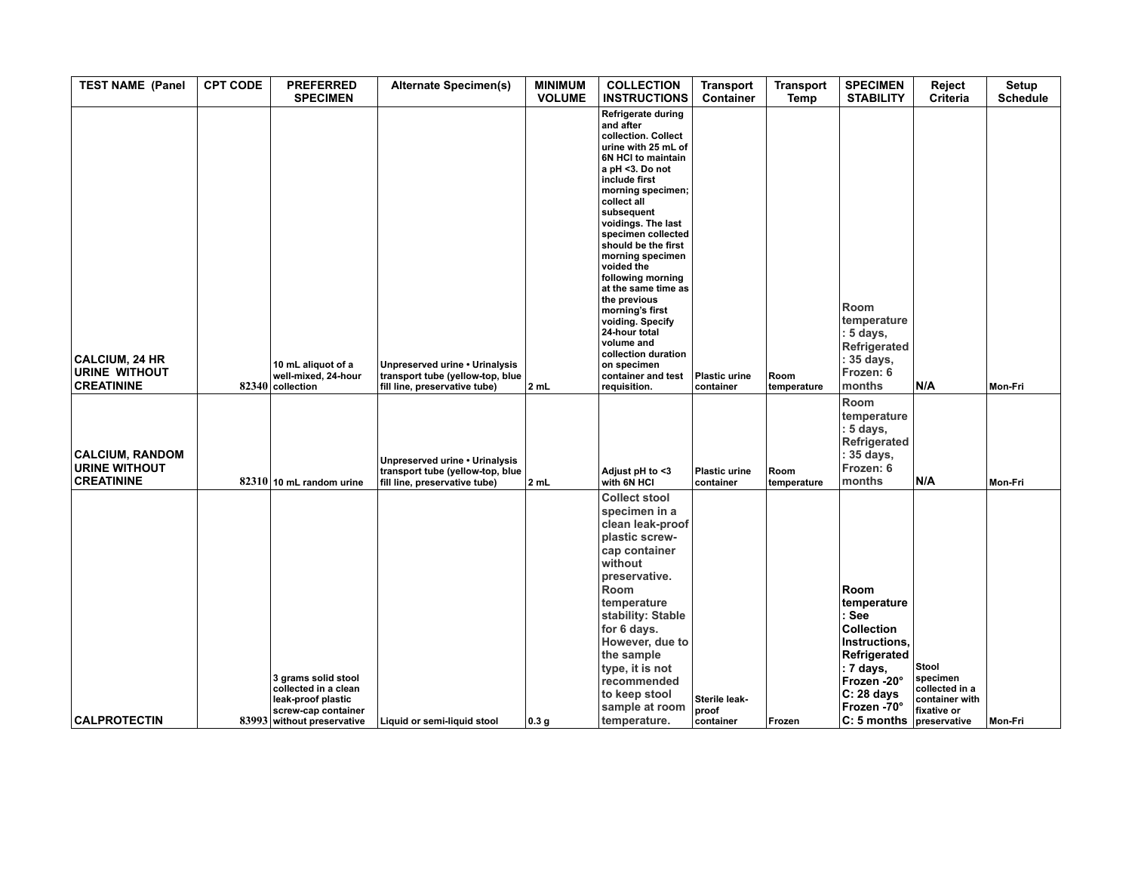| <b>TEST NAME (Panel</b>                                             | <b>CPT CODE</b> | <b>PREFERRED</b><br><b>SPECIMEN</b>                                                      | <b>Alternate Specimen(s)</b>                                                                        | <b>MINIMUM</b><br><b>VOLUME</b> | <b>COLLECTION</b><br><b>INSTRUCTIONS</b>                                                                                                                                                                                                                                                                                                                                                                                                                                                                     | <b>Transport</b><br>Container     | <b>Transport</b><br>Temp | <b>SPECIMEN</b><br><b>STABILITY</b>                                                                                                     | Reject<br>Criteria                                                   | Setup<br><b>Schedule</b> |
|---------------------------------------------------------------------|-----------------|------------------------------------------------------------------------------------------|-----------------------------------------------------------------------------------------------------|---------------------------------|--------------------------------------------------------------------------------------------------------------------------------------------------------------------------------------------------------------------------------------------------------------------------------------------------------------------------------------------------------------------------------------------------------------------------------------------------------------------------------------------------------------|-----------------------------------|--------------------------|-----------------------------------------------------------------------------------------------------------------------------------------|----------------------------------------------------------------------|--------------------------|
| <b>CALCIUM, 24 HR</b><br><b>URINE WITHOUT</b><br><b>CREATININE</b>  |                 | 10 mL aliquot of a<br>well-mixed, 24-hour<br>$82340$ collection                          | Unpreserved urine . Urinalysis<br>transport tube (yellow-top, blue<br>fill line, preservative tube) | 2 mL                            | Refrigerate during<br>and after<br>collection. Collect<br>urine with 25 mL of<br>6N HCI to maintain<br>a pH <3. Do not<br>include first<br>morning specimen;<br>collect all<br>subsequent<br>voidings. The last<br>specimen collected<br>should be the first<br>morning specimen<br>voided the<br>following morning<br>at the same time as<br>the previous<br>morning's first<br>voiding. Specify<br>24-hour total<br>volume and<br>collection duration<br>on specimen<br>container and test<br>requisition. | <b>Plastic urine</b><br>container | Room<br>temperature      | Room<br>temperature<br>: 5 days,<br>Refrigerated<br>: 35 days,<br>Frozen: 6<br>months                                                   | N/A                                                                  | Mon-Fri                  |
| <b>CALCIUM, RANDOM</b><br><b>URINE WITHOUT</b><br><b>CREATININE</b> |                 | 82310 10 mL random urine                                                                 | Unpreserved urine . Urinalysis<br>transport tube (yellow-top, blue<br>fill line, preservative tube) | 2 mL                            | Adjust pH to <3<br>with 6N HCI                                                                                                                                                                                                                                                                                                                                                                                                                                                                               | <b>Plastic urine</b><br>container | Room<br>temperature      | Room<br>temperature<br>$: 5$ days,<br>Refrigerated<br>: 35 days,<br>Frozen: 6<br>months                                                 | N/A                                                                  | Mon-Fri                  |
|                                                                     |                 | 3 grams solid stool<br>collected in a clean<br>leak-proof plastic<br>screw-cap container |                                                                                                     |                                 | <b>Collect stool</b><br>specimen in a<br>clean leak-proof<br>plastic screw-<br>cap container<br>without<br>preservative.<br>Room<br>temperature<br>stability: Stable<br>for 6 days.<br>However, due to<br>the sample<br>type, it is not<br>recommended<br>to keep stool<br>sample at room                                                                                                                                                                                                                    | Sterile leak-<br><b>proof</b>     |                          | Room<br>temperature<br>: See<br>Collection<br>Instructions,<br>Refrigerated<br>∣: 7 days,<br>Frozen -20°<br>$C: 28$ days<br>Frozen -70° | Stool<br>specimen<br>collected in a<br>container with<br>fixative or |                          |
| <b>CALPROTECTIN</b>                                                 |                 | 83993 without preservative                                                               | Liquid or semi-liquid stool                                                                         | 0.3 <sub>g</sub>                | temperature.                                                                                                                                                                                                                                                                                                                                                                                                                                                                                                 | container                         | Frozen                   | $C: 5$ months                                                                                                                           | preservative                                                         | Mon-Fri                  |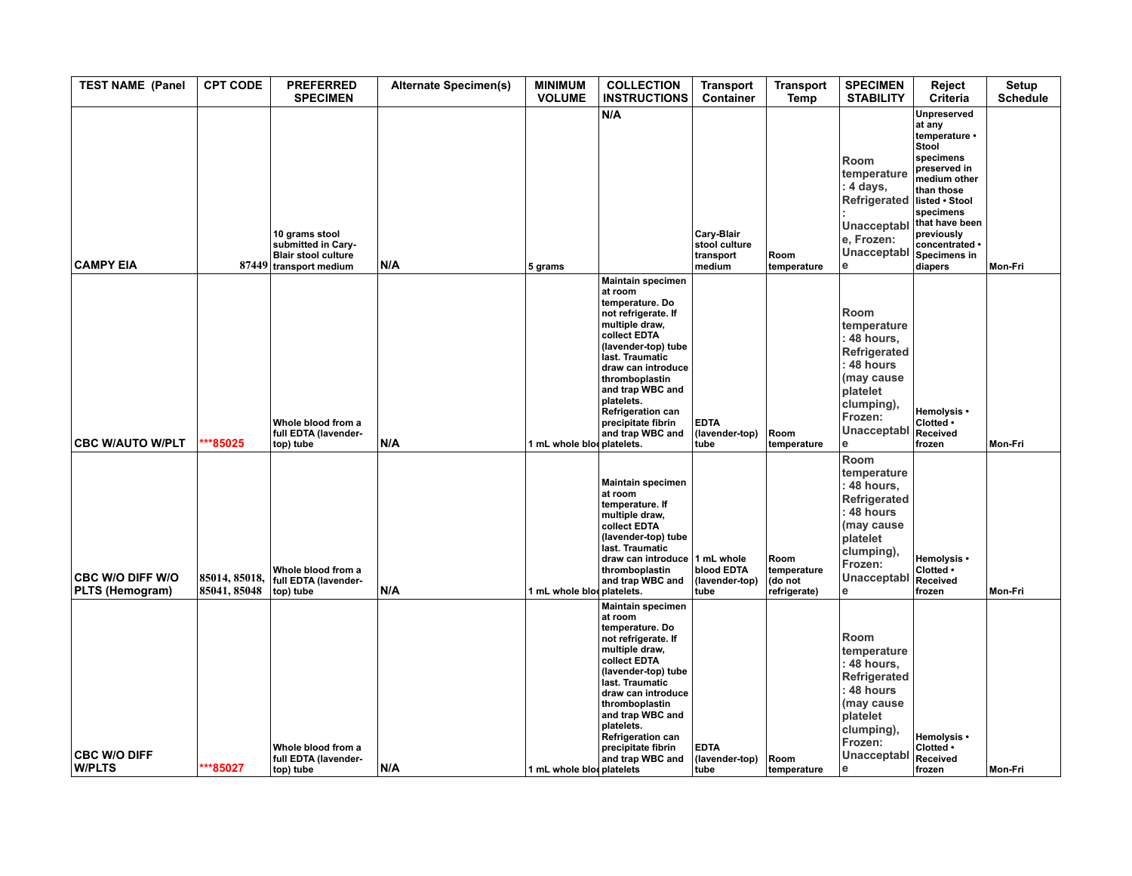| <b>TEST NAME (Panel</b>                    | <b>CPT CODE</b>               | <b>PREFERRED</b><br><b>SPECIMEN</b>                                                   | <b>Alternate Specimen(s)</b> | <b>MINIMUM</b><br><b>VOLUME</b> | <b>COLLECTION</b><br><b>INSTRUCTIONS</b>                                                                                                                                                                                                                                                                  | <b>Transport</b><br>Container                      | <b>Transport</b><br>Temp                       | <b>SPECIMEN</b><br><b>STABILITY</b>                                                                                                          | Reject<br>Criteria                                                                                                                                                                                                     | Setup<br><b>Schedule</b> |
|--------------------------------------------|-------------------------------|---------------------------------------------------------------------------------------|------------------------------|---------------------------------|-----------------------------------------------------------------------------------------------------------------------------------------------------------------------------------------------------------------------------------------------------------------------------------------------------------|----------------------------------------------------|------------------------------------------------|----------------------------------------------------------------------------------------------------------------------------------------------|------------------------------------------------------------------------------------------------------------------------------------------------------------------------------------------------------------------------|--------------------------|
| <b>CAMPY EIA</b>                           |                               | 10 grams stool<br>submitted in Cary-<br>Blair stool culture<br>87449 transport medium | N/A                          | 5 grams                         | N/A                                                                                                                                                                                                                                                                                                       | Cary-Blair<br>stool culture<br>transport<br>medium | Room<br>temperature                            | Room<br>temperature<br>: 4 days,<br>Refrigerated<br>Unacceptabl<br>e, Frozen:<br>Unacceptabl<br>е                                            | Unpreserved<br>at any<br>temperature •<br>Stool<br>specimens<br>preserved in<br>medium other<br>than those<br>listed . Stool<br>specimens<br>that have been<br>previously<br>concentrated •<br>Specimens in<br>diapers | Mon-Fri                  |
| <b>CBC W/AUTO W/PLT</b>                    | **85025                       | Whole blood from a<br>full EDTA (lavender-<br>top) tube                               | N/A                          | 1 mL whole blod platelets.      | <b>Maintain specimen</b><br>at room<br>temperature. Do<br>not refrigerate. If<br>multiple draw,<br>collect EDTA<br>(lavender-top) tube<br>last. Traumatic<br>draw can introduce<br>thromboplastin<br>and trap WBC and<br>platelets.<br><b>Refrigeration can</b><br>precipitate fibrin<br>and trap WBC and | <b>EDTA</b><br>(lavender-top)<br>tube              | Room<br>temperature                            | Room<br>temperature<br>48 hours,<br>Refrigerated<br>48 hours<br>(may cause<br>platelet<br>clumping),<br>Frozen:<br>Unacceptabl<br>e          | Hemolysis •<br>Clotted .<br>Received<br>frozen                                                                                                                                                                         | Mon-Fri                  |
| <b>CBC W/O DIFF W/O</b><br>PLTS (Hemogram) | 85014, 85018,<br>85041, 85048 | Whole blood from a<br>full EDTA (lavender-<br>top) tube                               | N/A                          | 1 mL whole blooplatelets.       | <b>Maintain specimen</b><br>at room<br>temperature. If<br>multiple draw,<br>collect EDTA<br>(lavender-top) tube<br>last. Traumatic<br>draw can introduce 1 mL whole<br>thromboplastin<br>and trap WBC and                                                                                                 | blood EDTA<br>(lavender-top)<br>tube               | Room<br>temperature<br>(do not<br>refrigerate) | Room<br>temperature<br>48 hours,<br>Refrigerated<br>: 48 hours<br>(may cause<br>platelet<br>clumping),<br>Frozen:<br>Unacceptabl<br>e        | Hemolysis •<br>Clotted .<br>Received<br>frozen                                                                                                                                                                         | Mon-Fri                  |
| <b>CBC W/O DIFF</b><br><b>W/PLTS</b>       | ***85027                      | Whole blood from a<br>full EDTA (lavender-<br>top) tube                               | N/A                          | 1 mL whole bloc platelets       | <b>Maintain specimen</b><br>at room<br>temperature. Do<br>not refrigerate. If<br>multiple draw,<br>collect EDTA<br>(lavender-top) tube<br>last. Traumatic<br>draw can introduce<br>thromboplastin<br>and trap WBC and<br>platelets.<br><b>Refrigeration can</b><br>precipitate fibrin<br>and trap WBC and | <b>EDTA</b><br>(lavender-top)<br>tube              | Room<br>temperature                            | Room<br>temperature<br>48 hours,<br>Refrigerated<br>: 48 hours<br>(may cause<br>platelet<br>clumping),<br>Frozen:<br>Unacceptabl<br>$\theta$ | Hemolysis •<br>Clotted .<br>Received<br>frozen                                                                                                                                                                         | Mon-Fri                  |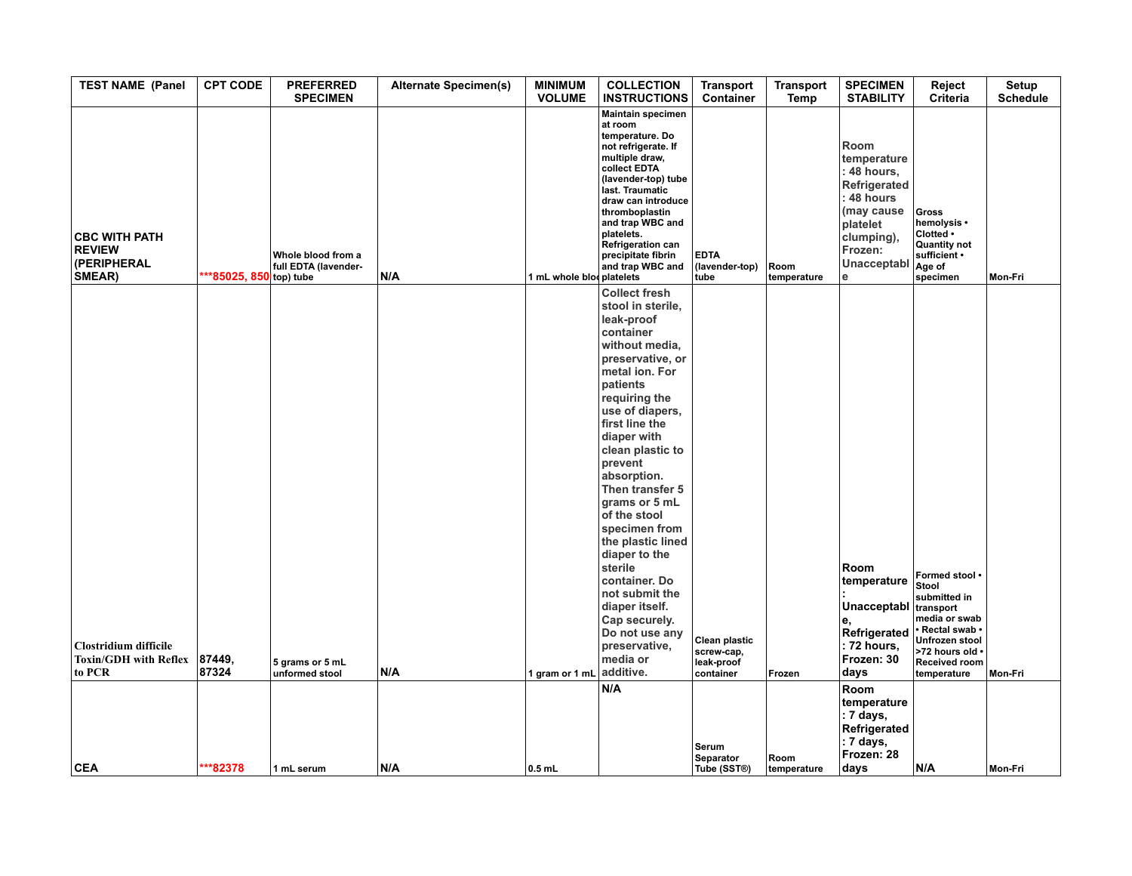| <b>TEST NAME (Panel</b>                                         | <b>CPT CODE</b>        | <b>PREFERRED</b><br><b>SPECIMEN</b>        | <b>Alternate Specimen(s)</b> | <b>MINIMUM</b><br><b>VOLUME</b> | <b>COLLECTION</b><br><b>INSTRUCTIONS</b>                                                                                                                                                                                                                                                                                                                                                                                                                                                                            | <b>Transport</b><br>Container                          | <b>Transport</b><br>Temp | <b>SPECIMEN</b><br><b>STABILITY</b>                                                                                                             | Reject<br><b>Criteria</b>                                                                                                                                            | Setup<br><b>Schedule</b> |
|-----------------------------------------------------------------|------------------------|--------------------------------------------|------------------------------|---------------------------------|---------------------------------------------------------------------------------------------------------------------------------------------------------------------------------------------------------------------------------------------------------------------------------------------------------------------------------------------------------------------------------------------------------------------------------------------------------------------------------------------------------------------|--------------------------------------------------------|--------------------------|-------------------------------------------------------------------------------------------------------------------------------------------------|----------------------------------------------------------------------------------------------------------------------------------------------------------------------|--------------------------|
| <b>CBC WITH PATH</b><br><b>REVIEW</b><br>(PERIPHERAL<br>SMEAR)  | **85025, 850 top) tube | Whole blood from a<br>full EDTA (lavender- | N/A                          | 1 mL whole blooplatelets        | <b>Maintain specimen</b><br>at room<br>temperature. Do<br>not refrigerate. If<br>multiple draw,<br>collect EDTA<br>(lavender-top) tube<br>last. Traumatic<br>draw can introduce<br>thromboplastin<br>and trap WBC and<br>platelets.<br><b>Refrigeration can</b><br>precipitate fibrin<br>and trap WBC and                                                                                                                                                                                                           | <b>EDTA</b><br>(lavender-top)<br>tube                  | Room<br>temperature      | Room<br>temperature<br>: 48 hours,<br>Refrigerated<br>48 hours<br>(may cause<br>platelet<br>clumping),<br>Frozen:<br>Unacceptabl<br>$\mathbf e$ | Gross<br>hemolysis •<br>Clotted .<br><b>Quantity not</b><br>sufficient •<br>Age of<br>specimen                                                                       | Mon-Fri                  |
| <b>Clostridium difficile</b><br>Toxin/GDH with Reflex<br>to PCR | 87449,<br>87324        | 5 grams or 5 mL<br>unformed stool          | N/A                          | 1 gram or 1 mL                  | <b>Collect fresh</b><br>stool in sterile,<br>leak-proof<br>container<br>without media,<br>preservative, or<br>metal ion. For<br>patients<br>requiring the<br>use of diapers,<br>first line the<br>diaper with<br>clean plastic to<br>prevent<br>absorption.<br>Then transfer 5<br>grams or 5 mL<br>of the stool<br>specimen from<br>the plastic lined<br>diaper to the<br>sterile<br>container. Do<br>not submit the<br>diaper itself.<br>Cap securely.<br>Do not use any<br>preservative,<br>media or<br>additive. | Clean plastic<br>screw-cap,<br>leak-proof<br>container | Frozen                   | Room<br>temperature<br>Unacceptabl<br>е,<br>Refrigerated<br>: 72 hours,<br>Frozen: 30<br>days                                                   | Formed stool .<br>Stool<br>submitted in<br>transport<br>media or swab<br>· Rectal swab ·<br>Unfrozen stool<br>>72 hours old .<br><b>Received room</b><br>temperature | Mon-Fri                  |
|                                                                 |                        |                                            |                              |                                 | N/A                                                                                                                                                                                                                                                                                                                                                                                                                                                                                                                 | Serum<br>Separator                                     | Room                     | Room<br>temperature<br>: 7 days,<br>Refrigerated<br>: 7 days,<br>Frozen: 28                                                                     |                                                                                                                                                                      |                          |
| <b>CEA</b>                                                      | ***82378               | 1 mL serum                                 | N/A                          | $0.5$ mL                        |                                                                                                                                                                                                                                                                                                                                                                                                                                                                                                                     | Tube (SST®)                                            | temperature              | days                                                                                                                                            | N/A                                                                                                                                                                  | Mon-Fri                  |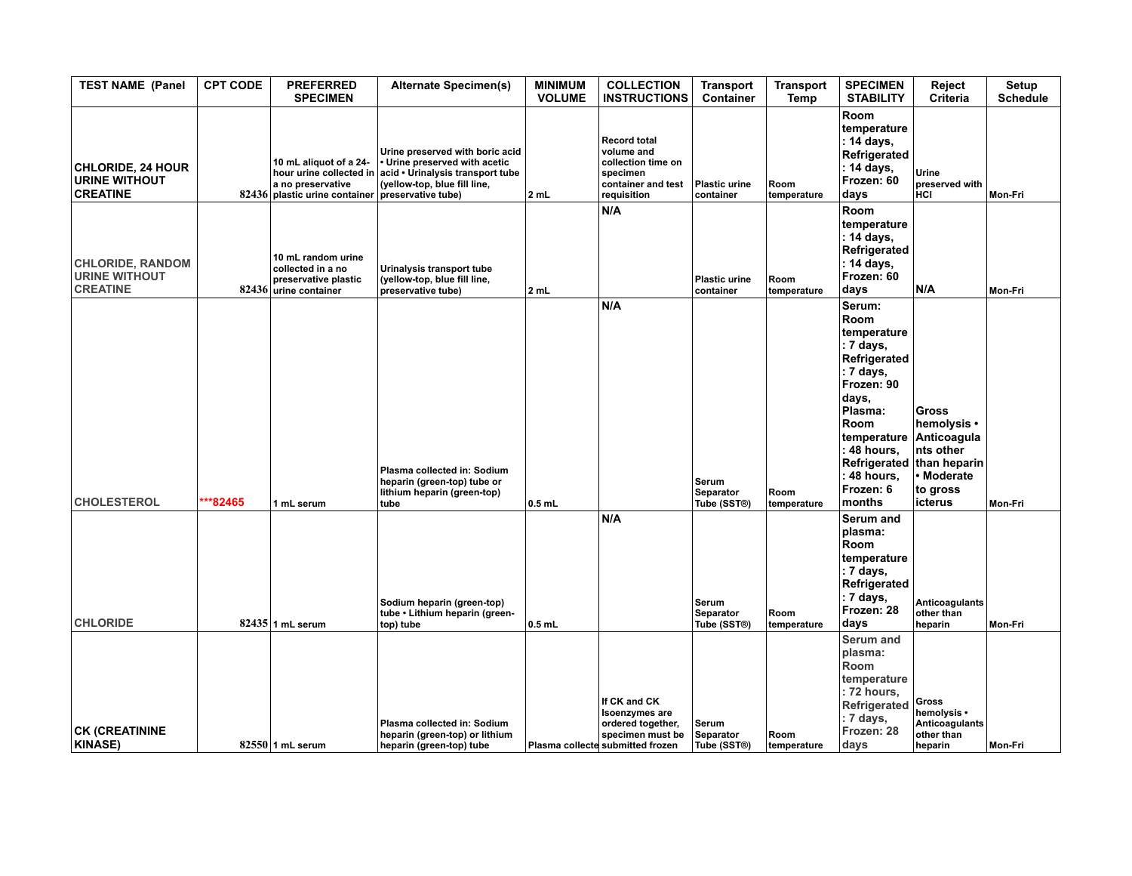| <b>TEST NAME (Panel</b>                                             | <b>CPT CODE</b> | <b>PREFERRED</b><br><b>SPECIMEN</b>                                                                                        | <b>Alternate Specimen(s)</b>                                                                                                         | <b>MINIMUM</b><br><b>VOLUME</b> | <b>COLLECTION</b><br><b>INSTRUCTIONS</b>                                                                           | <b>Transport</b><br>Container     | <b>Transport</b><br>Temp | <b>SPECIMEN</b><br><b>STABILITY</b>                                                                                                                                                                               | Reject<br>Criteria                                                                                         | Setup<br><b>Schedule</b> |
|---------------------------------------------------------------------|-----------------|----------------------------------------------------------------------------------------------------------------------------|--------------------------------------------------------------------------------------------------------------------------------------|---------------------------------|--------------------------------------------------------------------------------------------------------------------|-----------------------------------|--------------------------|-------------------------------------------------------------------------------------------------------------------------------------------------------------------------------------------------------------------|------------------------------------------------------------------------------------------------------------|--------------------------|
| <b>CHLORIDE, 24 HOUR</b><br><b>URINE WITHOUT</b><br><b>CREATINE</b> |                 | 10 mL aliquot of a 24-<br>hour urine collected in<br>a no preservative<br>82436 plastic urine container preservative tube) | Urine preserved with boric acid<br>• Urine preserved with acetic<br>acid . Urinalysis transport tube<br>(yellow-top, blue fill line, | 2 mL                            | <b>Record total</b><br>volume and<br>collection time on<br>specimen<br>container and test<br>requisition           | <b>Plastic urine</b><br>container | Room<br>temperature      | Room<br>temperature<br>: 14 days,<br>Refrigerated<br>: 14 days,<br>Frozen: 60<br>days                                                                                                                             | Urine<br>preserved with<br>HCI                                                                             | Mon-Fri                  |
| <b>CHLORIDE, RANDOM</b><br><b>URINE WITHOUT</b><br><b>CREATINE</b>  |                 | 10 mL random urine<br>collected in a no<br>preservative plastic<br>82436 urine container                                   | Urinalysis transport tube<br>(yellow-top, blue fill line,<br>preservative tube)                                                      | 2 mL                            | N/A                                                                                                                | <b>Plastic urine</b><br>container | Room<br>temperature      | Room<br>temperature<br>: 14 days,<br>Refrigerated<br>: 14 days,<br>Frozen: 60<br>days                                                                                                                             | N/A                                                                                                        | Mon-Fri                  |
| <b>CHOLESTEROL</b>                                                  | $**82465$       | 1 mL serum                                                                                                                 | Plasma collected in: Sodium<br>heparin (green-top) tube or<br>lithium heparin (green-top)<br>tube                                    | $0.5$ mL                        | N/A                                                                                                                | Serum<br>Separator<br>Tube (SST®) | Room<br>temperature      | Serum:<br><b>Room</b><br>temperature<br>: 7 days,<br>Refrigerated<br>: 7 days,<br>Frozen: 90<br>days,<br>Plasma:<br><b>Room</b><br>temperature<br>: 48 hours,<br>Refrigerated<br>48 hours,<br>Frozen: 6<br>months | <b>Gross</b><br>hemolysis •<br>Anticoagula<br>nts other<br>than heparin<br>Moderate<br>to gross<br>icterus | Mon-Fri                  |
| <b>CHLORIDE</b>                                                     |                 | $82435$ 1 mL serum                                                                                                         | Sodium heparin (green-top)<br>tube • Lithium heparin (green-<br>top) tube                                                            | $0.5$ mL                        | N/A                                                                                                                | Serum<br>Separator<br>Tube (SST®) | Room<br>temperature      | Serum and<br>plasma:<br><b>Room</b><br>temperature<br>: 7 days,<br>Refrigerated<br>: 7 days,<br>Frozen: 28<br>days                                                                                                | <b>Anticoagulants</b><br>other than<br>heparin                                                             | Mon-Fri                  |
| <b>CK (CREATININE</b><br><b>KINASE)</b>                             |                 | $82550$ 1 mL serum                                                                                                         | Plasma collected in: Sodium<br>heparin (green-top) or lithium<br>heparin (green-top) tube                                            |                                 | If CK and CK<br><b>Isoenzymes</b> are<br>ordered together,<br>specimen must be<br>Plasma collecte submitted frozen | Serum<br>Separator<br>Tube (SST®) | Room<br>temperature      | <b>Serum and</b><br>plasma:<br>Room<br>temperature<br>: 72 hours,<br>Refrigerated<br>: 7 days,<br>Frozen: 28<br>days                                                                                              | Gross<br>hemolysis •<br><b>Anticoagulants</b><br>other than<br>heparin                                     | Mon-Fri                  |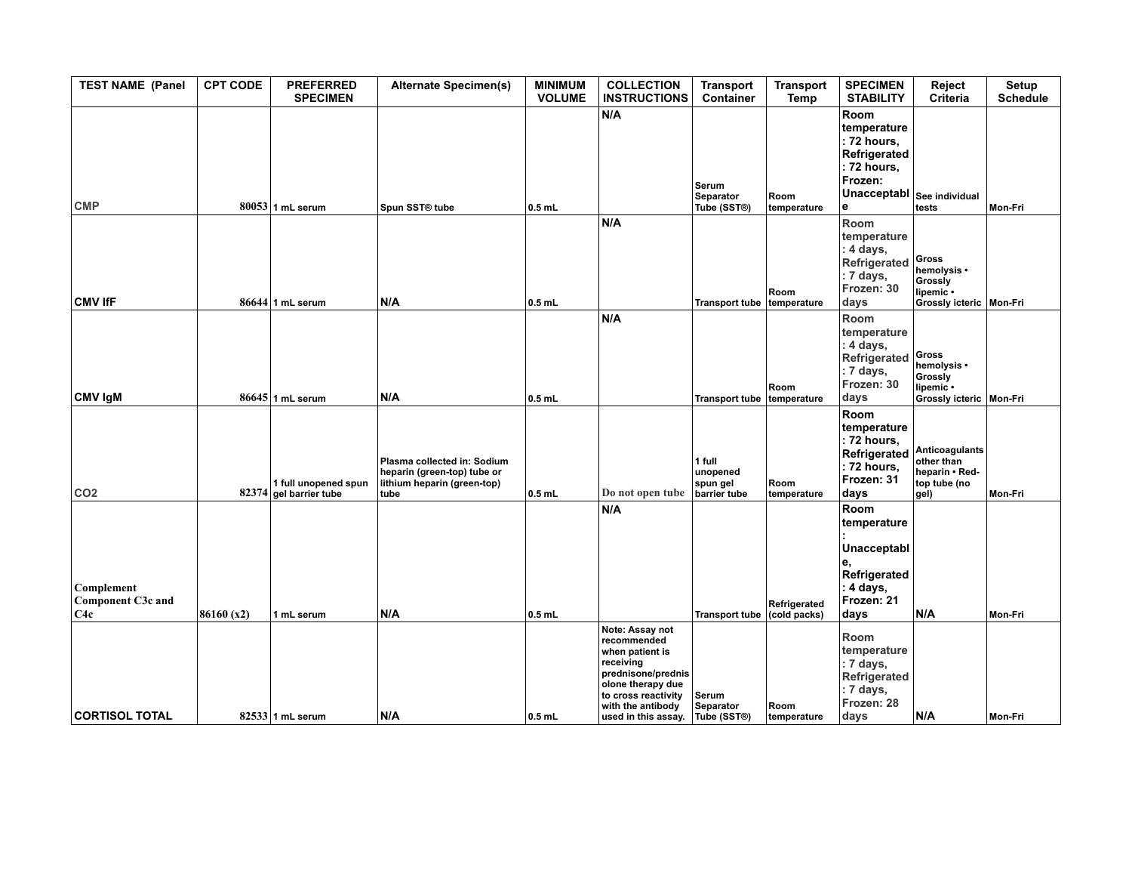| <b>TEST NAME (Panel</b>                       | <b>CPT CODE</b> | <b>PREFERRED</b><br><b>SPECIMEN</b>            | <b>Alternate Specimen(s)</b>                                                                      | <b>MINIMUM</b><br><b>VOLUME</b> | <b>COLLECTION</b><br><b>INSTRUCTIONS</b>                                                                                                              | <b>Transport</b><br>Container                  | <b>Transport</b><br>Temp         | <b>SPECIMEN</b><br><b>STABILITY</b>                                                              | Reject<br>Criteria                                                        | Setup<br><b>Schedule</b> |
|-----------------------------------------------|-----------------|------------------------------------------------|---------------------------------------------------------------------------------------------------|---------------------------------|-------------------------------------------------------------------------------------------------------------------------------------------------------|------------------------------------------------|----------------------------------|--------------------------------------------------------------------------------------------------|---------------------------------------------------------------------------|--------------------------|
| <b>CMP</b>                                    |                 | $80053$ 1 mL serum                             | Spun SST® tube                                                                                    | $0.5$ mL                        | N/A                                                                                                                                                   | Serum<br>Separator<br>Tube (SST®)              | Room<br>temperature              | Room<br>temperature<br>: 72 hours,<br>Refrigerated<br>: 72 hours,<br>Frozen:<br>Unacceptabl<br>е | See individual<br>tests                                                   | Mon-Fri                  |
| <b>CMV IfF</b>                                |                 | $86644$ 1 mL serum                             | N/A                                                                                               | $0.5$ mL                        | N/A                                                                                                                                                   | Transport tube temperature                     | Room                             | Room<br>temperature<br>: 4 days,<br>Refrigerated<br>: 7 days,<br>Frozen: 30<br>days              | Gross<br>hemolysis •<br>Grossly<br>lipemic •<br>Grossly icteric   Mon-Fri |                          |
|                                               |                 |                                                |                                                                                                   |                                 | N/A                                                                                                                                                   |                                                |                                  | Room<br>temperature<br>: 4 days,                                                                 | Gross                                                                     |                          |
| <b>CMV IgM</b>                                |                 | $86645$ 1 mL serum                             | N/A                                                                                               | $0.5$ mL                        |                                                                                                                                                       | Transport tube temperature                     | Room                             | Refrigerated<br>: 7 days,<br>Frozen: 30<br>days                                                  | hemolysis •<br>Grossly<br>lipemic .<br>Grossly icteric   Mon-Fri          |                          |
| CO <sub>2</sub>                               |                 | 1 full unopened spun<br>82374 gel barrier tube | Plasma collected in: Sodium<br>heparin (green-top) tube or<br>lithium heparin (green-top)<br>tube | $0.5$ mL                        | Do not open tube                                                                                                                                      | 1 full<br>unopened<br>spun gel<br>barrier tube | Room<br>temperature              | Room<br>temperature<br>: 72 hours,<br>Refrigerated<br>: 72 hours,<br>Frozen: 31<br>days          | Anticoagulants<br>other than<br>heparin • Red-<br>top tube (no<br>gel)    | Mon-Fri                  |
|                                               |                 |                                                |                                                                                                   |                                 | N/A                                                                                                                                                   |                                                |                                  | Room<br>temperature                                                                              |                                                                           |                          |
| Complement<br><b>Component C3c and</b><br>C4c | 86160 (x2)      | 1 mL serum                                     | N/A                                                                                               | $0.5$ mL                        |                                                                                                                                                       | <b>Transport tube</b>                          | Refrigerated<br>$ $ (cold packs) | Unacceptabl<br>e.<br>Refrigerated<br>: 4 days,<br>Frozen: 21<br>days                             | N/A                                                                       | Mon-Fri                  |
|                                               |                 |                                                |                                                                                                   |                                 | Note: Assay not<br>recommended<br>when patient is<br>receiving<br>prednisone/prednis<br>olone therapy due<br>to cross reactivity<br>with the antibody | Serum<br>Separator                             | Room                             | Room<br>temperature<br>: 7 days,<br>Refrigerated<br>: 7 days,<br>Frozen: 28                      |                                                                           |                          |
| <b>CORTISOL TOTAL</b>                         |                 | $82533$ 1 mL serum                             | N/A                                                                                               | $0.5$ mL                        | used in this assay.                                                                                                                                   | Tube (SST®)                                    | <b>Itemperature</b>              | days                                                                                             | N/A                                                                       | Mon-Fri                  |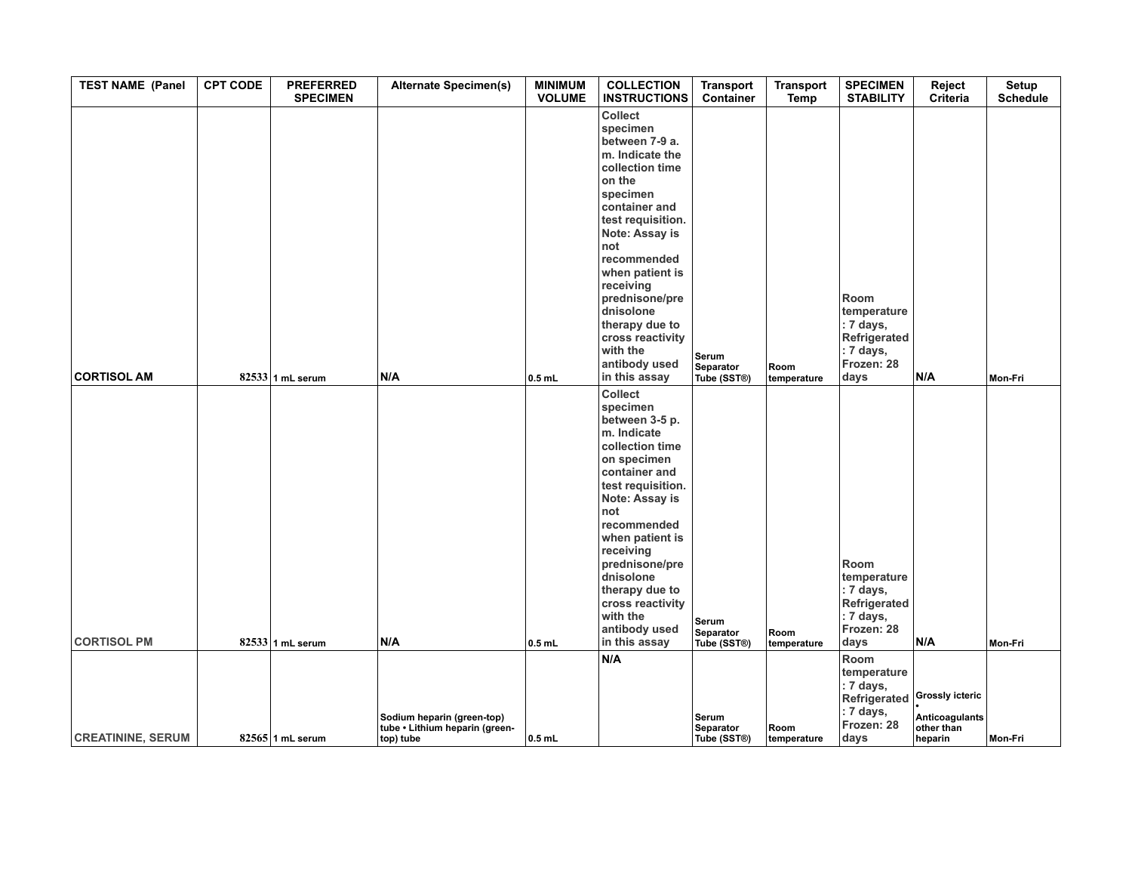| <b>TEST NAME (Panel</b>  | <b>CPT CODE</b> | <b>PREFERRED</b><br><b>SPECIMEN</b> | <b>Alternate Specimen(s)</b>                                              | <b>MINIMUM</b><br><b>VOLUME</b> | <b>COLLECTION</b><br><b>INSTRUCTIONS</b>                                                                                                                                                                                                                                                                                                  | <b>Transport</b><br>Container     | <b>Transport</b><br>Temp | <b>SPECIMEN</b><br><b>STABILITY</b>                                                   | Reject<br>Criteria                                                | Setup<br><b>Schedule</b> |
|--------------------------|-----------------|-------------------------------------|---------------------------------------------------------------------------|---------------------------------|-------------------------------------------------------------------------------------------------------------------------------------------------------------------------------------------------------------------------------------------------------------------------------------------------------------------------------------------|-----------------------------------|--------------------------|---------------------------------------------------------------------------------------|-------------------------------------------------------------------|--------------------------|
| <b>CORTISOL AM</b>       |                 | $82533$ 1 mL serum                  | N/A                                                                       | $0.5$ mL                        | <b>Collect</b><br>specimen<br>between 7-9 a.<br>m. Indicate the<br>collection time<br>on the<br>specimen<br>container and<br>test requisition.<br>Note: Assay is<br>not<br>recommended<br>when patient is<br>receiving<br>prednisone/pre<br>dnisolone<br>therapy due to<br>cross reactivity<br>with the<br>antibody used<br>in this assay | Serum<br>Separator<br>Tube (SST®) | Room<br>temperature      | Room<br>temperature<br>: 7 days,<br>Refrigerated<br>: 7 days,<br>Frozen: 28<br>days   | N/A                                                               | Mon-Fri                  |
| <b>CORTISOL PM</b>       |                 | $82533$ 1 mL serum                  | N/A                                                                       | $0.5$ mL                        | Collect<br>specimen<br>between 3-5 p.<br>m. Indicate<br>collection time<br>on specimen<br>container and<br>test requisition.<br>Note: Assay is<br>not<br>recommended<br>when patient is<br>receiving<br>prednisone/pre<br>dnisolone<br>therapy due to<br>cross reactivity<br>with the<br>antibody used<br>in this assay                   | Serum<br>Separator<br>Tube (SST®) | Room<br>temperature      | Room<br>temperature<br>$: 7$ days,<br>Refrigerated<br>: 7 days,<br>Frozen: 28<br>days | N/A                                                               | Mon-Fri                  |
|                          |                 |                                     |                                                                           |                                 | N/A                                                                                                                                                                                                                                                                                                                                       |                                   |                          | Room                                                                                  |                                                                   |                          |
| <b>CREATININE, SERUM</b> |                 | $82565$ 1 mL serum                  | Sodium heparin (green-top)<br>tube • Lithium heparin (green-<br>top) tube | $ 0.5$ mL                       |                                                                                                                                                                                                                                                                                                                                           | Serum<br>Separator<br>Tube (SST®) | Room<br>temperature      | temperature<br>: 7 days,<br>Refrigerated<br>: 7 days,<br>Frozen: 28<br>days           | <b>Grossly icteric</b><br>Anticoagulants<br>other than<br>heparin | Mon-Fri                  |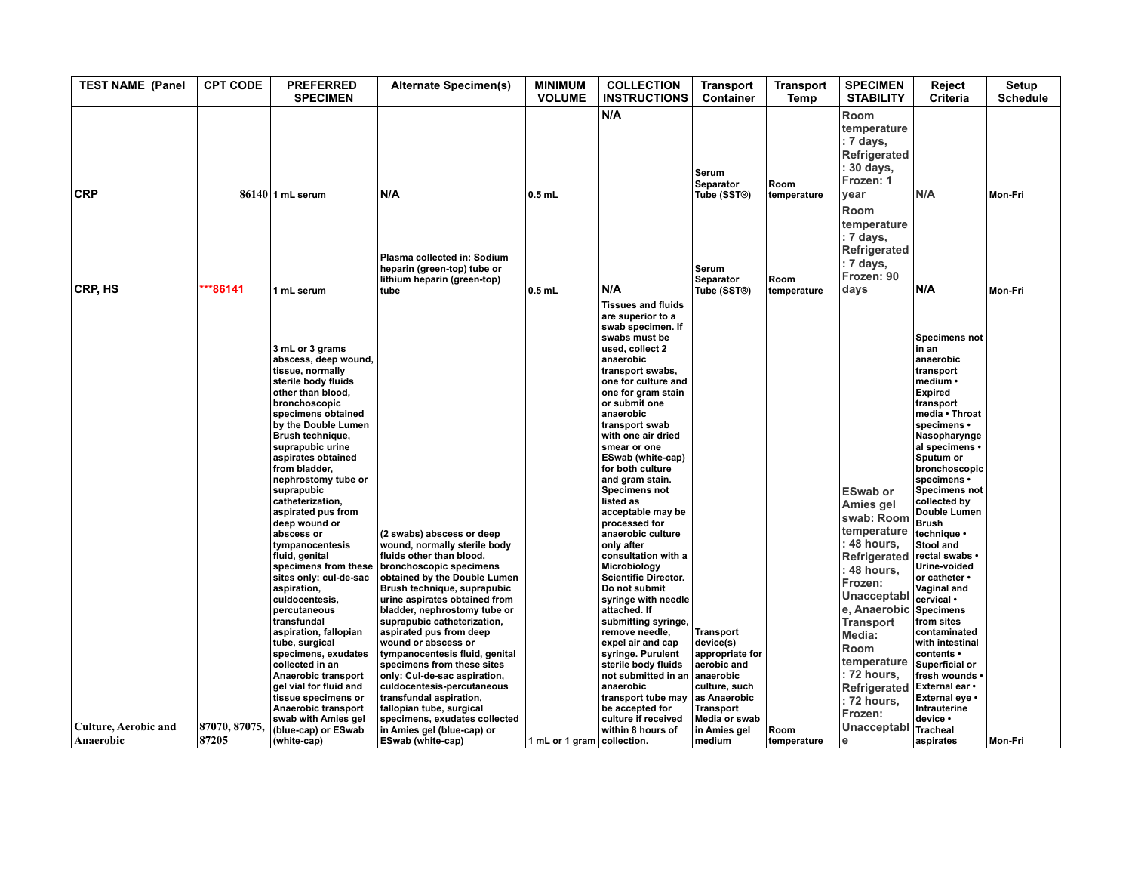| <b>TEST NAME (Panel</b>                  | <b>CPT CODE</b>        | <b>PREFERRED</b><br><b>SPECIMEN</b>                                                                                                                                                                                                                                                                                                                                                                                                                                                                                                                                                                                                                                                                                                  | <b>Alternate Specimen(s)</b>                                                                                                                                                                                                                                                                                                                                                                                                                                                                                                                            | <b>MINIMUM</b><br><b>VOLUME</b> | <b>COLLECTION</b><br><b>INSTRUCTIONS</b>                                                                                                                                                                                                                                                                                                                                                                                                                                                                                                                                                                                                                                                                                                                                                          | Transport<br><b>Container</b>                                                                                                                      | <b>Transport</b><br>Temp | <b>SPECIMEN</b><br><b>STABILITY</b>                                                                                                                                                                                                                               | Reject<br>Criteria                                                                                                                                                                                                                                                                                                                                                                                                                                                                                                                                                                                 | Setup<br><b>Schedule</b> |
|------------------------------------------|------------------------|--------------------------------------------------------------------------------------------------------------------------------------------------------------------------------------------------------------------------------------------------------------------------------------------------------------------------------------------------------------------------------------------------------------------------------------------------------------------------------------------------------------------------------------------------------------------------------------------------------------------------------------------------------------------------------------------------------------------------------------|---------------------------------------------------------------------------------------------------------------------------------------------------------------------------------------------------------------------------------------------------------------------------------------------------------------------------------------------------------------------------------------------------------------------------------------------------------------------------------------------------------------------------------------------------------|---------------------------------|---------------------------------------------------------------------------------------------------------------------------------------------------------------------------------------------------------------------------------------------------------------------------------------------------------------------------------------------------------------------------------------------------------------------------------------------------------------------------------------------------------------------------------------------------------------------------------------------------------------------------------------------------------------------------------------------------------------------------------------------------------------------------------------------------|----------------------------------------------------------------------------------------------------------------------------------------------------|--------------------------|-------------------------------------------------------------------------------------------------------------------------------------------------------------------------------------------------------------------------------------------------------------------|----------------------------------------------------------------------------------------------------------------------------------------------------------------------------------------------------------------------------------------------------------------------------------------------------------------------------------------------------------------------------------------------------------------------------------------------------------------------------------------------------------------------------------------------------------------------------------------------------|--------------------------|
| <b>CRP</b>                               |                        | $86140$  1 mL serum                                                                                                                                                                                                                                                                                                                                                                                                                                                                                                                                                                                                                                                                                                                  | N/A                                                                                                                                                                                                                                                                                                                                                                                                                                                                                                                                                     | $0.5$ mL                        | N/A                                                                                                                                                                                                                                                                                                                                                                                                                                                                                                                                                                                                                                                                                                                                                                                               | Serum<br>Separator<br>Tube (SST®)                                                                                                                  | Room<br>temperature      | Room<br>temperature<br>$: 7$ days,<br>Refrigerated<br>: 30 days,<br>Frozen: 1<br>vear                                                                                                                                                                             | N/A                                                                                                                                                                                                                                                                                                                                                                                                                                                                                                                                                                                                | Mon-Fri                  |
| CRP, HS                                  | ***86141               | 1 mL serum                                                                                                                                                                                                                                                                                                                                                                                                                                                                                                                                                                                                                                                                                                                           | Plasma collected in: Sodium<br>heparin (green-top) tube or<br>lithium heparin (green-top)<br>tube                                                                                                                                                                                                                                                                                                                                                                                                                                                       | $0.5$ mL                        | N/A                                                                                                                                                                                                                                                                                                                                                                                                                                                                                                                                                                                                                                                                                                                                                                                               | Serum<br>Separator<br>Tube (SST®)                                                                                                                  | Room<br>temperature      | <b>Room</b><br>temperature<br>$: 7$ days,<br>Refrigerated<br>$: 7$ days,<br>Frozen: 90<br>days                                                                                                                                                                    | N/A                                                                                                                                                                                                                                                                                                                                                                                                                                                                                                                                                                                                | Mon-Fri                  |
|                                          |                        | 3 mL or 3 grams<br>abscess, deep wound,<br>tissue, normally<br>sterile body fluids<br>other than blood,<br>bronchoscopic<br>specimens obtained<br>by the Double Lumen<br>Brush technique,<br>suprapubic urine<br>aspirates obtained<br>from bladder,<br>nephrostomy tube or<br>suprapubic<br>catheterization,<br>aspirated pus from<br>deep wound or<br>abscess or<br>tympanocentesis<br>fluid, genital<br>specimens from these<br>sites only: cul-de-sac<br>aspiration,<br>culdocentesis,<br>percutaneous<br>transfundal<br>aspiration, fallopian<br>tube, surgical<br>specimens, exudates<br>collected in an<br>Anaerobic transport<br>gel vial for fluid and<br>tissue specimens or<br>Anaerobic transport<br>swab with Amies gel | (2 swabs) abscess or deep<br>wound, normally sterile body<br>fluids other than blood,<br>bronchoscopic specimens<br>obtained by the Double Lumen<br>Brush technique, suprapubic<br>urine aspirates obtained from<br>bladder, nephrostomy tube or<br>suprapubic catheterization,<br>aspirated pus from deep<br>wound or abscess or<br>tympanocentesis fluid, genital<br>specimens from these sites<br>only: Cul-de-sac aspiration,<br>culdocentesis-percutaneous<br>transfundal aspiration,<br>fallopian tube, surgical<br>specimens, exudates collected |                                 | <b>Tissues and fluids</b><br>are superior to a<br>swab specimen. If<br>swabs must be<br>used, collect 2<br>anaerobic<br>transport swabs,<br>one for culture and<br>one for gram stain<br>or submit one<br>anaerobic<br>transport swab<br>with one air dried<br>smear or one<br><b>ESwab (white-cap)</b><br>for both culture<br>and gram stain.<br>Specimens not<br>listed as<br>acceptable may be<br>processed for<br>anaerobic culture<br>only after<br>consultation with a<br>Microbiology<br><b>Scientific Director.</b><br>Do not submit<br>syringe with needle<br>attached. If<br>submitting syringe,<br>remove needle,<br>expel air and cap<br>syringe. Purulent<br>sterile body fluids<br>not submitted in an<br>anaerobic<br>transport tube may<br>be accepted for<br>culture if received | <b>Transport</b><br>device(s)<br>appropriate for<br>aerobic and<br>anaerobic<br>culture, such<br>as Anaerobic<br><b>Transport</b><br>Media or swab |                          | <b>ESwab or</b><br>Amies gel<br>swab: Room<br>temperature<br>: 48 hours,<br>Refrigerated<br>: 48 hours,<br>Frozen:<br>Unacceptabl<br>e, Anaerobic<br>Transport<br>Media:<br><b>Room</b><br>temperature<br>: 72 hours,<br>Refrigerated<br>$: 72$ hours,<br>Frozen: | <b>Specimens not</b><br>in an<br>anaerobic<br>transport<br>medium •<br><b>Expired</b><br>transport<br>media . Throat<br>specimens •<br>Nasopharynge<br>al specimens •<br>Sputum or<br>bronchoscopic<br>specimens •<br><b>Specimens not</b><br>collected by<br>Double Lumen<br><b>Brush</b><br>technique •<br>Stool and<br>rectal swabs •<br>Urine-voided<br>or catheter •<br><b>Vaginal and</b><br>cervical •<br><b>Specimens</b><br>from sites<br>contaminated<br>with intestinal<br>contents •<br>Superficial or<br>fresh wounds<br>External ear •<br>External eye •<br>Intrauterine<br>device • |                          |
| <b>Culture, Aerobic and</b><br>Anaerobic | 87070, 87075.<br>87205 | (blue-cap) or ESwab<br>(white-cap)                                                                                                                                                                                                                                                                                                                                                                                                                                                                                                                                                                                                                                                                                                   | in Amies gel (blue-cap) or<br><b>ESwab (white-cap)</b>                                                                                                                                                                                                                                                                                                                                                                                                                                                                                                  | 1 mL or 1 gram collection.      | within 8 hours of                                                                                                                                                                                                                                                                                                                                                                                                                                                                                                                                                                                                                                                                                                                                                                                 | in Amies gel<br>medium                                                                                                                             | Room<br>temperature      | Unacceptabl<br>l e                                                                                                                                                                                                                                                | <b>Tracheal</b><br>aspirates                                                                                                                                                                                                                                                                                                                                                                                                                                                                                                                                                                       | Mon-Fri                  |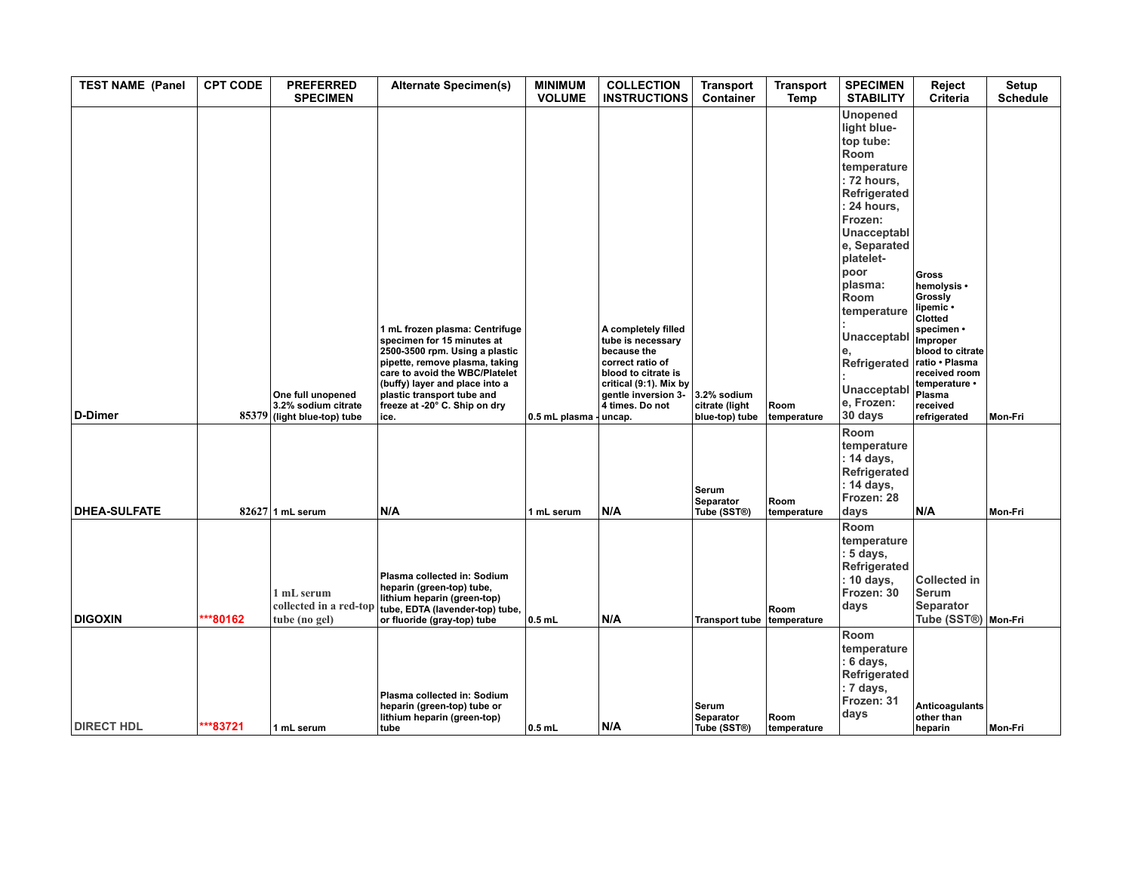| <b>TEST NAME (Panel</b> | <b>CPT CODE</b> | <b>PREFERRED</b><br><b>SPECIMEN</b>                                     | <b>Alternate Specimen(s)</b>                                                                                                                                                                                                                                                | <b>MINIMUM</b><br><b>VOLUME</b> | <b>COLLECTION</b><br><b>INSTRUCTIONS</b>                                                                                                                               | <b>Transport</b><br>Container                   | <b>Transport</b><br>Temp | <b>SPECIMEN</b><br><b>STABILITY</b>                                                                                                                                                                                                                                                        | Reject<br>Criteria                                                                                                                                                                                     | <b>Setup</b><br><b>Schedule</b> |
|-------------------------|-----------------|-------------------------------------------------------------------------|-----------------------------------------------------------------------------------------------------------------------------------------------------------------------------------------------------------------------------------------------------------------------------|---------------------------------|------------------------------------------------------------------------------------------------------------------------------------------------------------------------|-------------------------------------------------|--------------------------|--------------------------------------------------------------------------------------------------------------------------------------------------------------------------------------------------------------------------------------------------------------------------------------------|--------------------------------------------------------------------------------------------------------------------------------------------------------------------------------------------------------|---------------------------------|
| D-Dimer                 |                 | One full unopened<br>3.2% sodium citrate<br>85379 (light blue-top) tube | 1 mL frozen plasma: Centrifuge<br>specimen for 15 minutes at<br>2500-3500 rpm. Using a plastic<br>pipette, remove plasma, taking<br>care to avoid the WBC/Platelet<br>(buffy) layer and place into a<br>plastic transport tube and<br>freeze at -20° C. Ship on dry<br>ice. | 0.5 mL plasma - uncap.          | A completely filled<br>tube is necessary<br>because the<br>correct ratio of<br>blood to citrate is<br>critical (9:1). Mix by<br>gentle inversion 3-<br>4 times. Do not | 3.2% sodium<br>citrate (light<br>blue-top) tube | Room<br>temperature      | <b>Unopened</b><br>light blue-<br>top tube:<br>Room<br>temperature<br>$: 72$ hours,<br>Refrigerated<br>: 24 hours.<br>Frozen:<br>Unacceptabl<br>e, Separated<br>platelet-<br>poor<br>plasma:<br>Room<br>temperature<br>Unacceptabl<br>Refrigerated<br>Unacceptabl<br>e, Frozen:<br>30 days | <b>Gross</b><br>hemolysis •<br>Grossly<br>lipemic •<br>Clotted<br>specimen •<br>Improper<br>blood to citrate<br>ratio · Plasma<br>received room<br>temperature •<br>Plasma<br>received<br>refrigerated | Mon-Fri                         |
| <b>DHEA-SULFATE</b>     |                 | $82627$ 1 mL serum                                                      | N/A                                                                                                                                                                                                                                                                         | 1 mL serum                      | N/A                                                                                                                                                                    | Serum<br>Separator<br>Tube (SST®)               | Room<br>temperature      | Room<br>temperature<br>$: 14$ days,<br>Refrigerated<br>$: 14$ days.<br>Frozen: 28<br>days                                                                                                                                                                                                  | N/A                                                                                                                                                                                                    | Mon-Fri                         |
| <b>DIGOXIN</b>          | ***80162        | 1 mL serum<br>collected in a red-top<br>tube (no gel)                   | Plasma collected in: Sodium<br>heparin (green-top) tube,<br>lithium heparin (green-top)<br>tube, EDTA (lavender-top) tube,<br>or fluoride (gray-top) tube                                                                                                                   | $0.5$ mL                        | N/A                                                                                                                                                                    | Transport tube temperature                      | Room                     | Room<br>temperature<br>: 5 days,<br>Refrigerated<br>$: 10$ days,<br>Frozen: 30<br>days                                                                                                                                                                                                     | <b>Collected in</b><br>Serum<br><b>Separator</b><br>Tube (SST®) Mon-Fri                                                                                                                                |                                 |
| <b>DIRECT HDL</b>       | ***83721        | 1 mL serum                                                              | Plasma collected in: Sodium<br>heparin (green-top) tube or<br>lithium heparin (green-top)<br>tube                                                                                                                                                                           | $0.5$ mL                        | N/A                                                                                                                                                                    | Serum<br>Separator<br>Tube (SST <sup>®</sup> )  | Room<br>temperature      | Room<br>temperature<br>: 6 days,<br>Refrigerated<br>: 7 days,<br>Frozen: 31<br>days                                                                                                                                                                                                        | <b>Anticoagulants</b><br>other than<br>heparin                                                                                                                                                         | <b>Mon-Fri</b>                  |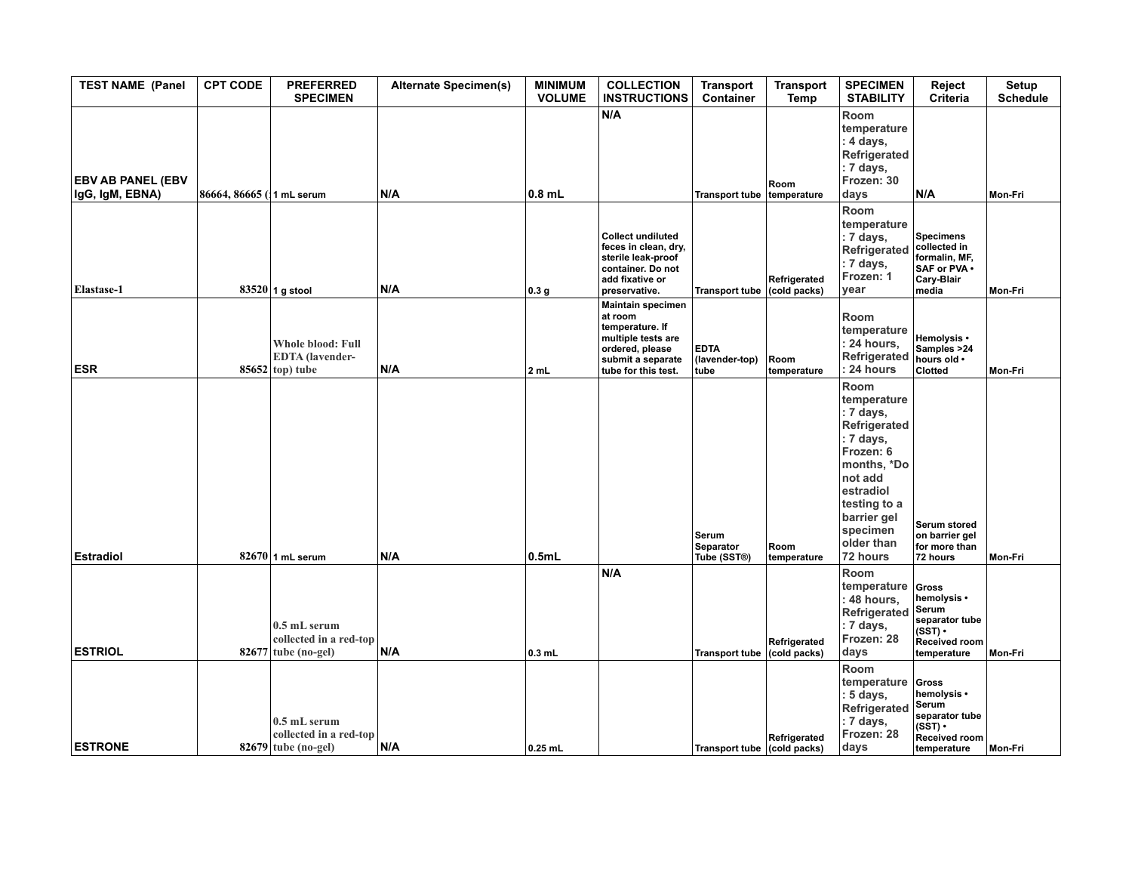| <b>TEST NAME (Panel</b>                     | <b>CPT CODE</b>           | <b>PREFERRED</b><br><b>SPECIMEN</b>                                     | <b>Alternate Specimen(s)</b> | <b>MINIMUM</b><br><b>VOLUME</b> | <b>COLLECTION</b><br><b>INSTRUCTIONS</b>                                                                                                    | <b>Transport</b><br>Container         | <b>Transport</b><br>Temp     | <b>SPECIMEN</b><br><b>STABILITY</b>                                                                                                                                                    | Reject<br>Criteria                                                                                  | Setup<br><b>Schedule</b> |
|---------------------------------------------|---------------------------|-------------------------------------------------------------------------|------------------------------|---------------------------------|---------------------------------------------------------------------------------------------------------------------------------------------|---------------------------------------|------------------------------|----------------------------------------------------------------------------------------------------------------------------------------------------------------------------------------|-----------------------------------------------------------------------------------------------------|--------------------------|
| <b>EBV AB PANEL (EBV</b><br>IgG, IgM, EBNA) | 86664, 86665 (11 mL serum |                                                                         | N/A                          | $0.8$ mL                        | N/A                                                                                                                                         | <b>Transport tube</b>                 | <b>Room</b><br>temperature   | Room<br>temperature<br>: 4 days,<br>Refrigerated<br>: 7 days,<br>Frozen: 30<br>days                                                                                                    | N/A                                                                                                 | Mon-Fri                  |
| Elastase-1                                  |                           | $83520$ 1 g stool                                                       | N/A                          | 0.3 <sub>g</sub>                | <b>Collect undiluted</b><br>feces in clean, dry,<br>sterile leak-proof<br>container. Do not<br>add fixative or<br>preservative.             | <b>Transport tube</b>                 | Refrigerated<br>(cold packs) | Room<br>temperature<br>: 7 days,<br>Refrigerated<br>: 7 days,<br>Frozen: 1<br>year                                                                                                     | <b>Specimens</b><br>collected in<br>formalin, MF,<br>SAF or PVA .<br>Cary-Blair<br>media            | Mon-Fri                  |
| <b>ESR</b>                                  |                           | <b>Whole blood: Full</b><br><b>EDTA</b> (lavender-<br>$85652$ top) tube | N/A                          | 2 mL                            | <b>Maintain specimen</b><br>at room<br>temperature. If<br>multiple tests are<br>ordered, please<br>submit a separate<br>tube for this test. | <b>EDTA</b><br>(lavender-top)<br>tube | Room<br>temperature          | Room<br>temperature<br>: 24 hours,<br>Refrigerated<br>: 24 hours                                                                                                                       | Hemolysis •<br>Samples >24<br>hours old .<br><b>Clotted</b>                                         | Mon-Fri                  |
| <b>Estradiol</b>                            |                           | $82670$ 1 mL serum                                                      | N/A                          | 0.5mL                           |                                                                                                                                             | Serum<br>Separator<br>Tube (SST®)     | Room<br>temperature          | Room<br>temperature<br>: 7 days,<br>Refrigerated<br>: 7 days,<br>Frozen: 6<br>months, *Do<br>not add<br>estradiol<br>testing to a<br>barrier gel<br>specimen<br>older than<br>72 hours | <b>Serum stored</b><br>on barrier gel<br>for more than<br>72 hours                                  | Mon-Fri                  |
| <b>ESTRIOL</b>                              |                           | 0.5 mL serum<br>collected in a red-top<br>$82677$ tube (no-gel)         | N/A                          | $0.3$ mL                        | N/A                                                                                                                                         | Transport tube (cold packs)           | Refrigerated                 | Room<br>temperature<br>: 48 hours,<br>Refrigerated<br>: 7 days,<br>Frozen: 28<br>days                                                                                                  | Gross<br>hemolysis •<br>Serum<br>separator tube<br>(SST) ∙<br><b>Received room</b><br>temperature   | Mon-Fri                  |
| <b>ESTRONE</b>                              |                           | 0.5 mL serum<br>collected in a red-top<br>$82679$ tube (no-gel)         | N/A                          | $0.25$ mL                       |                                                                                                                                             | Transport tube (cold packs)           | Refrigerated                 | Room<br>temperature<br>: 5 days,<br>Refrigerated<br>: 7 days,<br>Frozen: 28<br>days                                                                                                    | Gross<br>hemolysis •<br>Serum<br>separator tube<br>$(SST)$ •<br><b>Received room</b><br>temperature | Mon-Fri                  |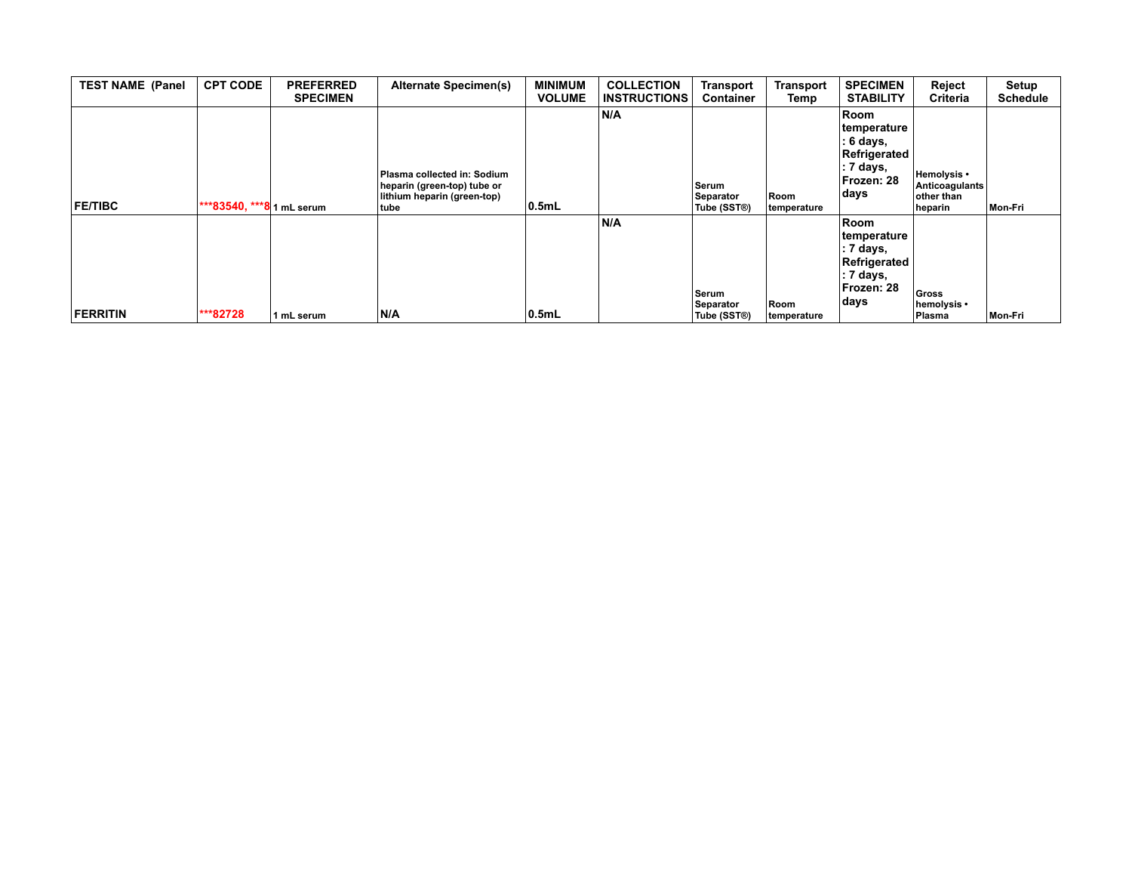| <b>TEST NAME (Panel</b> | <b>CPT CODE</b>           | <b>PREFERRED</b><br><b>SPECIMEN</b> | <b>Alternate Specimen(s)</b>                                                                      | <b>MINIMUM</b><br><b>VOLUME</b> | <b>COLLECTION</b><br><b>INSTRUCTIONS</b> | Transport<br><b>Container</b>     | Transport<br>Temp   | <b>SPECIMEN</b><br><b>STABILITY</b>                                                                      | Reject<br>Criteria                                     | Setup<br><b>Schedule</b> |
|-------------------------|---------------------------|-------------------------------------|---------------------------------------------------------------------------------------------------|---------------------------------|------------------------------------------|-----------------------------------|---------------------|----------------------------------------------------------------------------------------------------------|--------------------------------------------------------|--------------------------|
| <b>FE/TIBC</b>          | ***83540, ***8 1 mL serum |                                     | Plasma collected in: Sodium<br>heparin (green-top) tube or<br>lithium heparin (green-top)<br>tube | 0.5mL                           | N/A                                      | Serum<br>Separator<br>Tube (SST®) | Room<br>temperature | Room<br>temperature<br>: 6 days,<br>Refrigerated<br>∣: 7 days,<br>Frozen: 28<br>days                     | Hemolysis •<br>Anticoagulants<br>other than<br>heparin | Mon-Fri                  |
| <b>FERRITIN</b>         | ***82728                  | 1 mL serum                          | N/A                                                                                               | $ 0.5$ mL                       | N/A                                      | Serum<br>Separator<br>Tube (SST®) | Room<br>temperature | Room<br>temperature<br>$: 7 \text{ days},$<br>Refrigerated<br>$: 7 \text{ days},$<br>Frozen: 28<br>∣days | Gross<br>hemolysis •<br>Plasma                         | Mon-Fri                  |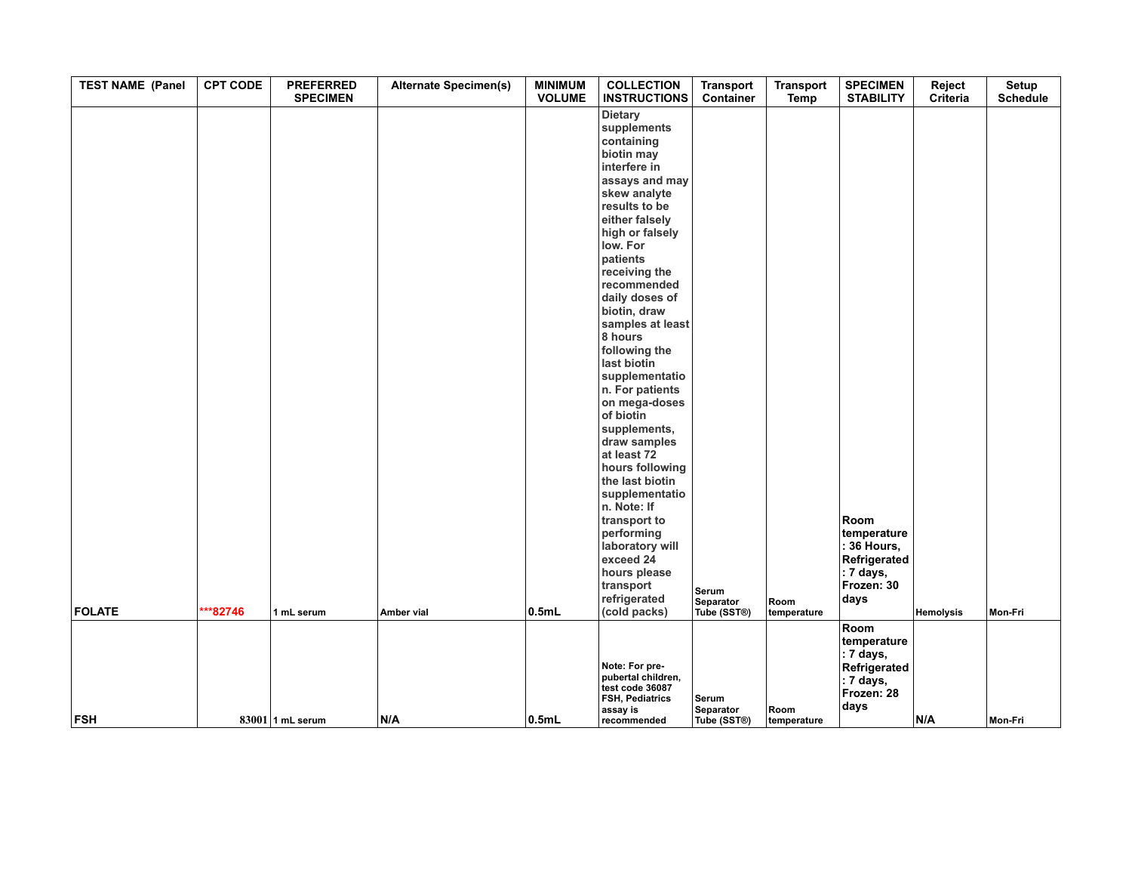| <b>TEST NAME (Panel</b>     | <b>CPT CODE</b>    | <b>PREFERRED</b><br><b>SPECIMEN</b> | <b>Alternate Specimen(s)</b> | <b>MINIMUM</b><br><b>VOLUME</b> | <b>COLLECTION</b><br><b>INSTRUCTIONS</b>                                                                                                                                                                                                                                                                                                                                                                                                                                                                                                          | <b>Transport</b><br>Container            | <b>Transport</b><br>Temp | <b>SPECIMEN</b><br><b>STABILITY</b>                                                                   | Reject<br>Criteria | Setup<br><b>Schedule</b> |
|-----------------------------|--------------------|-------------------------------------|------------------------------|---------------------------------|---------------------------------------------------------------------------------------------------------------------------------------------------------------------------------------------------------------------------------------------------------------------------------------------------------------------------------------------------------------------------------------------------------------------------------------------------------------------------------------------------------------------------------------------------|------------------------------------------|--------------------------|-------------------------------------------------------------------------------------------------------|--------------------|--------------------------|
|                             |                    |                                     |                              |                                 | <b>Dietary</b><br>supplements<br>containing<br>biotin may<br>interfere in<br>assays and may<br>skew analyte<br>results to be<br>either falsely<br>high or falsely<br>low. For<br>patients<br>receiving the<br>recommended<br>daily doses of<br>biotin, draw<br>samples at least<br>8 hours<br>following the<br>last biotin<br>supplementatio<br>n. For patients<br>on mega-doses<br>of biotin<br>supplements,<br>draw samples<br>at least 72<br>hours following<br>the last biotin<br>supplementatio<br>n. Note: If<br>transport to<br>performing |                                          |                          | Room<br>temperature                                                                                   |                    |                          |
|                             | ***82746           |                                     |                              |                                 | laboratory will<br>exceed 24<br>hours please<br>transport<br>refrigerated                                                                                                                                                                                                                                                                                                                                                                                                                                                                         | Serum<br>Separator                       | Room                     | : 36 Hours,<br>Refrigerated<br>: 7 days,<br>Frozen: 30<br>days                                        |                    |                          |
| <b>FOLATE</b><br><b>FSH</b> | $83001$ 1 mL serum | 1 mL serum                          | Amber vial                   | 0.5mL                           | (cold packs)<br>Note: For pre-<br>pubertal children,<br>test code 36087<br>FSH, Pediatrics<br>assay is                                                                                                                                                                                                                                                                                                                                                                                                                                            | Tube (SST®)<br>Serum<br><b>Separator</b> | temperature<br>Room      | Room<br>temperature<br>$\vert$ : 7 days,<br>Refrigerated<br>$: 7 \text{ days},$<br>Frozen: 28<br>days | <b>Hemolysis</b>   | Mon-Fri                  |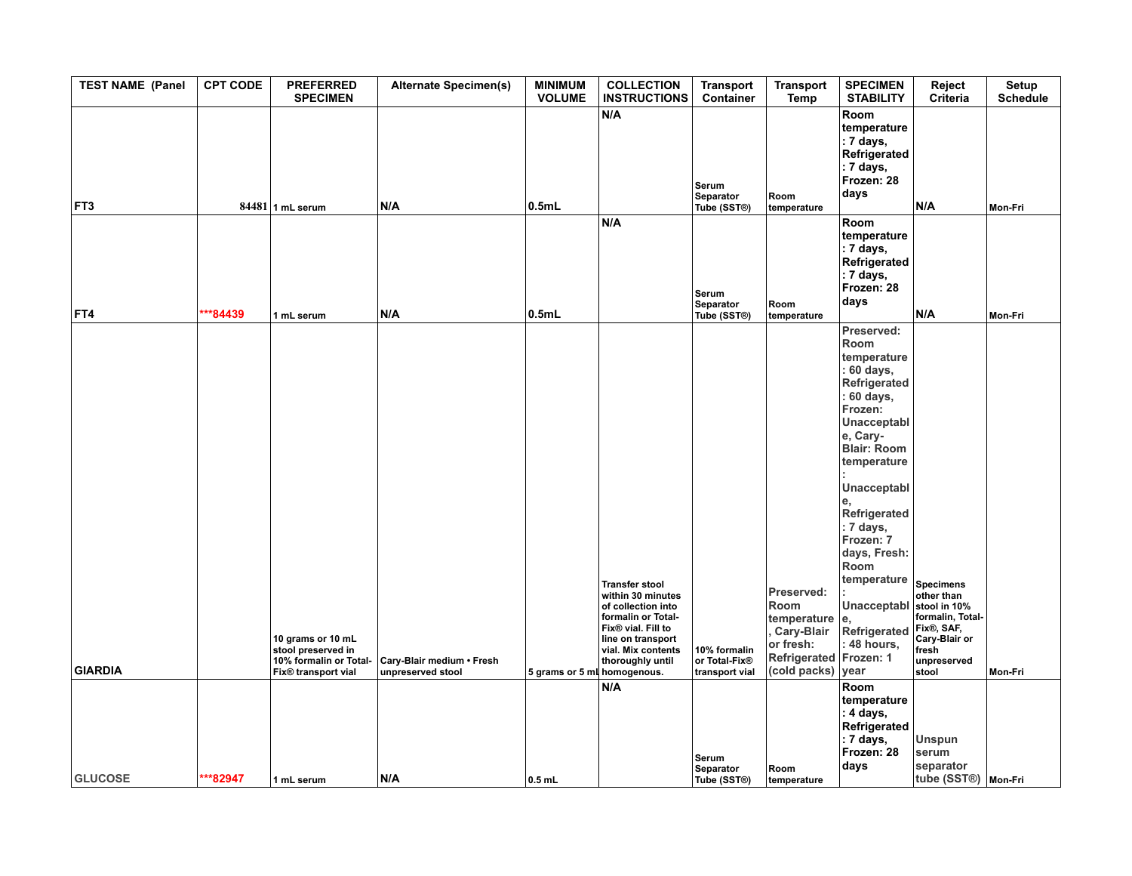| <b>TEST NAME (Panel</b> | <b>CPT CODE</b> | <b>PREFERRED</b><br><b>SPECIMEN</b>                                                                  | <b>Alternate Specimen(s)</b>                   | <b>MINIMUM</b><br><b>VOLUME</b> | <b>COLLECTION</b><br><b>INSTRUCTIONS</b>                                                                                                                                    | <b>Transport</b><br>Container                   | <b>Transport</b><br>Temp                                                                                    | <b>SPECIMEN</b><br><b>STABILITY</b>                                                                                                                                                                                                                                                                            | Reject<br>Criteria                                                                                                                 | Setup<br><b>Schedule</b> |
|-------------------------|-----------------|------------------------------------------------------------------------------------------------------|------------------------------------------------|---------------------------------|-----------------------------------------------------------------------------------------------------------------------------------------------------------------------------|-------------------------------------------------|-------------------------------------------------------------------------------------------------------------|----------------------------------------------------------------------------------------------------------------------------------------------------------------------------------------------------------------------------------------------------------------------------------------------------------------|------------------------------------------------------------------------------------------------------------------------------------|--------------------------|
| FT3                     |                 | $84481$ 1 mL serum                                                                                   | N/A                                            | 0.5mL                           | N/A                                                                                                                                                                         | Serum<br>Separator<br>Tube (SST®)               | Room<br>temperature                                                                                         | Room<br>temperature<br>: 7 days,<br>Refrigerated<br>: 7 days,<br>Frozen: 28<br>days                                                                                                                                                                                                                            | N/A                                                                                                                                | Mon-Fri                  |
| FT4                     | $**84439$       | 1 mL serum                                                                                           | N/A                                            | 0.5mL                           | N/A                                                                                                                                                                         | Serum<br>Separator<br>Tube (SST®)               | Room<br>temperature                                                                                         | Room<br>temperature<br>: 7 days,<br>Refrigerated<br>: 7 days,<br>Frozen: 28<br>days                                                                                                                                                                                                                            | N/A                                                                                                                                | Mon-Fri                  |
| <b>GIARDIA</b>          |                 | 10 grams or 10 mL<br>stool preserved in<br>10% formalin or Total-<br>Fix <sup>®</sup> transport vial | Cary-Blair medium • Fresh<br>unpreserved stool | 5 grams or 5 ml homogenous.     | <b>Transfer stool</b><br>within 30 minutes<br>of collection into<br>formalin or Total-<br>Fix® vial. Fill to<br>line on transport<br>vial. Mix contents<br>thoroughly until | 10% formalin<br>or Total-Fix®<br>transport vial | Preserved:<br>Room<br>temperature e,<br>, Cary-Blair<br>or fresh:<br>Refrigerated Frozen: 1<br>(cold packs) | Preserved:<br>Room<br>temperature<br>: 60 days,<br>Refrigerated<br>: 60 days,<br>Frozen:<br>Unacceptabl<br>e, Cary-<br><b>Blair: Room</b><br>temperature<br>Unacceptabl<br>Refrigerated<br>: 7 days,<br>Frozen: 7<br>days, Fresh:<br>Room<br>temperature<br>Unacceptabl<br>Refrigerated<br>: 48 hours,<br>year | <b>Specimens</b><br>other than<br>stool in 10%<br>formalin, Total-<br>Fix®, SAF,<br>Cary-Blair or<br>fresh<br>unpreserved<br>stool | Mon-Fri                  |
| <b>GLUCOSE</b>          | ***82947        | 1 mL serum                                                                                           | N/A                                            | $0.5$ mL                        | N/A                                                                                                                                                                         | Serum<br>Separator<br>Tube (SST®)               | Room<br>temperature                                                                                         | Room<br>temperature<br>: 4 days,<br>Refrigerated<br>: 7 days,<br>Frozen: 28<br>days                                                                                                                                                                                                                            | Unspun<br>serum<br>separator<br>tube (SST®) Mon-Fri                                                                                |                          |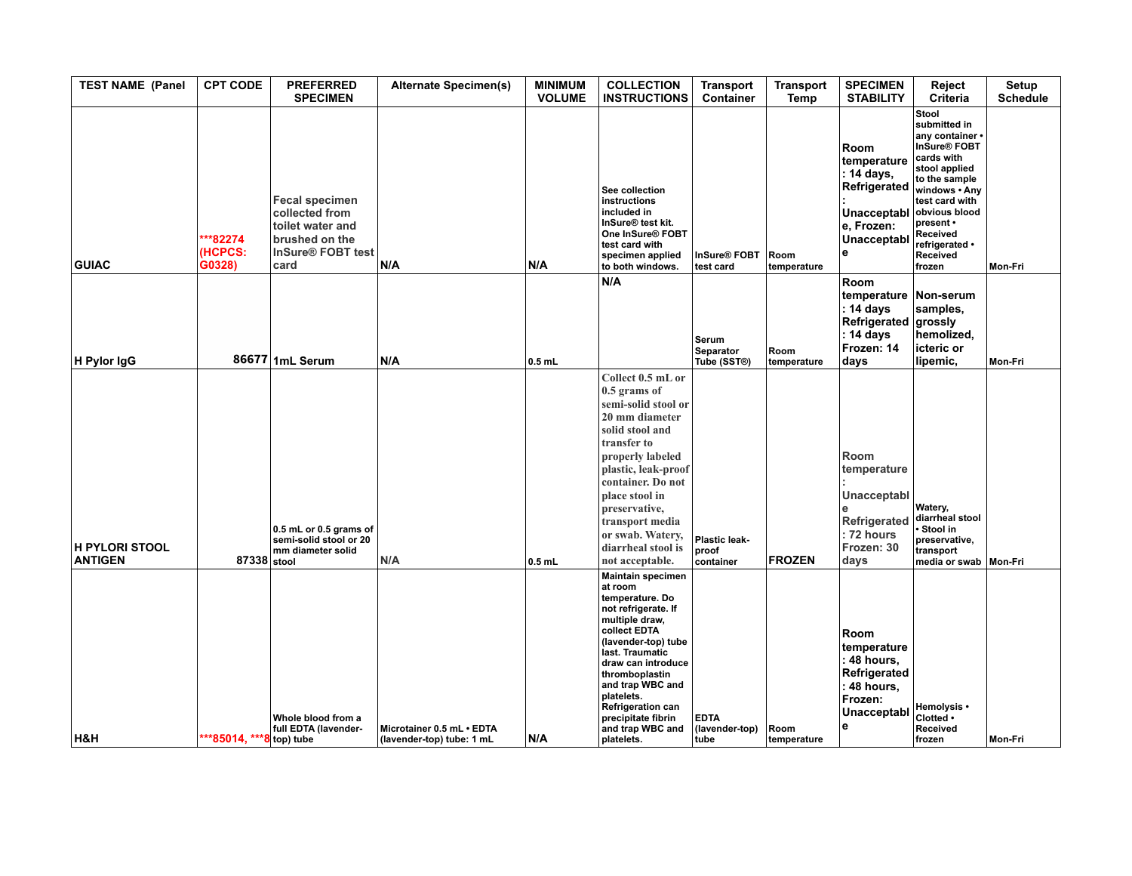| <b>TEST NAME (Panel</b>                 | <b>CPT CODE</b>                             | <b>PREFERRED</b><br><b>SPECIMEN</b>                                                                                    | <b>Alternate Specimen(s)</b>                           | <b>MINIMUM</b><br><b>VOLUME</b> | <b>COLLECTION</b><br><b>INSTRUCTIONS</b>                                                                                                                                                                                                                                                                                | <b>Transport</b><br>Container         | <b>Transport</b><br>Temp | <b>SPECIMEN</b><br><b>STABILITY</b>                                                                       | Reject<br><b>Criteria</b>                                                                                                                                                                                                               | Setup<br><b>Schedule</b> |
|-----------------------------------------|---------------------------------------------|------------------------------------------------------------------------------------------------------------------------|--------------------------------------------------------|---------------------------------|-------------------------------------------------------------------------------------------------------------------------------------------------------------------------------------------------------------------------------------------------------------------------------------------------------------------------|---------------------------------------|--------------------------|-----------------------------------------------------------------------------------------------------------|-----------------------------------------------------------------------------------------------------------------------------------------------------------------------------------------------------------------------------------------|--------------------------|
| <b>GUIAC</b>                            | ***82274<br>(HCPCS:<br>$\overline{G}$ 0328) | <b>Fecal specimen</b><br>collected from<br>toilet water and<br>brushed on the<br>InSure <sup>®</sup> FOBT test<br>card | N/A                                                    | N/A                             | See collection<br>instructions<br>included in<br>InSure <sup>®</sup> test kit.<br>One InSure <sup>®</sup> FOBT<br>test card with<br>specimen applied<br>to both windows.                                                                                                                                                | InSure <sup>®</sup> FOBT<br>test card | Room<br>temperature      | Room<br>temperature<br>: 14 days,<br>Refrigerated<br><b>Unacceptabl</b><br>e, Frozen:<br>Unacceptabl<br>e | Stool<br>submitted in<br>any container<br>InSure <sup>®</sup> FOBT<br>cards with<br>stool applied<br>to the sample<br>windows . Any<br>test card with<br>obvious blood<br>present •<br>Received<br>refrigerated •<br>Received<br>frozen | Mon-Fri                  |
| H Pylor IgG                             |                                             | 86677 1mL Serum                                                                                                        | N/A                                                    | $0.5$ mL                        | N/A                                                                                                                                                                                                                                                                                                                     | Serum<br>Separator<br>Tube (SST®)     | Room<br>temperature      | Room<br>temperature<br>: 14 days<br>Refrigerated<br>: 14 days<br>Frozen: 14<br>days                       | Non-serum<br>samples.<br>grossly<br>hemolized,<br>icteric or<br>lipemic,                                                                                                                                                                | Mon-Fri                  |
| <b>H PYLORI STOOL</b><br><b>ANTIGEN</b> | 87338 stool                                 | 0.5 mL or 0.5 grams of<br>semi-solid stool or 20<br>mm diameter solid                                                  | N/A                                                    | $0.5$ mL                        | Collect 0.5 mL or<br>0.5 grams of<br>semi-solid stool or<br>20 mm diameter<br>solid stool and<br>transfer to<br>properly labeled<br>plastic, leak-proof<br>container. Do not<br>place stool in<br>preservative,<br>transport media<br>or swab. Watery,<br>diarrheal stool is<br>not acceptable.                         | Plastic leak-<br>proof<br>container   | <b>FROZEN</b>            | Room<br>temperature<br>Unacceptabl<br>Refrigerated<br>: 72 hours<br>Frozen: 30<br>days                    | <b>Watery,</b><br>diarrheal stool<br>Stool in<br>preservative,<br>transport<br>media or swab   Mon-Fri                                                                                                                                  |                          |
| H&H                                     | ***85014, ***8 top) tube                    | Whole blood from a<br>full EDTA (lavender-                                                                             | Microtainer 0.5 mL · EDTA<br>(lavender-top) tube: 1 mL | N/A                             | <b>Maintain specimen</b><br>at room<br>temperature. Do<br>not refrigerate. If<br>multiple draw,<br>collect EDTA<br>(lavender-top) tube<br>last. Traumatic<br>draw can introduce<br>thromboplastin<br>and trap WBC and<br>platelets.<br><b>Refrigeration can</b><br>precipitate fibrin<br>and trap WBC and<br>platelets. | <b>EDTA</b><br>(lavender-top)<br>tube | Room<br>temperature      | Room<br>temperature<br>: 48 hours,<br>Refrigerated<br>: 48 hours,<br>Frozen:<br>Unacceptabl<br>е          | Hemolysis •<br>Clotted .<br>Received<br><b>frozen</b>                                                                                                                                                                                   | <b>Mon-Fri</b>           |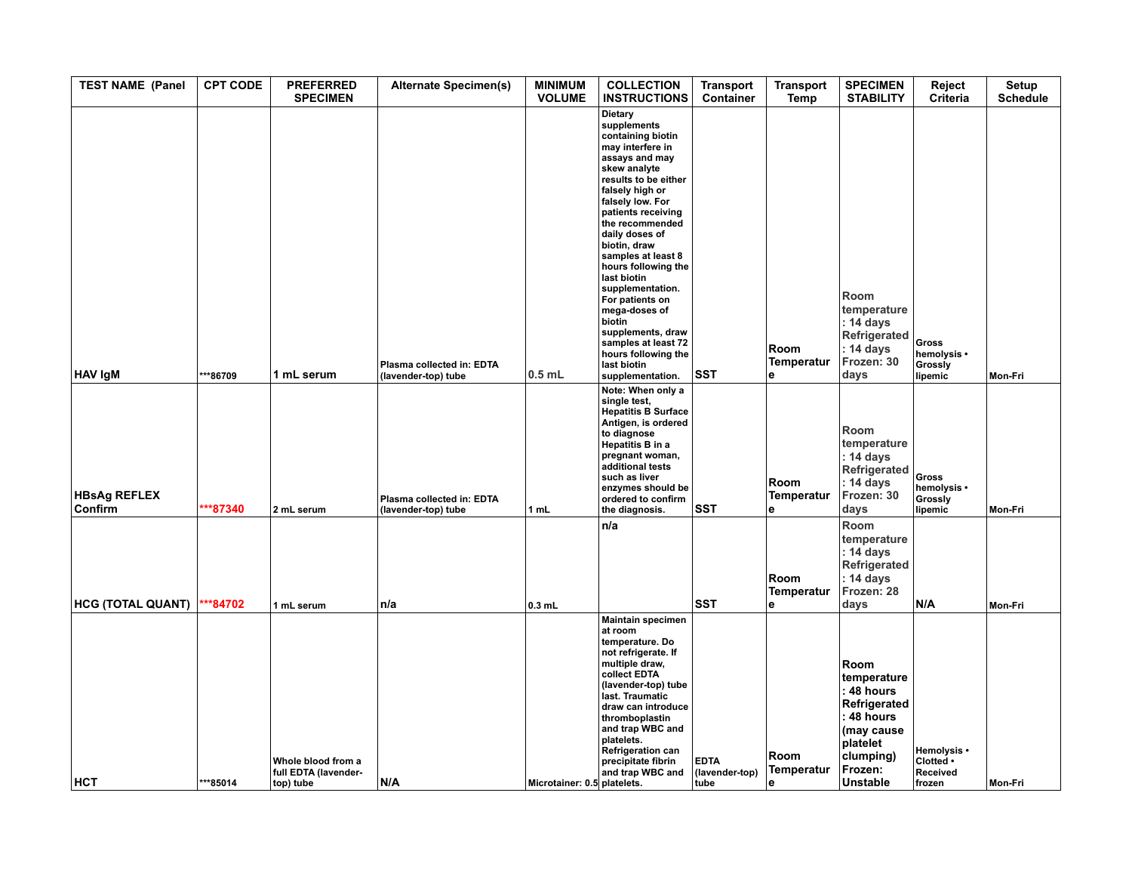| <b>TEST NAME (Panel</b>        | <b>CPT CODE</b> | <b>PREFERRED</b><br><b>SPECIMEN</b>                     | <b>Alternate Specimen(s)</b>                     | <b>MINIMUM</b><br><b>VOLUME</b> | <b>COLLECTION</b><br><b>INSTRUCTIONS</b>                                                                                                                                                                                                                                                                                                                                                                                                                                        | <b>Transport</b><br><b>Container</b>  | <b>Transport</b><br>Temp | <b>SPECIMEN</b><br><b>STABILITY</b>                                                                                                  | Reject<br>Criteria                                | Setup<br><b>Schedule</b> |
|--------------------------------|-----------------|---------------------------------------------------------|--------------------------------------------------|---------------------------------|---------------------------------------------------------------------------------------------------------------------------------------------------------------------------------------------------------------------------------------------------------------------------------------------------------------------------------------------------------------------------------------------------------------------------------------------------------------------------------|---------------------------------------|--------------------------|--------------------------------------------------------------------------------------------------------------------------------------|---------------------------------------------------|--------------------------|
| HAV IgM                        | **86709         | 1 mL serum                                              | Plasma collected in: EDTA<br>(lavender-top) tube | $0.5$ mL                        | Dietary<br>supplements<br>containing biotin<br>may interfere in<br>assays and may<br>skew analyte<br>results to be either<br>falsely high or<br>falsely low. For<br>patients receiving<br>the recommended<br>daily doses of<br>biotin, draw<br>samples at least 8<br>hours following the<br>last biotin<br>supplementation.<br>For patients on<br>mega-doses of<br>biotin<br>supplements, draw<br>samples at least 72<br>hours following the<br>last biotin<br>supplementation. | <b>SST</b>                            | Room<br>Temperatur<br>е  | Room<br>temperature<br>: 14 days<br>Refrigerated<br>: 14 days<br>Frozen: 30<br>days                                                  | <b>Gross</b><br>hemolysis •<br>Grossly<br>lipemic | Mon-Fri                  |
| <b>HBsAg REFLEX</b><br>Confirm | ***87340        | 2 mL serum                                              | Plasma collected in: EDTA<br>(lavender-top) tube | 1 mL                            | Note: When only a<br>single test,<br><b>Hepatitis B Surface</b><br>Antigen, is ordered<br>to diagnose<br>Hepatitis B in a<br>pregnant woman,<br>additional tests<br>such as liver<br>enzymes should be<br>ordered to confirm<br>the diagnosis.                                                                                                                                                                                                                                  | <b>SST</b>                            | Room<br>Temperatur<br>е  | Room<br>temperature<br>: 14 days<br>Refrigerated<br>: 14 days<br>Frozen: 30<br>days                                                  | <b>Gross</b><br>hemolysis •<br>Grossly<br>lipemic | Mon-Fri                  |
| <b>HCG (TOTAL QUANT)</b>       | ***84702        | 1 mL serum                                              | n/a                                              | $0.3$ mL                        | n/a                                                                                                                                                                                                                                                                                                                                                                                                                                                                             | <b>SST</b>                            | Room<br>Temperatur<br>е  | Room<br>temperature<br>: 14 days<br>Refrigerated<br>: 14 days<br>Frozen: 28<br>days                                                  | N/A                                               | Mon-Fri                  |
| <b>HCT</b>                     | ***85014        | Whole blood from a<br>full EDTA (lavender-<br>top) tube | N/A                                              | Microtainer: 0.5 platelets.     | <b>Maintain specimen</b><br>at room<br>temperature. Do<br>not refrigerate. If<br>multiple draw,<br>collect EDTA<br>(lavender-top) tube<br>last. Traumatic<br>draw can introduce<br>thromboplastin<br>and trap WBC and<br>platelets.<br><b>Refrigeration can</b><br>precipitate fibrin<br>and trap WBC and                                                                                                                                                                       | <b>EDTA</b><br>(lavender-top)<br>tube | Room<br>Temperatur<br>e  | Room<br>temperature<br>: 48 hours<br>Refrigerated<br>: 48 hours<br>(may cause<br>platelet<br>clumping)<br>Frozen:<br><b>Unstable</b> | Hemolysis •<br>Clotted .<br>Received<br>frozen    | Mon-Fri                  |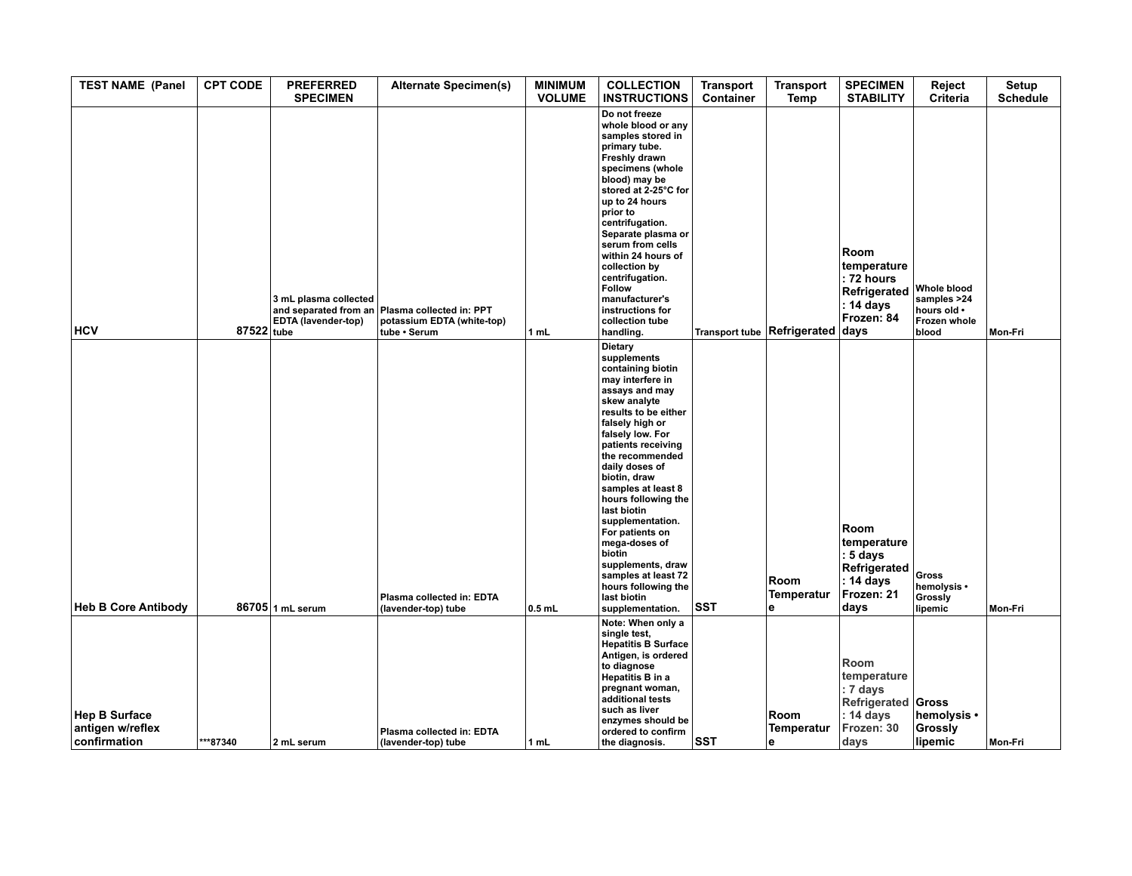| <b>TEST NAME (Panel</b>                                  | <b>CPT CODE</b> | <b>PREFERRED</b><br><b>SPECIMEN</b>          | <b>Alternate Specimen(s)</b>                                                                 | <b>MINIMUM</b><br><b>VOLUME</b> | <b>COLLECTION</b><br><b>INSTRUCTIONS</b>                                                                                                                                                                                                                                                                                                                                                                                                                                               | <b>Transport</b><br>Container | <b>Transport</b><br>Temp                                     | <b>SPECIMEN</b><br><b>STABILITY</b>                                                      | Reject<br><b>Criteria</b>                                                 | Setup<br><b>Schedule</b> |
|----------------------------------------------------------|-----------------|----------------------------------------------|----------------------------------------------------------------------------------------------|---------------------------------|----------------------------------------------------------------------------------------------------------------------------------------------------------------------------------------------------------------------------------------------------------------------------------------------------------------------------------------------------------------------------------------------------------------------------------------------------------------------------------------|-------------------------------|--------------------------------------------------------------|------------------------------------------------------------------------------------------|---------------------------------------------------------------------------|--------------------------|
| <b>HCV</b>                                               | 87522 tube      | 3 mL plasma collected<br>EDTA (lavender-top) | and separated from an Plasma collected in: PPT<br>potassium EDTA (white-top)<br>tube . Serum | 1 mL                            | Do not freeze<br>whole blood or any<br>samples stored in<br>primary tube.<br>Freshly drawn<br>specimens (whole<br>blood) may be<br>stored at 2-25°C for<br>up to 24 hours<br>prior to<br>centrifugation.<br>Separate plasma or<br>serum from cells<br>within 24 hours of<br>collection by<br>centrifugation.<br>Follow<br>manufacturer's<br>instructions for<br>collection tube<br>handling.                                                                                           |                               | $ \textsf{Transformer tube} $ Refrigerated $ \textsf{days} $ | Room<br>temperature<br>: 72 hours<br>Refrigerated<br>: 14 days<br>Frozen: 84             | <b>Whole blood</b><br>samples >24<br>hours old .<br>Frozen whole<br>blood | Mon-Fri                  |
| <b>Heb B Core Antibody</b>                               |                 | 86705 1 mL serum                             | Plasma collected in: EDTA<br>(lavender-top) tube                                             | $0.5$ mL                        | <b>Dietary</b><br>supplements<br>containing biotin<br>may interfere in<br>assays and may<br>skew analyte<br>results to be either<br>falsely high or<br>falsely low. For<br>patients receiving<br>the recommended<br>daily doses of<br>biotin, draw<br>samples at least 8<br>hours following the<br>last biotin<br>supplementation.<br>For patients on<br>mega-doses of<br>biotin<br>supplements, draw<br>samples at least 72<br>hours following the<br>last biotin<br>supplementation. | <b>SST</b>                    | Room<br>Temperatur<br>le.                                    | Room<br>temperature<br>: 5 days<br>Refrigerated<br>: 14 days<br>Frozen: 21<br>days       | Gross<br>hemolysis •<br>Grossly<br>lipemic                                | Mon-Fri                  |
| <b>Hep B Surface</b><br>antigen w/reflex<br>confirmation | ***87340        | 2 mL serum                                   | Plasma collected in: EDTA<br>(lavender-top) tube                                             | 1 mL                            | Note: When only a<br>single test,<br><b>Hepatitis B Surface</b><br>Antigen, is ordered<br>to diagnose<br><b>Hepatitis B in a</b><br>pregnant woman,<br>additional tests<br>such as liver<br>enzymes should be<br>ordered to confirm<br>the diagnosis.                                                                                                                                                                                                                                  | <b>SST</b>                    | Room<br><b>Temperatur</b><br>le.                             | Room<br>temperature<br>: 7 days<br>Refrigerated Gross<br>: 14 days<br>Frozen: 30<br>days | hemolysis •<br>Grossly<br>lipemic                                         | Mon-Fri                  |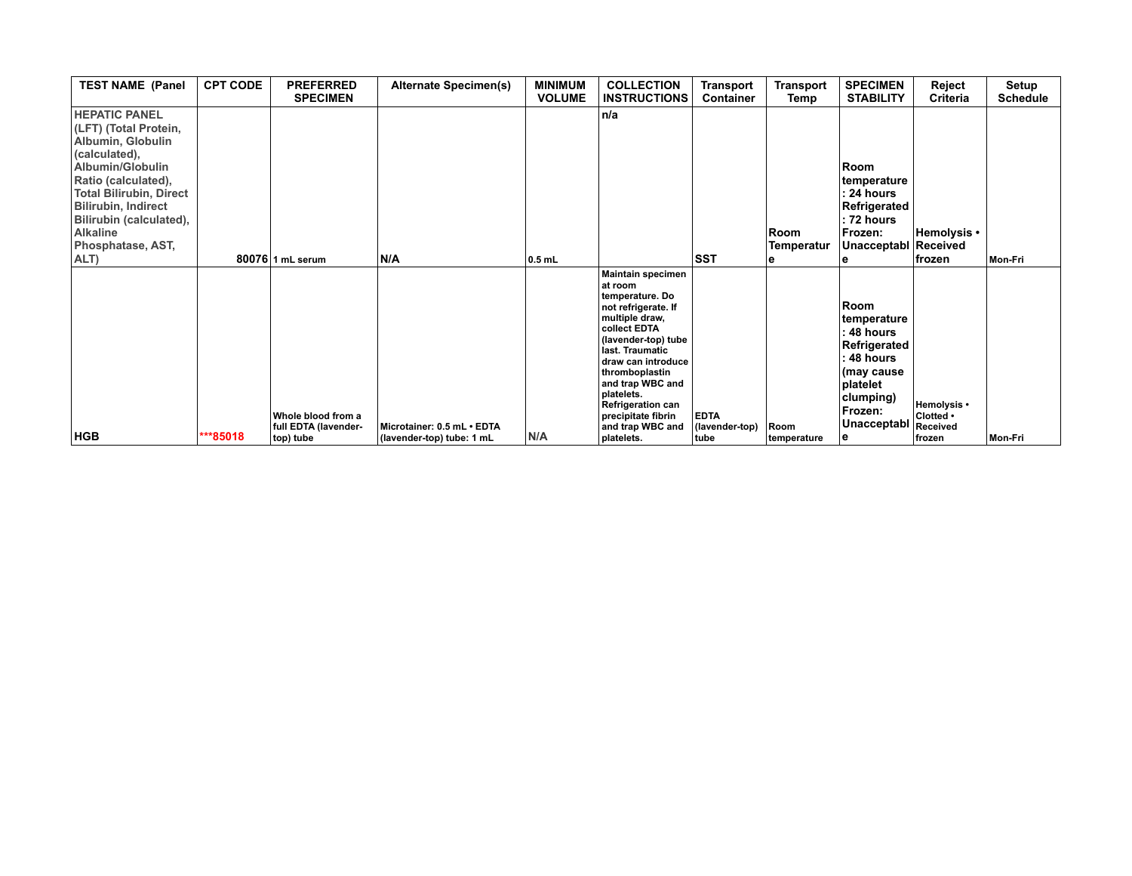| <b>TEST NAME (Panel</b>                                                                                                                                                                                                                                                   | <b>CPT CODE</b> | <b>PREFERRED</b><br><b>SPECIMEN</b>        | <b>Alternate Specimen(s)</b> | <b>MINIMUM</b><br><b>VOLUME</b> | <b>COLLECTION</b><br><b>INSTRUCTIONS</b>                                                                                                                                                                                                                                                                  | Transport<br>Container        | <b>Transport</b><br>Temp | <b>SPECIMEN</b><br><b>STABILITY</b>                                                                                          | Reject<br>Criteria                   | Setup<br><b>Schedule</b> |
|---------------------------------------------------------------------------------------------------------------------------------------------------------------------------------------------------------------------------------------------------------------------------|-----------------|--------------------------------------------|------------------------------|---------------------------------|-----------------------------------------------------------------------------------------------------------------------------------------------------------------------------------------------------------------------------------------------------------------------------------------------------------|-------------------------------|--------------------------|------------------------------------------------------------------------------------------------------------------------------|--------------------------------------|--------------------------|
| <b>HEPATIC PANEL</b><br>(LFT) (Total Protein,<br>Albumin, Globulin<br>(calculated),<br>Albumin/Globulin<br>Ratio (calculated),<br><b>Total Bilirubin, Direct</b><br><b>Bilirubin, Indirect</b><br>Bilirubin (calculated),<br><b>Alkaline</b><br>Phosphatase, AST,<br>ALT) |                 | 80076 1 mL serum                           | N/A                          | $0.5$ mL                        | n/a                                                                                                                                                                                                                                                                                                       | <b>SST</b>                    | Room<br>Temperatur       | Room<br>temperature<br>: 24 hours<br>Refrigerated<br>: 72 hours<br>Frozen:<br>Unacceptabl                                    | Hemolysis •<br>Received<br>∣frozen   | Mon-Fri                  |
| <b>HGB</b>                                                                                                                                                                                                                                                                | ***85018        | Whole blood from a<br>full EDTA (lavender- | Microtainer: 0.5 mL · EDTA   | N/A                             | <b>Maintain specimen</b><br>at room<br>temperature. Do<br>not refrigerate. If<br>multiple draw,<br>collect EDTA<br>(lavender-top) tube<br>last. Traumatic<br>draw can introduce<br>thromboplastin<br>and trap WBC and<br>platelets.<br><b>Refrigeration can</b><br>precipitate fibrin<br>and trap WBC and | <b>EDTA</b><br>(lavender-top) | Room                     | Room<br>temperature<br>48 hours<br>Refrigerated<br>48 hours<br>(may cause<br>platelet<br>clumping)<br>Frozen:<br>Unacceptabl | Hemolysis •<br>Clotted .<br>Received |                          |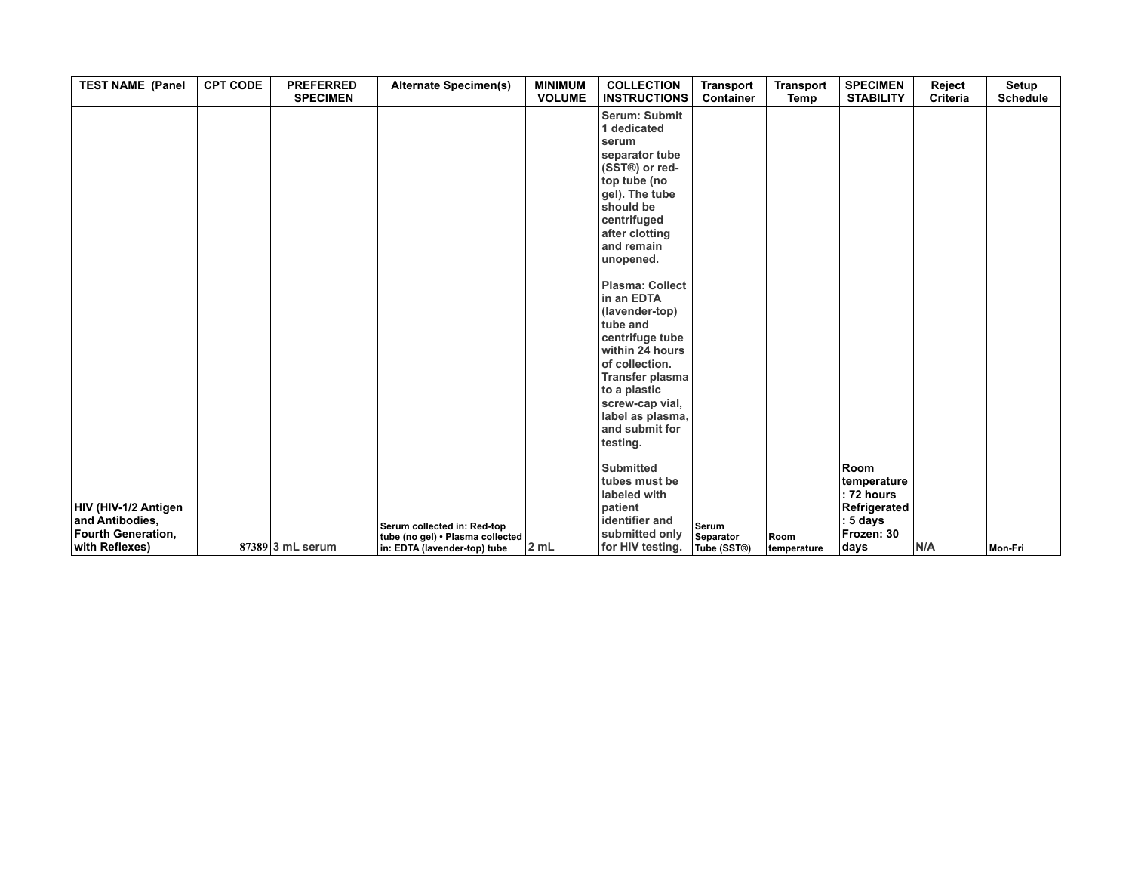| <b>TEST NAME (Panel</b>               | <b>CPT CODE</b> | <b>PREFERRED</b><br><b>SPECIMEN</b> | <b>Alternate Specimen(s)</b>                                     | <b>MINIMUM</b><br><b>VOLUME</b> | <b>COLLECTION</b><br><b>INSTRUCTIONS</b> | <b>Transport</b><br>Container | <b>Transport</b><br>Temp | <b>SPECIMEN</b><br><b>STABILITY</b> | Reject<br>Criteria | Setup<br><b>Schedule</b> |
|---------------------------------------|-----------------|-------------------------------------|------------------------------------------------------------------|---------------------------------|------------------------------------------|-------------------------------|--------------------------|-------------------------------------|--------------------|--------------------------|
|                                       |                 |                                     |                                                                  |                                 | Serum: Submit<br>1 dedicated             |                               |                          |                                     |                    |                          |
|                                       |                 |                                     |                                                                  |                                 | serum                                    |                               |                          |                                     |                    |                          |
|                                       |                 |                                     |                                                                  |                                 | separator tube                           |                               |                          |                                     |                    |                          |
|                                       |                 |                                     |                                                                  |                                 | (SST®) or red-                           |                               |                          |                                     |                    |                          |
|                                       |                 |                                     |                                                                  |                                 | top tube (no                             |                               |                          |                                     |                    |                          |
|                                       |                 |                                     |                                                                  |                                 | gel). The tube                           |                               |                          |                                     |                    |                          |
|                                       |                 |                                     |                                                                  |                                 | should be                                |                               |                          |                                     |                    |                          |
|                                       |                 |                                     |                                                                  |                                 | centrifuged                              |                               |                          |                                     |                    |                          |
|                                       |                 |                                     |                                                                  |                                 | after clotting<br>and remain             |                               |                          |                                     |                    |                          |
|                                       |                 |                                     |                                                                  |                                 | unopened.                                |                               |                          |                                     |                    |                          |
|                                       |                 |                                     |                                                                  |                                 |                                          |                               |                          |                                     |                    |                          |
|                                       |                 |                                     |                                                                  |                                 | <b>Plasma: Collect</b>                   |                               |                          |                                     |                    |                          |
|                                       |                 |                                     |                                                                  |                                 | in an EDTA                               |                               |                          |                                     |                    |                          |
|                                       |                 |                                     |                                                                  |                                 | (lavender-top)                           |                               |                          |                                     |                    |                          |
|                                       |                 |                                     |                                                                  |                                 | tube and                                 |                               |                          |                                     |                    |                          |
|                                       |                 |                                     |                                                                  |                                 | centrifuge tube<br>within 24 hours       |                               |                          |                                     |                    |                          |
|                                       |                 |                                     |                                                                  |                                 | of collection.                           |                               |                          |                                     |                    |                          |
|                                       |                 |                                     |                                                                  |                                 | Transfer plasma                          |                               |                          |                                     |                    |                          |
|                                       |                 |                                     |                                                                  |                                 | to a plastic                             |                               |                          |                                     |                    |                          |
|                                       |                 |                                     |                                                                  |                                 | screw-cap vial,                          |                               |                          |                                     |                    |                          |
|                                       |                 |                                     |                                                                  |                                 | label as plasma,                         |                               |                          |                                     |                    |                          |
|                                       |                 |                                     |                                                                  |                                 | and submit for                           |                               |                          |                                     |                    |                          |
|                                       |                 |                                     |                                                                  |                                 | testing.                                 |                               |                          |                                     |                    |                          |
|                                       |                 |                                     |                                                                  |                                 | <b>Submitted</b>                         |                               |                          | <b>Room</b>                         |                    |                          |
|                                       |                 |                                     |                                                                  |                                 | tubes must be                            |                               |                          | temperature                         |                    |                          |
|                                       |                 |                                     |                                                                  |                                 | labeled with                             |                               |                          | : 72 hours                          |                    |                          |
| HIV (HIV-1/2 Antigen                  |                 |                                     |                                                                  |                                 | patient                                  |                               |                          | Refrigerated                        |                    |                          |
| and Antibodies,<br>Fourth Generation, |                 |                                     | Serum collected in: Red-top                                      |                                 | identifier and<br>submitted only         | Serum                         |                          | : 5 days<br>Frozen: 30              |                    |                          |
| with Reflexes)                        |                 | $87389$ 3 mL serum                  | tube (no gel) . Plasma collected<br>in: EDTA (lavender-top) tube | 2 mL                            | for HIV testing.                         | Separator<br>Tube (SST®)      | Room<br>temperature      | days                                | N/A                | Mon-Fri                  |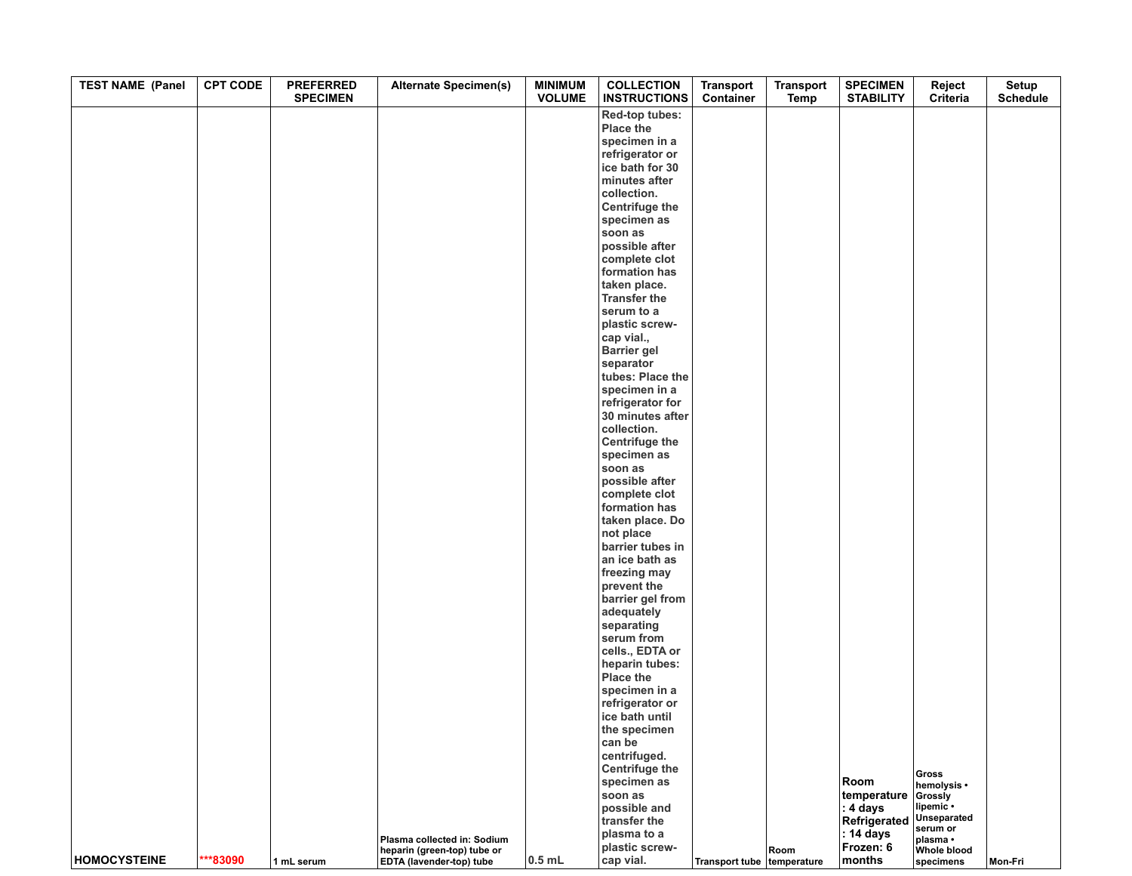| <b>TEST NAME (Panel</b> | <b>CPT CODE</b> | <b>PREFERRED</b><br><b>SPECIMEN</b> | <b>Alternate Specimen(s)</b>    | <b>MINIMUM</b><br><b>VOLUME</b> | <b>COLLECTION</b><br><b>INSTRUCTIONS</b> | <b>Transport</b><br>Container | <b>Transport</b><br>Temp | <b>SPECIMEN</b><br><b>STABILITY</b> | Reject<br>Criteria          | Setup<br><b>Schedule</b> |
|-------------------------|-----------------|-------------------------------------|---------------------------------|---------------------------------|------------------------------------------|-------------------------------|--------------------------|-------------------------------------|-----------------------------|--------------------------|
|                         |                 |                                     |                                 |                                 | Red-top tubes:                           |                               |                          |                                     |                             |                          |
|                         |                 |                                     |                                 |                                 | Place the                                |                               |                          |                                     |                             |                          |
|                         |                 |                                     |                                 |                                 | specimen in a                            |                               |                          |                                     |                             |                          |
|                         |                 |                                     |                                 |                                 | refrigerator or                          |                               |                          |                                     |                             |                          |
|                         |                 |                                     |                                 |                                 | ice bath for 30                          |                               |                          |                                     |                             |                          |
|                         |                 |                                     |                                 |                                 | minutes after<br>collection.             |                               |                          |                                     |                             |                          |
|                         |                 |                                     |                                 |                                 | <b>Centrifuge the</b>                    |                               |                          |                                     |                             |                          |
|                         |                 |                                     |                                 |                                 | specimen as                              |                               |                          |                                     |                             |                          |
|                         |                 |                                     |                                 |                                 | soon as                                  |                               |                          |                                     |                             |                          |
|                         |                 |                                     |                                 |                                 | possible after                           |                               |                          |                                     |                             |                          |
|                         |                 |                                     |                                 |                                 | complete clot                            |                               |                          |                                     |                             |                          |
|                         |                 |                                     |                                 |                                 | formation has                            |                               |                          |                                     |                             |                          |
|                         |                 |                                     |                                 |                                 | taken place.                             |                               |                          |                                     |                             |                          |
|                         |                 |                                     |                                 |                                 | <b>Transfer the</b><br>serum to a        |                               |                          |                                     |                             |                          |
|                         |                 |                                     |                                 |                                 | plastic screw-                           |                               |                          |                                     |                             |                          |
|                         |                 |                                     |                                 |                                 | cap vial.,                               |                               |                          |                                     |                             |                          |
|                         |                 |                                     |                                 |                                 | <b>Barrier gel</b>                       |                               |                          |                                     |                             |                          |
|                         |                 |                                     |                                 |                                 | separator                                |                               |                          |                                     |                             |                          |
|                         |                 |                                     |                                 |                                 | tubes: Place the                         |                               |                          |                                     |                             |                          |
|                         |                 |                                     |                                 |                                 | specimen in a                            |                               |                          |                                     |                             |                          |
|                         |                 |                                     |                                 |                                 | refrigerator for                         |                               |                          |                                     |                             |                          |
|                         |                 |                                     |                                 |                                 | 30 minutes after<br>collection.          |                               |                          |                                     |                             |                          |
|                         |                 |                                     |                                 |                                 | <b>Centrifuge the</b>                    |                               |                          |                                     |                             |                          |
|                         |                 |                                     |                                 |                                 | specimen as                              |                               |                          |                                     |                             |                          |
|                         |                 |                                     |                                 |                                 | soon as                                  |                               |                          |                                     |                             |                          |
|                         |                 |                                     |                                 |                                 | possible after                           |                               |                          |                                     |                             |                          |
|                         |                 |                                     |                                 |                                 | complete clot                            |                               |                          |                                     |                             |                          |
|                         |                 |                                     |                                 |                                 | formation has                            |                               |                          |                                     |                             |                          |
|                         |                 |                                     |                                 |                                 | taken place. Do<br>not place             |                               |                          |                                     |                             |                          |
|                         |                 |                                     |                                 |                                 | barrier tubes in                         |                               |                          |                                     |                             |                          |
|                         |                 |                                     |                                 |                                 | an ice bath as                           |                               |                          |                                     |                             |                          |
|                         |                 |                                     |                                 |                                 | freezing may                             |                               |                          |                                     |                             |                          |
|                         |                 |                                     |                                 |                                 | prevent the                              |                               |                          |                                     |                             |                          |
|                         |                 |                                     |                                 |                                 | barrier gel from                         |                               |                          |                                     |                             |                          |
|                         |                 |                                     |                                 |                                 | adequately                               |                               |                          |                                     |                             |                          |
|                         |                 |                                     |                                 |                                 | separating<br>serum from                 |                               |                          |                                     |                             |                          |
|                         |                 |                                     |                                 |                                 | cells., EDTA or                          |                               |                          |                                     |                             |                          |
|                         |                 |                                     |                                 |                                 | heparin tubes:                           |                               |                          |                                     |                             |                          |
|                         |                 |                                     |                                 |                                 | Place the                                |                               |                          |                                     |                             |                          |
|                         |                 |                                     |                                 |                                 | specimen in a                            |                               |                          |                                     |                             |                          |
|                         |                 |                                     |                                 |                                 | refrigerator or                          |                               |                          |                                     |                             |                          |
|                         |                 |                                     |                                 |                                 | ice bath until                           |                               |                          |                                     |                             |                          |
|                         |                 |                                     |                                 |                                 | the specimen                             |                               |                          |                                     |                             |                          |
|                         |                 |                                     |                                 |                                 | can be<br>centrifuged.                   |                               |                          |                                     |                             |                          |
|                         |                 |                                     |                                 |                                 | Centrifuge the                           |                               |                          |                                     |                             |                          |
|                         |                 |                                     |                                 |                                 | specimen as                              |                               |                          | Room                                | <b>Gross</b><br>hemolysis • |                          |
|                         |                 |                                     |                                 |                                 | soon as                                  |                               |                          | temperature                         | Grossly                     |                          |
|                         |                 |                                     |                                 |                                 | possible and                             |                               |                          | : 4 days                            | lipemic ·                   |                          |
|                         |                 |                                     |                                 |                                 | transfer the                             |                               |                          | Refrigerated                        | Unseparated<br>serum or     |                          |
|                         |                 |                                     | Plasma collected in: Sodium     |                                 | plasma to a                              |                               |                          | : 14 days                           | plasma •                    |                          |
| <b>HOMOCYSTEINE</b>     | ***83090        |                                     | heparin (green-top) tube or     | $0.5$ mL                        | plastic screw-<br>cap vial.              |                               | Room                     | Frozen: 6                           | <b>Whole blood</b>          |                          |
|                         |                 | 1 mL serum                          | <b>EDTA</b> (lavender-top) tube |                                 |                                          | Transport tube temperature    |                          | months                              | specimens                   | <b>Mon-Fri</b>           |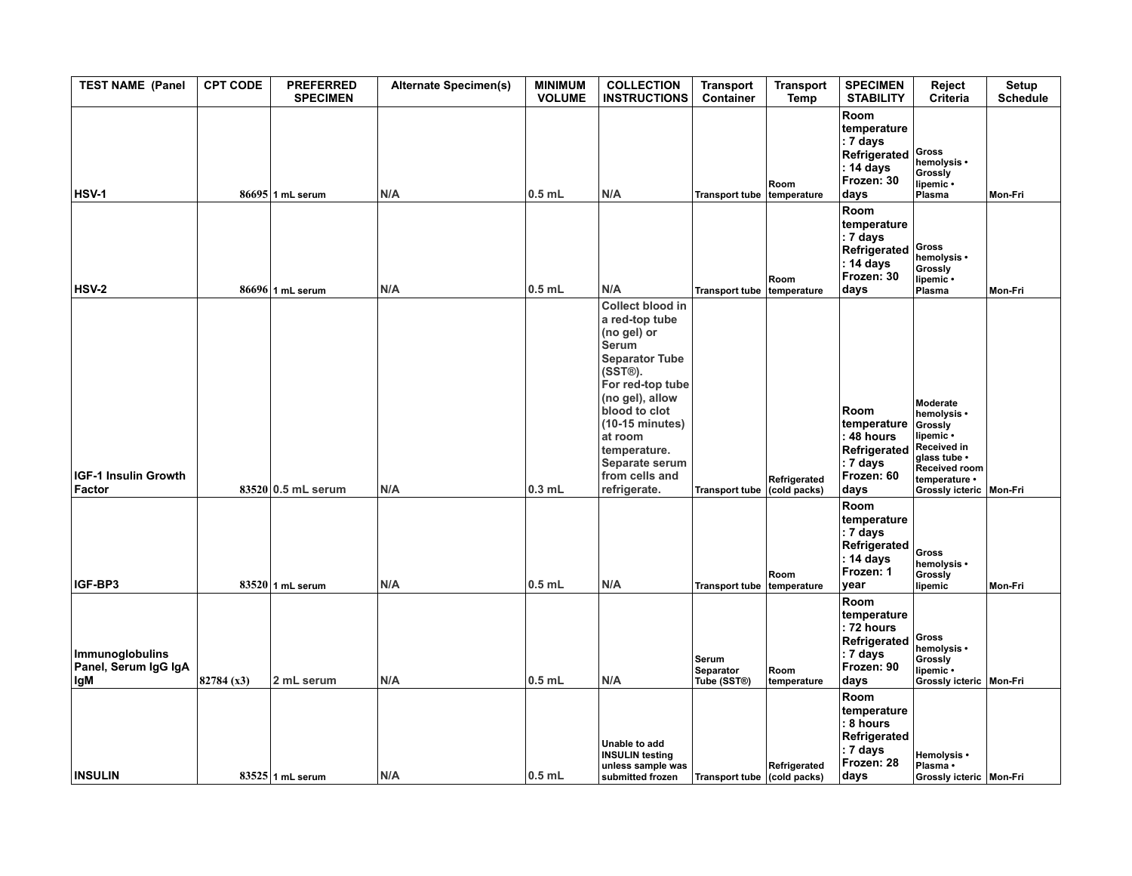| <b>TEST NAME (Panel</b>                               | <b>CPT CODE</b> | <b>PREFERRED</b><br><b>SPECIMEN</b> | <b>Alternate Specimen(s)</b> | <b>MINIMUM</b><br><b>VOLUME</b> | <b>COLLECTION</b><br><b>INSTRUCTIONS</b>                                                                                                                                                                                                                                  | <b>Transport</b><br>Container     | <b>Transport</b><br>Temp     | <b>SPECIMEN</b><br><b>STABILITY</b>                                                               | Reject<br>Criteria                                                                                                                                   | Setup<br><b>Schedule</b> |
|-------------------------------------------------------|-----------------|-------------------------------------|------------------------------|---------------------------------|---------------------------------------------------------------------------------------------------------------------------------------------------------------------------------------------------------------------------------------------------------------------------|-----------------------------------|------------------------------|---------------------------------------------------------------------------------------------------|------------------------------------------------------------------------------------------------------------------------------------------------------|--------------------------|
| <b>HSV-1</b>                                          |                 | $86695$ 1 mL serum                  | N/A                          | $0.5$ mL                        | N/A                                                                                                                                                                                                                                                                       | Transport tube temperature        | Room                         | Room<br>temperature<br>$: 7$ days<br>Refrigerated<br>$\vert$ : 14 days<br>Frozen: 30<br>days      | Gross<br>hemolysis •<br>Grossly<br>lipemic •<br>Plasma                                                                                               | Mon-Fri                  |
| <b>HSV-2</b>                                          |                 | 86696 1 mL serum                    | N/A                          | $0.5$ mL                        | N/A                                                                                                                                                                                                                                                                       | Transport tube temperature        | Room                         | Room<br>temperature<br>$: 7$ days<br>Refrigerated<br>: 14 days<br>Frozen: 30<br>days              | <b>Gross</b><br>hemolysis •<br>Grossly<br>lipemic •<br>Plasma                                                                                        | Mon-Fri                  |
| IGF-1 Insulin Growth<br>Factor                        |                 | 83520 0.5 mL serum                  | N/A                          | $0.3$ mL                        | <b>Collect blood in</b><br>a red-top tube<br>(no gel) or<br>Serum<br><b>Separator Tube</b><br>(SST®).<br>For red-top tube<br>(no gel), allow<br>blood to clot<br>$(10-15 \text{ minutes})$<br>at room<br>temperature.<br>Separate serum<br>from cells and<br>refrigerate. | <b>Transport tube</b>             | Refrigerated<br>(cold packs) | Room<br>temperature<br>: 48 hours<br>Refrigerated<br>$ :7$ days<br>Frozen: 60<br>days             | Moderate<br>hemolysis •<br>Grossly<br>lipemic •<br>Received in<br>glass tube .<br><b>Received room</b><br>temperature •<br>Grossly icteric   Mon-Fri |                          |
| IGF-BP3                                               |                 | $83520$ 1 mL serum                  | N/A                          | $0.5$ mL                        | N/A                                                                                                                                                                                                                                                                       | <b>Transport tube</b>             | Room<br>temperature          | Room<br>temperature<br>$\vert$ : 7 days<br>Refrigerated<br>$\vert$ : 14 days<br>Frozen: 1<br>vear | <b>Gross</b><br>hemolysis •<br>Grossly<br>lipemic                                                                                                    | Mon-Fri                  |
| <b>Immunoglobulins</b><br>Panel, Serum IgG IgA<br>lgM | 82784 (x3)      | 2 mL serum                          | N/A                          | $0.5$ mL                        | N/A                                                                                                                                                                                                                                                                       | Serum<br>Separator<br>Tube (SST®) | Room<br>temperature          | Room<br>temperature<br>: 72 hours<br>Refrigerated<br>$\vert$ : 7 days<br>Frozen: 90<br>days       | <b>Gross</b><br>hemolysis •<br>Grossly<br>lipemic •<br>Grossly icteric   Mon-Fri                                                                     |                          |
| <b>INSULIN</b>                                        |                 | 83525 1 mL serum                    | N/A                          | $0.5$ mL                        | Unable to add<br><b>INSULIN</b> testing<br>unless sample was<br>submitted frozen                                                                                                                                                                                          | Transport tube (cold packs)       | Refrigerated                 | Room<br>temperature<br>: 8 hours<br>Refrigerated<br>$ : 7 \text{ days} $<br>Frozen: 28<br> days   | Hemolysis •<br>Plasma •<br>Grossly icteric   Mon-Fri                                                                                                 |                          |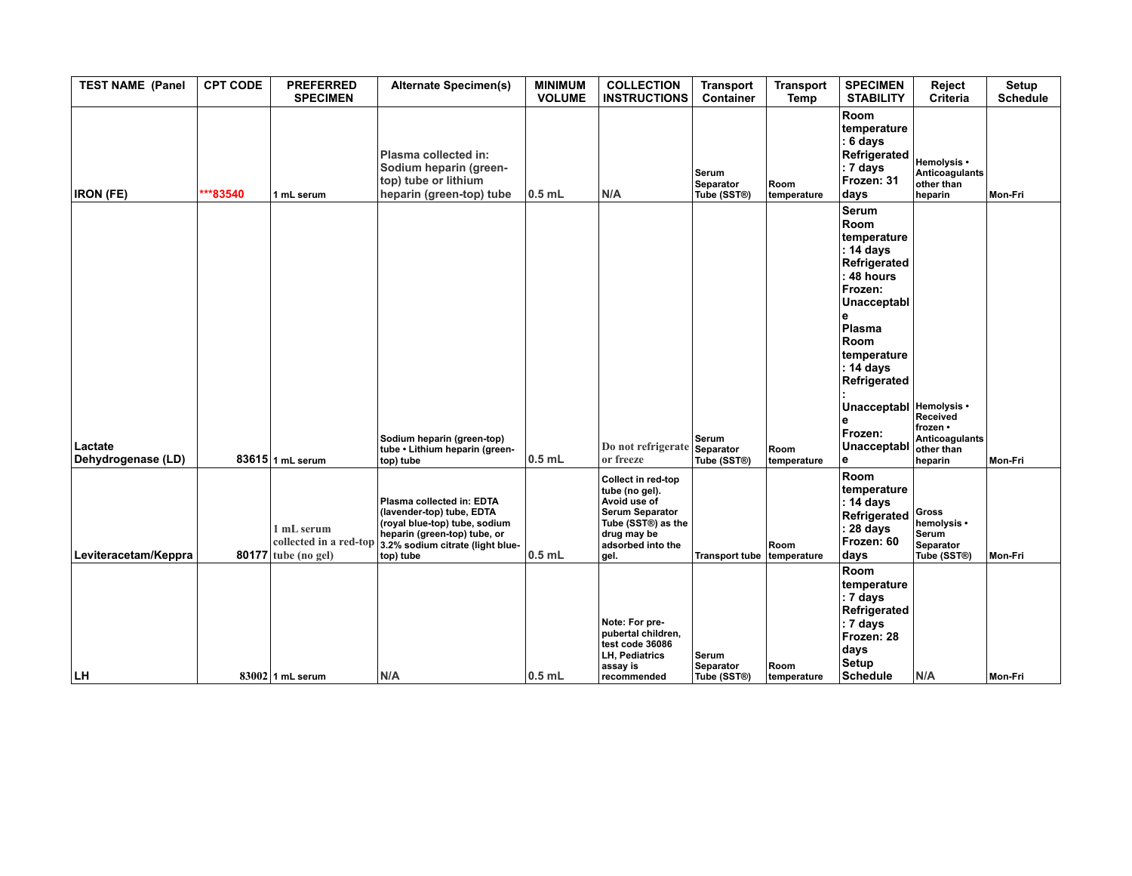| <b>TEST NAME (Panel</b>       | <b>CPT CODE</b> | <b>PREFERRED</b><br><b>SPECIMEN</b> | <b>Alternate Specimen(s)</b>                                                                                                                                                                    | <b>MINIMUM</b><br><b>VOLUME</b> | <b>COLLECTION</b><br><b>INSTRUCTIONS</b>                                                                                                         | <b>Transport</b><br>Container            | <b>Transport</b><br>Temp | <b>SPECIMEN</b><br><b>STABILITY</b>                                                                                                                                                                                                 | Reject<br><b>Criteria</b>                                              | Setup<br><b>Schedule</b> |
|-------------------------------|-----------------|-------------------------------------|-------------------------------------------------------------------------------------------------------------------------------------------------------------------------------------------------|---------------------------------|--------------------------------------------------------------------------------------------------------------------------------------------------|------------------------------------------|--------------------------|-------------------------------------------------------------------------------------------------------------------------------------------------------------------------------------------------------------------------------------|------------------------------------------------------------------------|--------------------------|
| <b>IRON (FE)</b>              | ***83540        | 1 mL serum                          | Plasma collected in:<br>Sodium heparin (green-<br>top) tube or lithium<br>heparin (green-top) tube                                                                                              | $0.5$ mL                        | N/A                                                                                                                                              | Serum<br><b>Separator</b><br>Tube (SST®) | Room<br>temperature      | Room<br>temperature<br>6 days<br>Refrigerated<br>: 7 days<br>Frozen: 31<br>days                                                                                                                                                     | Hemolysis •<br><b>Anticoagulants</b><br>other than<br>heparin          | Mon-Fri                  |
| Lactate<br>Dehydrogenase (LD) |                 | 83615 1 mL serum                    | Sodium heparin (green-top)<br>tube • Lithium heparin (green-<br>top) tube                                                                                                                       | $0.5$ mL                        | Do not refrigerate Separator<br>or freeze                                                                                                        | Serum<br>Tube (SST®)                     | Room<br>temperature      | Serum<br><b>Room</b><br>temperature<br>: 14 days<br>Refrigerated<br>48 hours<br>Frozen:<br>Unacceptabl<br>e<br>Plasma<br>Room<br>temperature<br>: 14 days<br>Refrigerated<br>Unacceptabl Hemolysis .<br>Frozen:<br>Unacceptabl<br>e | Received<br>frozen •<br><b>Anticoagulants</b><br>other than<br>heparin | Mon-Fri                  |
| Leviteracetam/Keppra          |                 | 1 mL serum<br>$80177$ tube (no gel) | Plasma collected in: EDTA<br>(lavender-top) tube, EDTA<br>(royal blue-top) tube, sodium<br>heparin (green-top) tube, or<br>collected in a red-top 3.2% sodium citrate (light blue-<br>top) tube | $0.5$ mL                        | Collect in red-top<br>tube (no gel).<br>Avoid use of<br><b>Serum Separator</b><br>Tube (SST®) as the<br>drug may be<br>adsorbed into the<br>gel. | <b>Transport tube</b>                    | Room<br>temperature      | Room<br>temperature<br>: 14 days<br>Refrigerated<br>: 28 days<br>Frozen: 60<br>days                                                                                                                                                 | Gross<br>hemolysis •<br><b>Serum</b><br>Separator<br>Tube (SST®)       | Mon-Fri                  |
| LH                            |                 | $83002$ 1 mL serum                  | N/A                                                                                                                                                                                             | $0.5$ mL                        | Note: For pre-<br>pubertal children,<br>test code 36086<br>LH, Pediatrics<br>assay is<br>recommended                                             | Serum<br>Separator<br>Tube (SST®)        | Room<br>temperature      | Room<br>temperature<br>: 7 days<br>Refrigerated<br>: 7 days<br>Frozen: 28<br>days<br><b>Setup</b><br><b>Schedule</b>                                                                                                                | N/A                                                                    | Mon-Fri                  |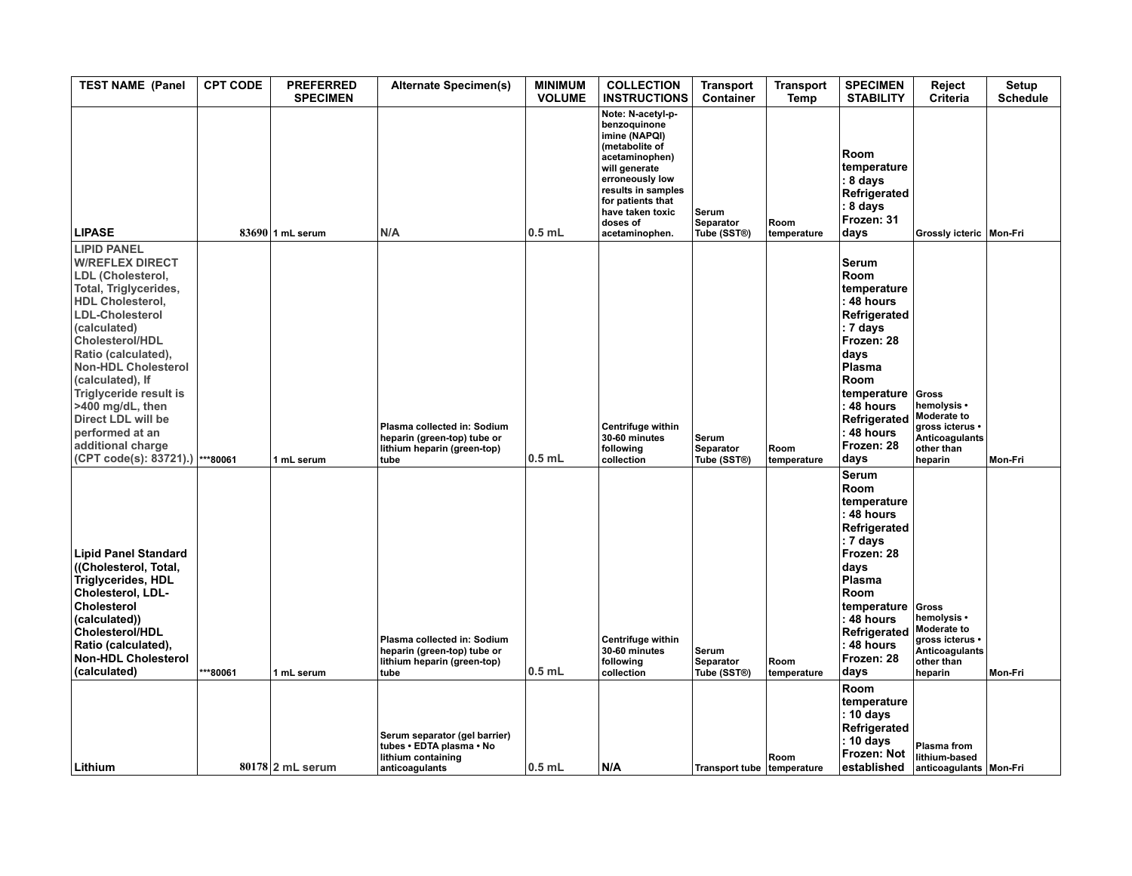| <b>TEST NAME (Panel</b>                                                                                                                                                                                                                                                                                                                                                                                         | <b>CPT CODE</b> | <b>PREFERRED</b><br><b>SPECIMEN</b> | <b>Alternate Specimen(s)</b>                                                                      | <b>MINIMUM</b><br><b>VOLUME</b> | <b>COLLECTION</b><br><b>INSTRUCTIONS</b>                                                                                                                                                                                | <b>Transport</b><br>Container            | <b>Transport</b><br>Temp | <b>SPECIMEN</b><br><b>STABILITY</b>                                                                                                                                                                           | Reject<br><b>Criteria</b>                                                                         | Setup<br><b>Schedule</b> |
|-----------------------------------------------------------------------------------------------------------------------------------------------------------------------------------------------------------------------------------------------------------------------------------------------------------------------------------------------------------------------------------------------------------------|-----------------|-------------------------------------|---------------------------------------------------------------------------------------------------|---------------------------------|-------------------------------------------------------------------------------------------------------------------------------------------------------------------------------------------------------------------------|------------------------------------------|--------------------------|---------------------------------------------------------------------------------------------------------------------------------------------------------------------------------------------------------------|---------------------------------------------------------------------------------------------------|--------------------------|
| <b>LIPASE</b>                                                                                                                                                                                                                                                                                                                                                                                                   |                 | 83690 1 mL serum                    | N/A                                                                                               | $0.5$ mL                        | Note: N-acetyl-p-<br>benzoquinone<br>imine (NAPQI)<br>(metabolite of<br>acetaminophen)<br>will generate<br>erroneously low<br>results in samples<br>for patients that<br>have taken toxic<br>doses of<br>acetaminophen. | Serum<br><b>Separator</b><br>Tube (SST®) | Room<br>temperature      | Room<br>temperature<br>: 8 days<br>Refrigerated<br>8 days<br>Frozen: 31<br>days                                                                                                                               | Grossly icteric   Mon-Fri                                                                         |                          |
| <b>LIPID PANEL</b><br><b>W/REFLEX DIRECT</b><br>LDL (Cholesterol,<br>Total, Triglycerides,<br><b>HDL Cholesterol,</b><br><b>LDL-Cholesterol</b><br>(calculated)<br><b>Cholesterol/HDL</b><br>Ratio (calculated),<br><b>Non-HDL Cholesterol</b><br>(calculated), If<br><b>Triglyceride result is</b><br>>400 mg/dL, then<br>Direct LDL will be<br>performed at an<br>additional charge<br>(CPT code(s): 83721).) | ***80061        | 1 mL serum                          | Plasma collected in: Sodium<br>heparin (green-top) tube or<br>lithium heparin (green-top)<br>tube | $0.5$ mL                        | <b>Centrifuge within</b><br>30-60 minutes<br>following<br>collection                                                                                                                                                    | Serum<br>Separator<br>Tube (SST®)        | Room<br>temperature      | <b>Serum</b><br><b>Room</b><br>temperature<br>: 48 hours<br>Refrigerated<br>: 7 days<br>Frozen: 28<br>days<br>Plasma<br>Room<br>temperature<br>: 48 hours<br>Refrigerated<br>: 48 hours<br>Frozen: 28<br>days | Gross<br>hemolysis •<br>Moderate to<br>gross icterus •<br>Anticoagulants<br>other than<br>heparin | Mon-Fri                  |
| <b>Lipid Panel Standard</b><br>((Cholesterol, Total,<br>Triglycerides, HDL<br>Cholesterol, LDL-<br>Cholesterol<br>(calculated))<br><b>Cholesterol/HDL</b><br>Ratio (calculated),<br><b>Non-HDL Cholesterol</b><br>(calculated)                                                                                                                                                                                  | ***80061        | 1 mL serum                          | Plasma collected in: Sodium<br>heparin (green-top) tube or<br>lithium heparin (green-top)<br>tube | $0.5$ mL                        | Centrifuge within<br>30-60 minutes<br>following<br>collection                                                                                                                                                           | Serum<br><b>Separator</b><br>Tube (SST®) | Room<br>temperature      | <b>Serum</b><br>Room<br>temperature<br>: 48 hours<br>Refrigerated<br>: 7 days<br>Frozen: 28<br>days<br>Plasma<br>Room<br>temperature<br>: 48 hours<br>Refrigerated<br>48 hours<br>Frozen: 28<br>days          | Gross<br>hemolysis •<br>Moderate to<br>gross icterus •<br>Anticoagulants<br>other than<br>heparin | Mon-Fri                  |
| Lithium                                                                                                                                                                                                                                                                                                                                                                                                         |                 | $80178$ 2 mL serum                  | Serum separator (gel barrier)<br>tubes · EDTA plasma · No<br>lithium containing<br>anticoagulants | $0.5$ mL                        | N/A                                                                                                                                                                                                                     | Transport tube temperature               | Room                     | <b>Room</b><br>temperature<br>: 10 days<br>Refrigerated<br>: 10 days<br>Frozen: Not<br>established                                                                                                            | <b>Plasma from</b><br>lithium-based<br>anticoagulants Mon-Fri                                     |                          |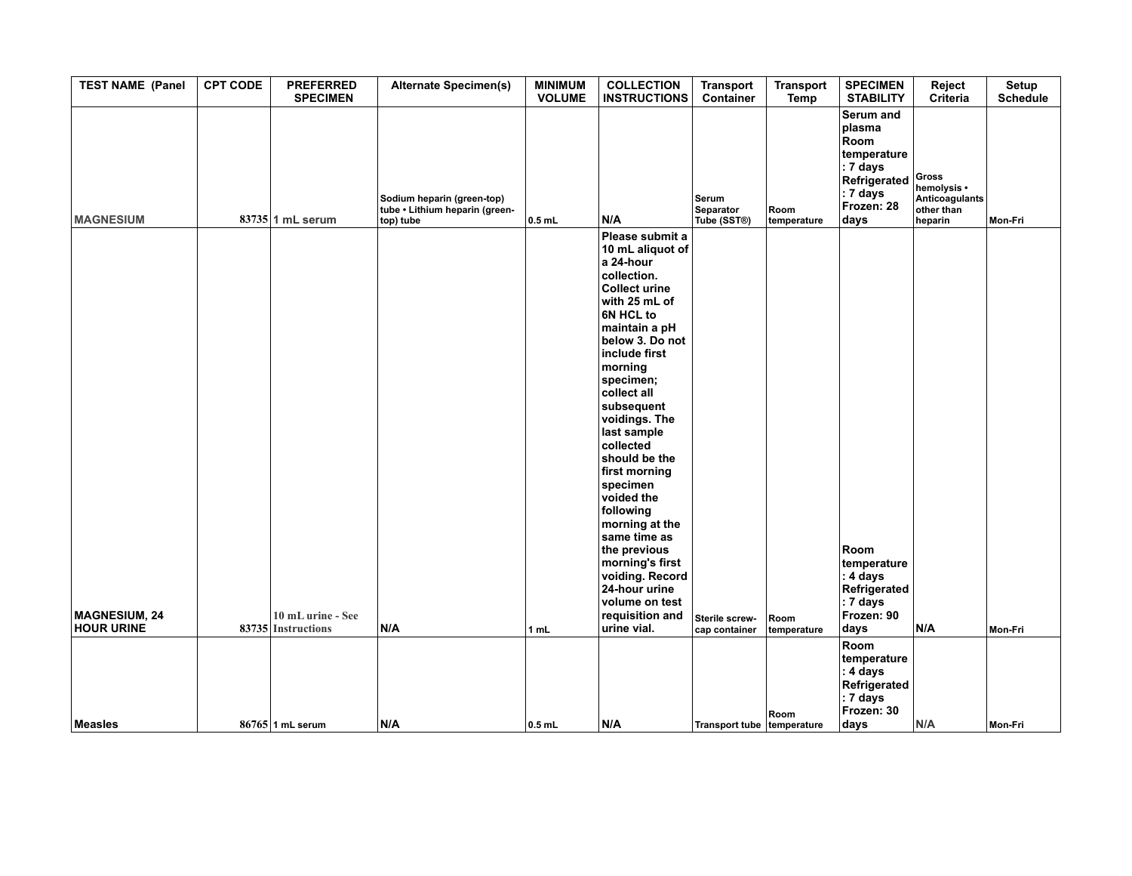| <b>TEST NAME (Panel</b>                   | <b>CPT CODE</b> | <b>PREFERRED</b><br><b>SPECIMEN</b>     | <b>Alternate Specimen(s)</b>                                              | <b>MINIMUM</b><br><b>VOLUME</b> | <b>COLLECTION</b><br><b>INSTRUCTIONS</b>                                                                                                                                                                                                                                                                                                                                                                                                                                                                           | <b>Transport</b><br>Container     | <b>Transport</b><br><b>Temp</b> | <b>SPECIMEN</b><br><b>STABILITY</b>                                                                                 | Reject<br>Criteria                                              | Setup<br>Schedule |
|-------------------------------------------|-----------------|-----------------------------------------|---------------------------------------------------------------------------|---------------------------------|--------------------------------------------------------------------------------------------------------------------------------------------------------------------------------------------------------------------------------------------------------------------------------------------------------------------------------------------------------------------------------------------------------------------------------------------------------------------------------------------------------------------|-----------------------------------|---------------------------------|---------------------------------------------------------------------------------------------------------------------|-----------------------------------------------------------------|-------------------|
| <b>MAGNESIUM</b>                          |                 | $83735$ 1 mL serum                      | Sodium heparin (green-top)<br>tube . Lithium heparin (green-<br>top) tube | $0.5$ mL                        | N/A                                                                                                                                                                                                                                                                                                                                                                                                                                                                                                                | Serum<br>Separator<br>Tube (SST®) | Room<br>temperature             | Serum and<br>plasma<br>Room<br>temperature<br>$ : 7$ days<br>Refrigerated<br>$\vert$ : 7 days<br>Frozen: 28<br>days | Gross<br>hemolysis •<br>Anticoagulants<br>other than<br>heparin | <b>Mon-Fri</b>    |
| <b>MAGNESIUM, 24</b><br><b>HOUR URINE</b> |                 | 10 mL urine - See<br>83735 Instructions | N/A                                                                       | 1 mL                            | Please submit a<br>10 mL aliquot of<br>a 24-hour<br>collection.<br><b>Collect urine</b><br>with 25 mL of<br>6N HCL to<br>maintain a pH<br>below 3. Do not<br>include first<br>morning<br>specimen;<br>collect all<br>subsequent<br>voidings. The<br>last sample<br>collected<br>should be the<br>first morning<br>specimen<br>voided the<br>following<br>morning at the<br>same time as<br>the previous<br>morning's first<br>voiding. Record<br>24-hour urine<br>volume on test<br>requisition and<br>urine vial. | Sterile screw-<br>cap container   | Room<br>temperature             | Room<br>temperature<br>$\vert$ : 4 days<br>Refrigerated<br>$ : 7 \text{ days} $<br>Frozen: 90<br>days               | N/A                                                             | Mon-Fri           |
|                                           |                 |                                         |                                                                           |                                 |                                                                                                                                                                                                                                                                                                                                                                                                                                                                                                                    |                                   |                                 | Room<br>temperature<br>∣: 4 days<br>Refrigerated<br>$ : 7$ days<br>Frozen: 30                                       |                                                                 |                   |
| Measles                                   |                 | $86765$ 1 mL serum                      | N/A                                                                       | $0.5$ mL                        | N/A                                                                                                                                                                                                                                                                                                                                                                                                                                                                                                                | Transport tube temperature        | Room                            | days                                                                                                                | N/A                                                             | Mon-Fri           |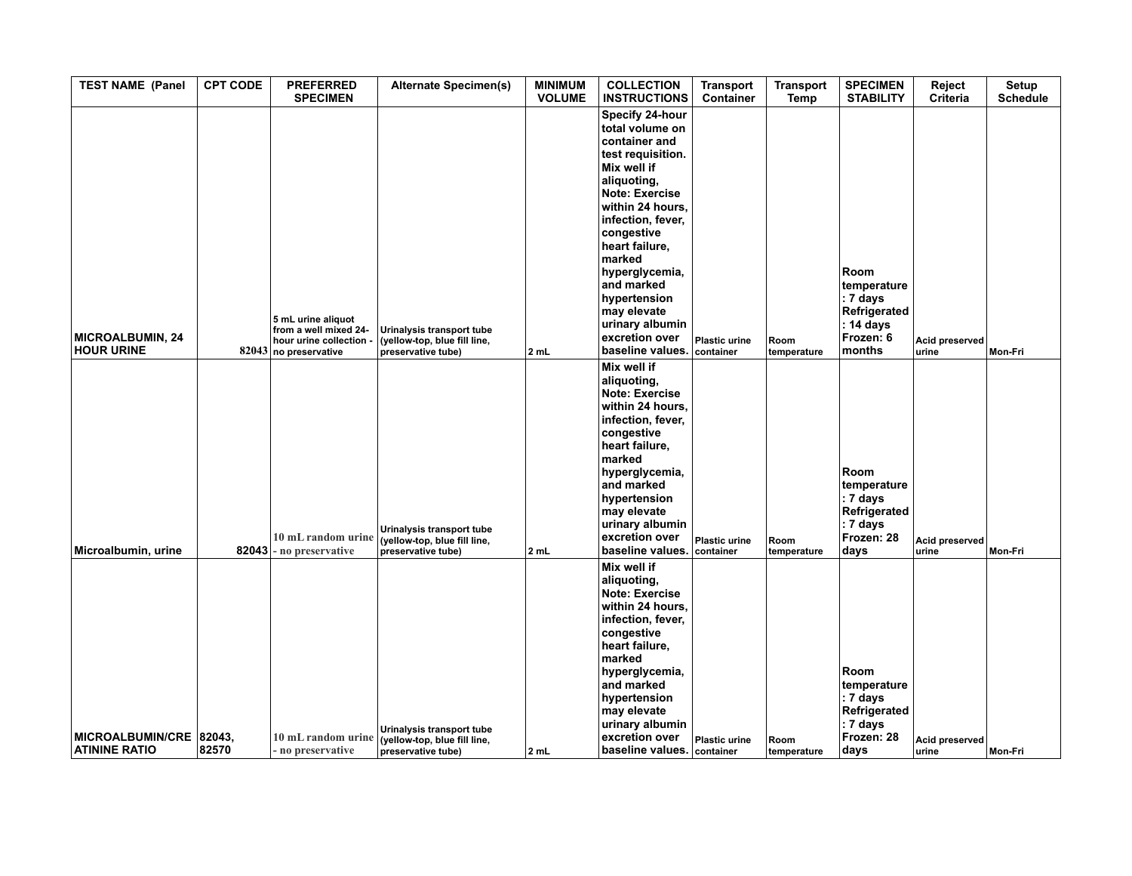| <b>TEST NAME (Panel</b>                  | <b>CPT CODE</b> | <b>PREFERRED</b><br><b>SPECIMEN</b>                                                             | <b>Alternate Specimen(s)</b>                                                    | <b>MINIMUM</b><br><b>VOLUME</b> | <b>COLLECTION</b><br><b>INSTRUCTIONS</b>                                                                                                                                                                                                                                                                                                   | <b>Transport</b><br>Container     | <b>Transport</b><br>Temp | <b>SPECIMEN</b><br><b>STABILITY</b>                                                         | Reject<br><b>Criteria</b> | Setup<br><b>Schedule</b> |
|------------------------------------------|-----------------|-------------------------------------------------------------------------------------------------|---------------------------------------------------------------------------------|---------------------------------|--------------------------------------------------------------------------------------------------------------------------------------------------------------------------------------------------------------------------------------------------------------------------------------------------------------------------------------------|-----------------------------------|--------------------------|---------------------------------------------------------------------------------------------|---------------------------|--------------------------|
| MICROALBUMIN, 24<br><b>HOUR URINE</b>    |                 | 5 mL urine aliquot<br>from a well mixed 24-<br>hour urine collection -<br>82043 no preservative | Urinalysis transport tube<br>(yellow-top, blue fill line,<br>preservative tube) | 2 mL                            | Specify 24-hour<br>total volume on<br>container and<br>test requisition.<br>Mix well if<br>aliquoting,<br><b>Note: Exercise</b><br>within 24 hours,<br>infection, fever,<br>congestive<br>heart failure,<br>marked<br>hyperglycemia,<br>and marked<br>hypertension<br>may elevate<br>urinary albumin<br>excretion over<br>baseline values. | <b>Plastic urine</b><br>container | Room<br>temperature      | Room<br>temperature<br>: 7 days<br>Refrigerated<br>: 14 days<br>Frozen: 6<br>months         | Acid preserved<br>urine   | Mon-Fri                  |
| Microalbumin, urine                      | 82043           | 10 mL random urine<br>no preservative                                                           | Urinalysis transport tube<br>(yellow-top, blue fill line,<br>preservative tube) | 2 mL                            | Mix well if<br>aliquoting,<br>Note: Exercise<br>within 24 hours,<br>infection, fever,<br>congestive<br>heart failure,<br>marked<br>hyperglycemia,<br>and marked<br>hypertension<br>may elevate<br>urinary albumin<br>excretion over<br>baseline values.                                                                                    | <b>Plastic urine</b><br>container | Room<br>temperature      | Room<br>temperature<br>: 7 days<br>Refrigerated<br>$: 7 \text{ days}$<br>Frozen: 28<br>days | Acid preserved<br>urine   | Mon-Fri                  |
| MICROALBUMIN/CRE<br><b>ATININE RATIO</b> | 82043,<br>82570 | 10 mL random urine<br>no preservative                                                           | Urinalysis transport tube<br>(yellow-top, blue fill line,<br>preservative tube) | 2 mL                            | Mix well if<br>aliquoting,<br><b>Note: Exercise</b><br>within 24 hours,<br>infection, fever,<br>congestive<br>heart failure,<br>marked<br>hyperglycemia,<br>and marked<br>hypertension<br>may elevate<br>urinary albumin<br>excretion over<br>baseline values. container                                                                   | <b>Plastic urine</b>              | Room<br>temperature      | Room<br>temperature<br>: 7 days<br>Refrigerated<br>: 7 days<br>Frozen: 28<br>days           | Acid preserved<br>urine   | Mon-Fri                  |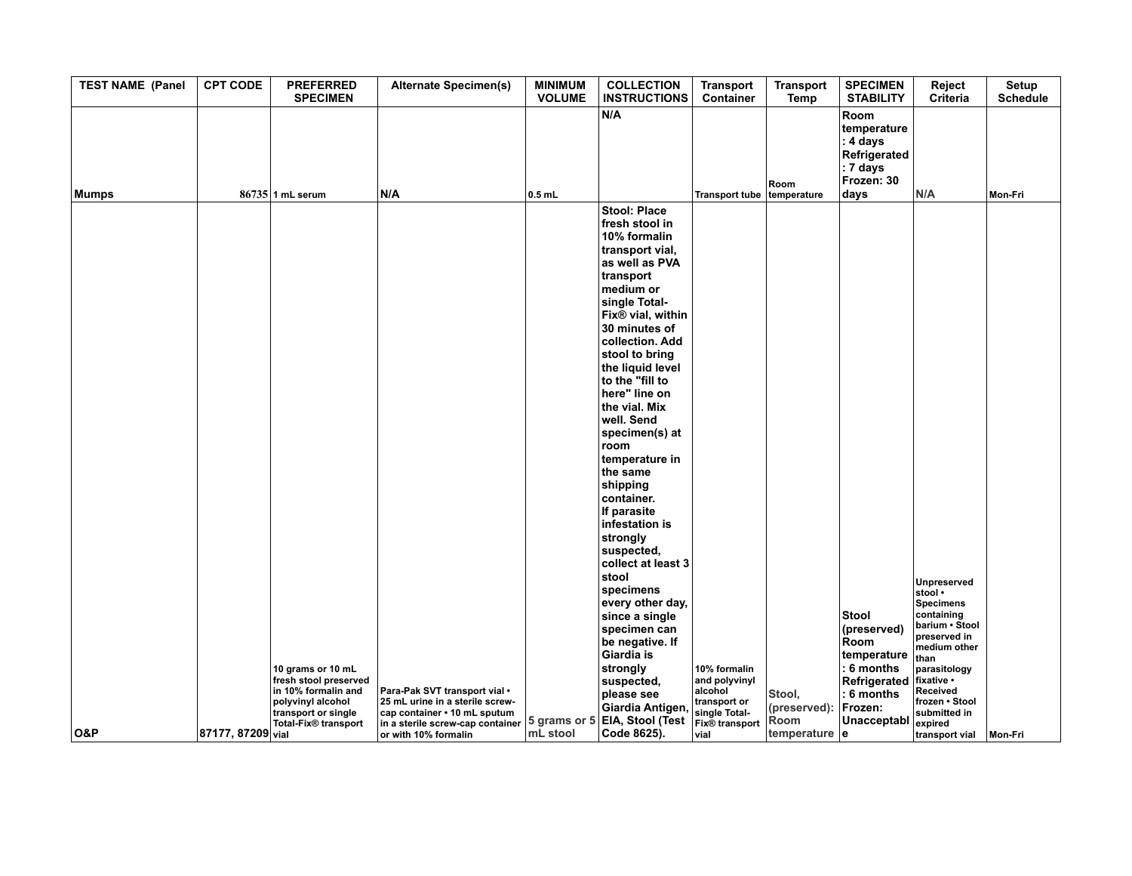| <b>TEST NAME (Panel</b> | <b>CPT CODE</b>   | <b>PREFERRED</b><br><b>SPECIMEN</b>                                                                                     | <b>Alternate Specimen(s)</b>                                                                                                                                                               | <b>MINIMUM</b><br><b>VOLUME</b> | <b>COLLECTION</b><br><b>INSTRUCTIONS</b>                                                                                                                                                                                                                                                                                                                                                                                                                                                                                                                                                                 | <b>Transport</b><br>Container                                                                     | <b>Transport</b><br>Temp                      | <b>SPECIMEN</b><br><b>STABILITY</b>                                               | Reject<br><b>Criteria</b>                                                                                                                 | Setup<br><b>Schedule</b> |
|-------------------------|-------------------|-------------------------------------------------------------------------------------------------------------------------|--------------------------------------------------------------------------------------------------------------------------------------------------------------------------------------------|---------------------------------|----------------------------------------------------------------------------------------------------------------------------------------------------------------------------------------------------------------------------------------------------------------------------------------------------------------------------------------------------------------------------------------------------------------------------------------------------------------------------------------------------------------------------------------------------------------------------------------------------------|---------------------------------------------------------------------------------------------------|-----------------------------------------------|-----------------------------------------------------------------------------------|-------------------------------------------------------------------------------------------------------------------------------------------|--------------------------|
| <b>Mumps</b>            |                   | $86735$ 1 mL serum                                                                                                      | N/A                                                                                                                                                                                        | $0.5$ mL                        | N/A                                                                                                                                                                                                                                                                                                                                                                                                                                                                                                                                                                                                      | Transport tube temperature                                                                        | Room                                          | Room<br>temperature<br>: 4 days<br>Refrigerated<br>: 7 days<br>Frozen: 30<br>days | N/A                                                                                                                                       | Mon-Fri                  |
|                         |                   | 10 grams or 10 mL                                                                                                       |                                                                                                                                                                                            |                                 | Stool: Place<br>fresh stool in<br>10% formalin<br>transport vial,<br>as well as PVA<br>transport<br>medium or<br>single Total-<br>Fix <sup>®</sup> vial, within<br>30 minutes of<br>collection. Add<br>stool to bring<br>the liquid level<br>to the "fill to<br>here" line on<br>the vial. Mix<br>well. Send<br>specimen(s) at<br>room<br>temperature in<br>the same<br>shipping<br>container.<br>If parasite<br>infestation is<br>strongly<br>suspected,<br>collect at least 3<br>stool<br>specimens<br>every other day,<br>since a single<br>specimen can<br>be negative. If<br>Giardia is<br>strongly | 10% formalin                                                                                      |                                               | <b>Stool</b><br>(preserved)<br>Room<br>temperature<br>: 6 months                  | <b>Unpreserved</b><br>stool •<br><b>Specimens</b><br>containing<br>barium · Stool<br>preserved in<br>medium other<br>than<br>parasitology |                          |
| <b>O&amp;P</b>          | 87177, 87209 vial | fresh stool preserved<br>in 10% formalin and<br>polyvinyl alcohol<br>transport or single<br><b>Total-Fix® transport</b> | Para-Pak SVT transport vial •<br>25 mL urine in a sterile screw-<br>cap container • 10 mL sputum<br>in a sterile screw-cap container 5 grams or 5 EIA, Stool (Test<br>or with 10% formalin | mL stool                        | suspected,<br>please see<br>Giardia Antigen<br>Code 8625).                                                                                                                                                                                                                                                                                                                                                                                                                                                                                                                                               | and polyvinyl<br>alcohol<br>transport or<br>single Total-<br><b>Fix®</b> transport<br><b>vial</b> | Stool,<br>(preserved):<br>Room<br>temperature | Refrigerated<br>: 6 months<br>Frozen:<br>Unacceptabl<br>١e                        | fixative •<br>Received<br>frozen • Stool<br>submitted in<br>expired<br>transport vial                                                     | Mon-Fri                  |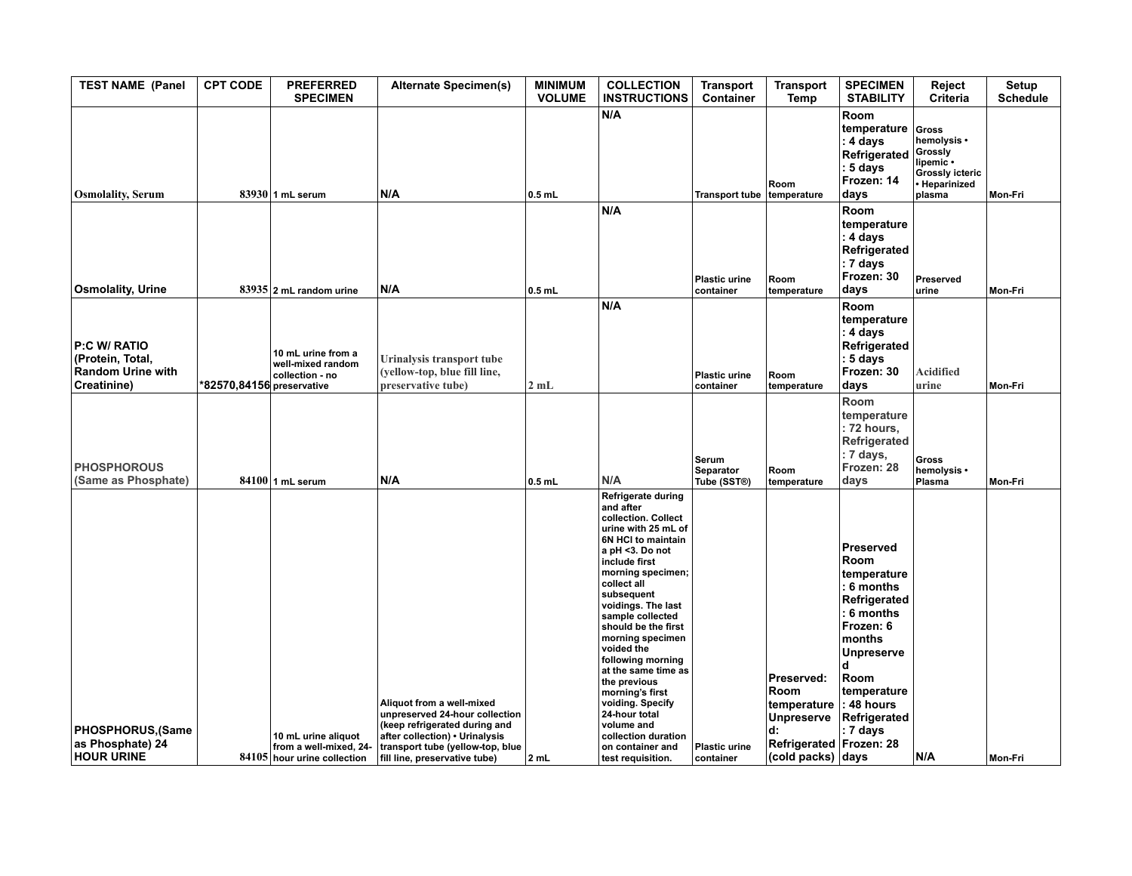| <b>TEST NAME (Panel</b>                                                     | <b>CPT CODE</b>           | <b>PREFERRED</b><br><b>SPECIMEN</b>                                          | <b>Alternate Specimen(s)</b>                                                                                                                                                                        | <b>MINIMUM</b><br><b>VOLUME</b> | <b>COLLECTION</b><br><b>INSTRUCTIONS</b>                                                                                                                                                                                                                                                                                                                                                                                                                                                       | <b>Transport</b><br>Container     | <b>Transport</b><br>Temp                                                                                          | <b>SPECIMEN</b><br><b>STABILITY</b>                                                                                                                                                            | Reject<br>Criteria                                                                         | Setup<br><b>Schedule</b> |
|-----------------------------------------------------------------------------|---------------------------|------------------------------------------------------------------------------|-----------------------------------------------------------------------------------------------------------------------------------------------------------------------------------------------------|---------------------------------|------------------------------------------------------------------------------------------------------------------------------------------------------------------------------------------------------------------------------------------------------------------------------------------------------------------------------------------------------------------------------------------------------------------------------------------------------------------------------------------------|-----------------------------------|-------------------------------------------------------------------------------------------------------------------|------------------------------------------------------------------------------------------------------------------------------------------------------------------------------------------------|--------------------------------------------------------------------------------------------|--------------------------|
| <b>Osmolality, Serum</b>                                                    |                           | 83930 1 mL serum                                                             | N/A                                                                                                                                                                                                 | $0.5$ mL                        | N/A                                                                                                                                                                                                                                                                                                                                                                                                                                                                                            | Transport tube temperature        | Room                                                                                                              | Room<br>temperature<br>: 4 days<br>Refrigerated<br>: 5 days<br>Frozen: 14<br>days                                                                                                              | Gross<br>hemolysis •<br>Grossly<br>lipemic •<br>Grossly icteric<br>· Heparinized<br>plasma | Mon-Fri                  |
| <b>Osmolality, Urine</b>                                                    |                           | $83935$ 2 mL random urine                                                    | N/A                                                                                                                                                                                                 | $0.5$ mL                        | N/A                                                                                                                                                                                                                                                                                                                                                                                                                                                                                            | <b>Plastic urine</b><br>container | Room<br>temperature                                                                                               | Room<br>temperature<br>: 4 days<br>Refrigerated<br>: 7 days<br>Frozen: 30<br>days                                                                                                              | Preserved<br>urine                                                                         | Mon-Fri                  |
| P:C W/ RATIO<br>(Protein, Total,<br><b>Random Urine with</b><br>Creatinine) | *82570,84156 preservative | 10 mL urine from a<br>well-mixed random<br>collection - no                   | Urinalysis transport tube<br>(yellow-top, blue fill line,<br>preservative tube)                                                                                                                     | 2mL                             | N/A                                                                                                                                                                                                                                                                                                                                                                                                                                                                                            | <b>Plastic urine</b><br>container | Room<br>temperature                                                                                               | Room<br>temperature<br>: 4 days<br>Refrigerated<br>: 5 days<br>Frozen: 30<br>days                                                                                                              | <b>Acidified</b><br>urine                                                                  | Mon-Fri                  |
| <b>PHOSPHOROUS</b><br>(Same as Phosphate)                                   |                           | $84100$ 1 mL serum                                                           | N/A                                                                                                                                                                                                 | $0.5$ mL                        | N/A                                                                                                                                                                                                                                                                                                                                                                                                                                                                                            | Serum<br>Separator<br>Tube (SST®) | Room<br>temperature                                                                                               | Room<br>temperature<br>: 72 hours,<br>Refrigerated<br>: 7 days,<br>Frozen: 28<br>days                                                                                                          | Gross<br>hemolysis •<br>Plasma                                                             | Mon-Fri                  |
| PHOSPHORUS, (Same<br>as Phosphate) 24<br><b>HOUR URINE</b>                  |                           | 10 mL urine aliquot<br>from a well-mixed, 24-<br>84105 hour urine collection | Aliquot from a well-mixed<br>unpreserved 24-hour collection<br>(keep refrigerated during and<br>after collection) • Urinalysis<br>transport tube (yellow-top, blue<br>fill line, preservative tube) | 2 mL                            | Refrigerate during<br>and after<br>collection. Collect<br>urine with 25 mL of<br>6N HCI to maintain<br>a pH <3. Do not<br>include first<br>morning specimen;<br>collect all<br>subsequent<br>voidings. The last<br>sample collected<br>should be the first<br>morning specimen<br>voided the<br>following morning<br>at the same time as<br>the previous<br>morning's first<br>voiding. Specify<br>24-hour total<br>volume and<br>collection duration<br>on container and<br>test requisition. | Plastic urine<br>container        | Preserved:<br>Room<br>temperature<br><b>Unpreserve</b><br>d:<br>Refrigerated Frozen: 28<br>$(cold$ packs $)$ days | Preserved<br>Room<br>temperature<br>: 6 months<br>Refrigerated<br>: 6 months<br>Frozen: 6<br>months<br><b>Unpreserve</b><br>d<br>Room<br>temperature<br>: 48 hours<br>Refrigerated<br>: 7 days | N/A                                                                                        | Mon-Fri                  |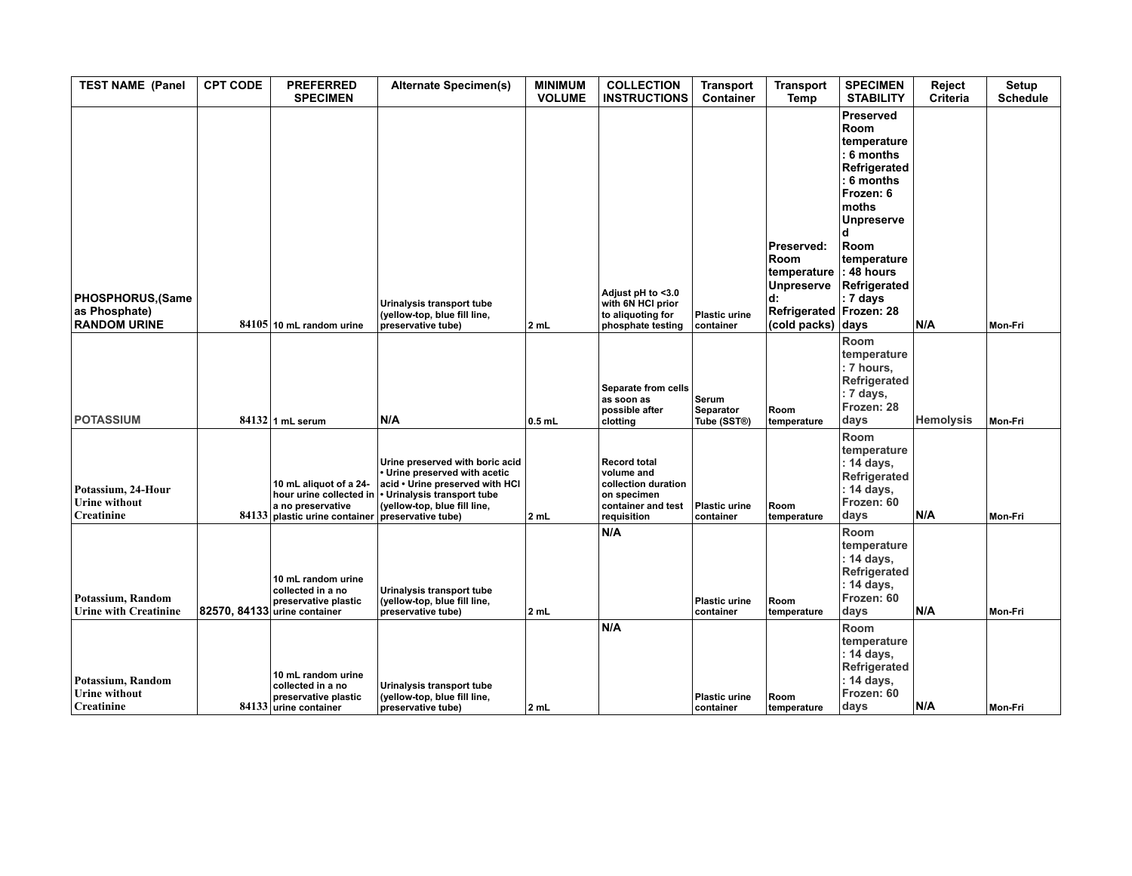| <b>TEST NAME (Panel</b>                                         | <b>CPT CODE</b> | <b>PREFERRED</b><br><b>SPECIMEN</b>                                                             | <b>Alternate Specimen(s)</b>                                                                                                                                                                                           | <b>MINIMUM</b><br><b>VOLUME</b> | <b>COLLECTION</b><br><b>INSTRUCTIONS</b>                                                                     | <b>Transport</b><br>Container     | <b>Transport</b><br>Temp                                                                              | <b>SPECIMEN</b><br><b>STABILITY</b>                                                                                                                                         | Reject<br>Criteria | <b>Setup</b><br><b>Schedule</b> |
|-----------------------------------------------------------------|-----------------|-------------------------------------------------------------------------------------------------|------------------------------------------------------------------------------------------------------------------------------------------------------------------------------------------------------------------------|---------------------------------|--------------------------------------------------------------------------------------------------------------|-----------------------------------|-------------------------------------------------------------------------------------------------------|-----------------------------------------------------------------------------------------------------------------------------------------------------------------------------|--------------------|---------------------------------|
| PHOSPHORUS, (Same<br>as Phosphate)<br><b>RANDOM URINE</b>       |                 | $84105$ 10 mL random urine                                                                      | Urinalysis transport tube<br>(yellow-top, blue fill line,<br>preservative tube)                                                                                                                                        | 2 mL                            | Adjust pH to <3.0<br>with 6N HCI prior<br>to aliquoting for<br>phosphate testing                             | <b>Plastic urine</b><br>container | Preserved:<br>Room<br>temperature<br>Unpreserve<br>d:<br>Refrigerated Frozen: 28<br>(cold packs) days | Preserved<br>Room<br>temperature<br>6 months<br>Refrigerated<br>6 months<br>Frozen: 6<br>moths<br>Unpreserve<br>Room<br>temperature<br>48 hours<br>Refrigerated<br>: 7 days | N/A                | Mon-Fri                         |
| <b>POTASSIUM</b>                                                |                 | $84132$ 1 mL serum                                                                              | N/A                                                                                                                                                                                                                    | $0.5$ mL                        | Separate from cells<br>as soon as<br>possible after<br>clotting                                              | Serum<br>Separator<br>Tube (SST®) | Room<br>temperature                                                                                   | Room<br>temperature<br>: 7 hours.<br>Refrigerated<br>: 7 days,<br>Frozen: 28<br>days                                                                                        | <b>Hemolysis</b>   | Mon-Fri                         |
| Potassium, 24-Hour<br><b>Urine without</b><br><b>Creatinine</b> |                 | 10 mL aliquot of a 24-<br>a no preservative<br>84133 plastic urine container                    | Urine preserved with boric acid<br>• Urine preserved with acetic<br>acid . Urine preserved with HCI<br>hour urine collected in $\cdot$ Urinalysis transport tube<br>(yellow-top, blue fill line,<br>preservative tube) | 2 mL                            | <b>Record total</b><br>volume and<br>collection duration<br>on specimen<br>container and test<br>requisition | <b>Plastic urine</b><br>container | Room<br>temperature                                                                                   | Room<br>temperature<br>: 14 days,<br>Refrigerated<br>: 14 days,<br>Frozen: 60<br>days                                                                                       | N/A                | Mon-Fri                         |
| Potassium, Random<br><b>Urine with Creatinine</b>               |                 | 10 mL random urine<br>collected in a no<br>preservative plastic<br>82570, 84133 urine container | Urinalysis transport tube<br>(yellow-top, blue fill line,<br>preservative tube)                                                                                                                                        | 2 mL                            | N/A                                                                                                          | <b>Plastic urine</b><br>container | Room<br>temperature                                                                                   | Room<br>temperature<br>: 14 days,<br>Refrigerated<br>: 14 days,<br>Frozen: 60<br>days                                                                                       | N/A                | Mon-Fri                         |
| Potassium, Random<br><b>Urine without</b><br>Creatinine         |                 | 10 mL random urine<br>collected in a no<br>preservative plastic<br>84133 urine container        | Urinalysis transport tube<br>(yellow-top, blue fill line,<br>preservative tube)                                                                                                                                        | 2 mL                            | N/A                                                                                                          | <b>Plastic urine</b><br>container | Room<br>temperature                                                                                   | Room<br>temperature<br>: 14 days,<br>Refrigerated<br>: 14 days,<br>Frozen: 60<br>days                                                                                       | N/A                | Mon-Fri                         |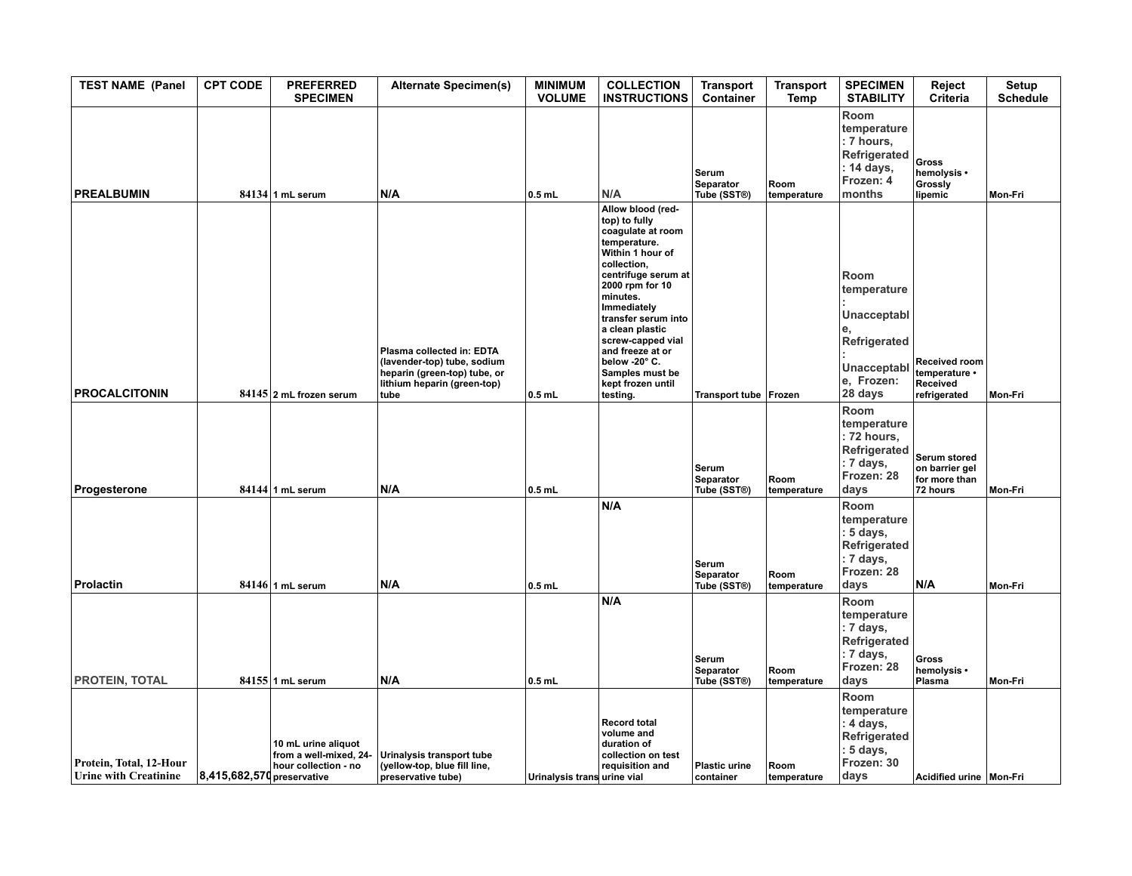| <b>TEST NAME (Panel</b>                                 | <b>CPT CODE</b>            | <b>PREFERRED</b><br><b>SPECIMEN</b>                                   | <b>Alternate Specimen(s)</b>                                                                                                    | <b>MINIMUM</b><br><b>VOLUME</b> | <b>COLLECTION</b><br><b>INSTRUCTIONS</b>                                                                                                                                                                                                                                                                                                | <b>Transport</b><br>Container     | <b>Transport</b><br>Temp | <b>SPECIMEN</b><br><b>STABILITY</b>                                                        | Reject<br><b>Criteria</b>                                   | Setup<br><b>Schedule</b> |
|---------------------------------------------------------|----------------------------|-----------------------------------------------------------------------|---------------------------------------------------------------------------------------------------------------------------------|---------------------------------|-----------------------------------------------------------------------------------------------------------------------------------------------------------------------------------------------------------------------------------------------------------------------------------------------------------------------------------------|-----------------------------------|--------------------------|--------------------------------------------------------------------------------------------|-------------------------------------------------------------|--------------------------|
| <b>PREALBUMIN</b>                                       |                            | 84134 1 mL serum                                                      | N/A                                                                                                                             | $0.5$ mL                        | N/A                                                                                                                                                                                                                                                                                                                                     | Serum<br>Separator<br>Tube (SST®) | Room<br>temperature      | Room<br>temperature<br>: 7 hours,<br>Refrigerated<br>: 14 days,<br>Frozen: 4<br>months     | Gross<br>hemolysis •<br>Grossly<br>lipemic                  | Mon-Fri                  |
| <b>PROCALCITONIN</b>                                    |                            | 84145 2 mL frozen serum                                               | Plasma collected in: EDTA<br>(lavender-top) tube, sodium<br>heparin (green-top) tube, or<br>lithium heparin (green-top)<br>tube | $0.5$ mL                        | Allow blood (red-<br>top) to fully<br>coagulate at room<br>temperature.<br>Within 1 hour of<br>collection,<br>centrifuge serum at<br>2000 rpm for 10<br>minutes.<br>Immediately<br>transfer serum into<br>a clean plastic<br>screw-capped vial<br>and freeze at or<br>below -20° C.<br>Samples must be<br>kept frozen until<br>testing. | Transport tube   Frozen           |                          | Room<br>temperature<br>Unacceptabl<br>Refrigerated<br>Unacceptabl<br>e. Frozen:<br>28 days | Received room<br>temperature •<br>Received<br>refrigerated  | Mon-Fri                  |
| Progesterone                                            |                            | $84144$ 1 mL serum                                                    | N/A                                                                                                                             | $0.5$ mL                        |                                                                                                                                                                                                                                                                                                                                         | Serum<br>Separator<br>Tube (SST®) | Room<br>temperature      | Room<br>temperature<br>: 72 hours,<br>Refrigerated<br>: 7 days,<br>Frozen: 28<br>days      | Serum stored<br>on barrier gel<br>for more than<br>72 hours | Mon-Fri                  |
| <b>Prolactin</b>                                        |                            | $84146$ 1 mL serum                                                    | N/A                                                                                                                             | $0.5$ mL                        | N/A                                                                                                                                                                                                                                                                                                                                     | Serum<br>Separator<br>Tube (SST®) | Room<br>temperature      | Room<br>temperature<br>: 5 days,<br>Refrigerated<br>: 7 days,<br>Frozen: 28<br>days        | N/A                                                         | Mon-Fri                  |
| PROTEIN, TOTAL                                          |                            | 84155 1 mL serum                                                      | N/A                                                                                                                             | $0.5$ mL                        | N/A                                                                                                                                                                                                                                                                                                                                     | Serum<br>Separator<br>Tube (SST®) | Room<br>temperature      | Room<br>temperature<br>: 7 days,<br>Refrigerated<br>: 7 days,<br>Frozen: 28<br>days        | <b>Gross</b><br>hemolysis •<br>Plasma                       | Mon-Fri                  |
| Protein, Total, 12-Hour<br><b>Urine with Creatinine</b> | 8,415,682,570 preservative | 10 mL urine aliquot<br>from a well-mixed, 24-<br>hour collection - no | Urinalysis transport tube<br>(yellow-top, blue fill line,<br>preservative tube)                                                 | Urinalysis trans urine vial     | <b>Record total</b><br>volume and<br>duration of<br>collection on test<br>requisition and                                                                                                                                                                                                                                               | <b>Plastic urine</b><br>container | Room<br>temperature      | Room<br>temperature<br>: 4 days,<br>Refrigerated<br>: 5 days,<br>Frozen: 30<br>days        | Acidified urine Mon-Fri                                     |                          |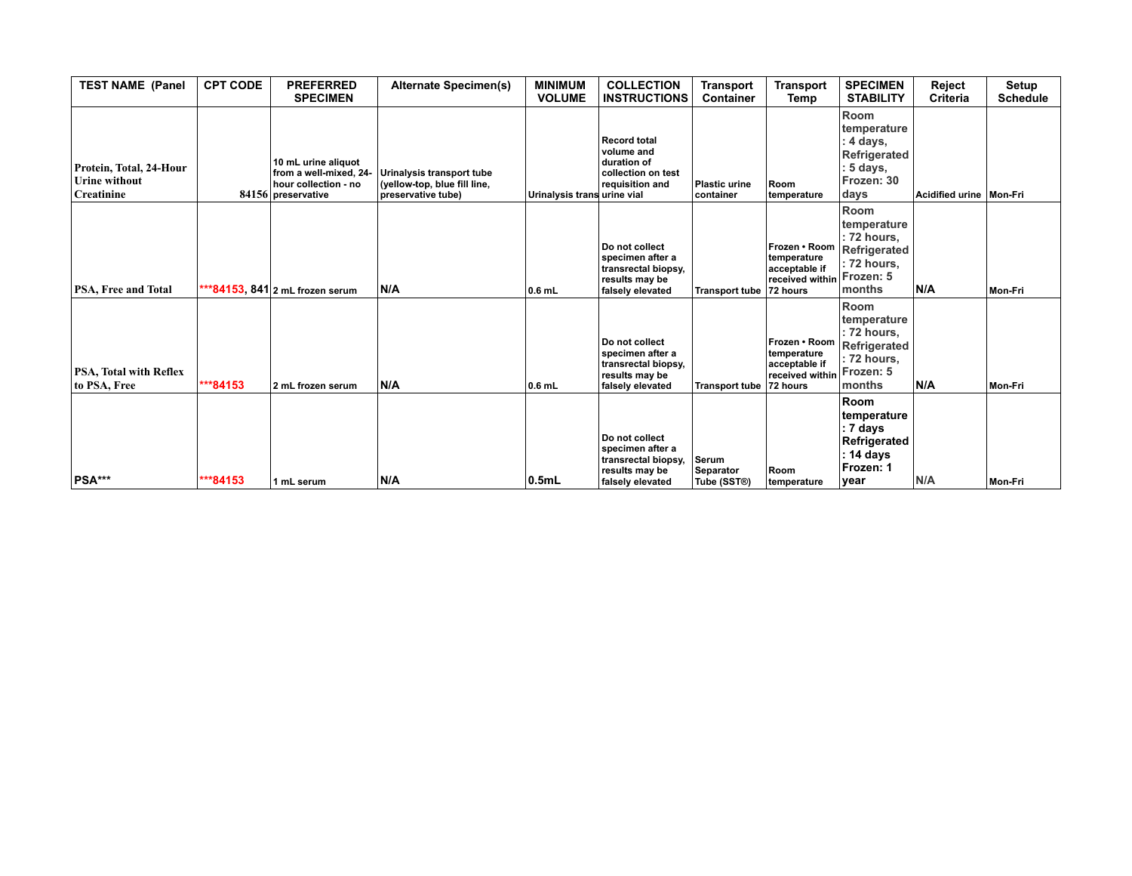| <b>TEST NAME (Panel</b>                                              | <b>CPT CODE</b> | <b>PREFERRED</b><br><b>SPECIMEN</b>                                                         | <b>Alternate Specimen(s)</b>                                                    | <b>MINIMUM</b><br><b>VOLUME</b> | <b>COLLECTION</b><br><b>INSTRUCTIONS</b>                                                        | <b>Transport</b><br><b>Container</b> | <b>Transport</b><br>Temp                                                         | <b>SPECIMEN</b><br><b>STABILITY</b>                                                      | Reject<br>Criteria      | Setup<br><b>Schedule</b> |
|----------------------------------------------------------------------|-----------------|---------------------------------------------------------------------------------------------|---------------------------------------------------------------------------------|---------------------------------|-------------------------------------------------------------------------------------------------|--------------------------------------|----------------------------------------------------------------------------------|------------------------------------------------------------------------------------------|-------------------------|--------------------------|
| Protein, Total, 24-Hour<br><b>Urine without</b><br><b>Creatinine</b> |                 | 10 mL urine aliquot<br>from a well-mixed, 24-<br>hour collection - no<br>84156 preservative | Urinalysis transport tube<br>(yellow-top, blue fill line,<br>preservative tube) | Urinalysis trans urine vial     | <b>Record total</b><br>volume and<br>duration of<br>collection on test<br>requisition and       | <b>Plastic urine</b><br>container    | Room<br>temperature                                                              | Room<br>temperature<br>4 days,<br>Refrigerated<br>5 days,<br>Frozen: 30<br>days          | Acidified urine Mon-Fri |                          |
| PSA, Free and Total                                                  |                 | ***84153, 841 2 mL frozen serum                                                             | N/A                                                                             | $0.6$ mL                        | Do not collect<br>specimen after a<br>transrectal biopsy,<br>results may be<br>falsely elevated | <b>Transport tube</b>                | Frozen • Room<br>temperature<br>acceptable if<br>received within<br>72 hours     | Room<br>temperature<br>: 72 hours,<br>Refrigerated<br>72 hours,<br>Frozen: 5<br>months   | N/A                     | Mon-Fri                  |
| PSA, Total with Reflex<br>to PSA. Free                               | ***84153        | 2 mL frozen serum                                                                           | N/A                                                                             | $0.6$ mL                        | Do not collect<br>specimen after a<br>transrectal biopsy,<br>results may be<br>falsely elevated | <b>Transport tube</b>                | Frozen • Room<br>temperature<br>acceptable if<br>$ $ received within<br>72 hours | Room<br>temperature<br>: 72 hours,<br>Refrigerated<br>72 hours.<br>Frozen: 5<br>months   | N/A                     | Mon-Fri                  |
| PSA***                                                               | ***84153        | 1 mL serum                                                                                  | N/A                                                                             | 0.5mL                           | Do not collect<br>specimen after a<br>transrectal biopsy,<br>results may be<br>falsely elevated | Serum<br>Separator<br>Tube (SST®)    | Room<br>temperature                                                              | <b>Room</b><br>temperature<br>: 7 days<br>Refrigerated<br>: 14 days<br>Frozen: 1<br>vear | N/A                     | Mon-Fri                  |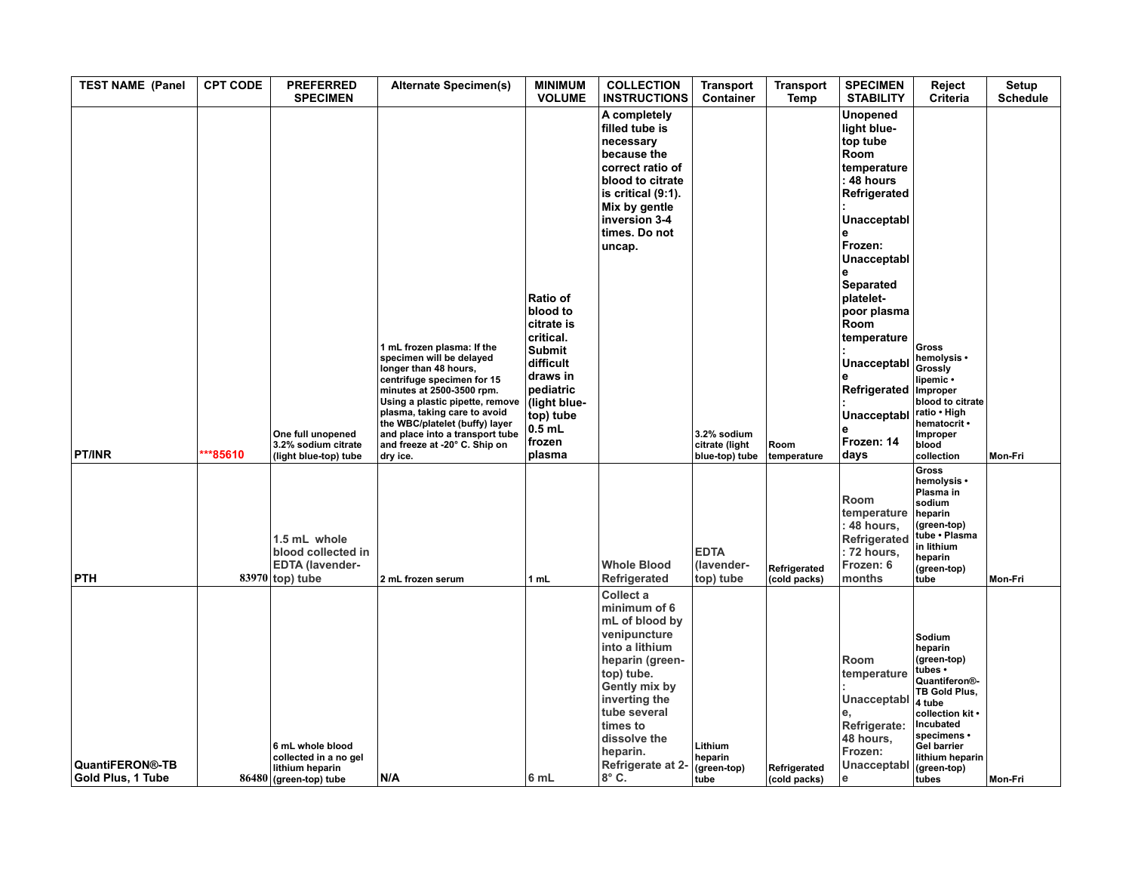| <b>TEST NAME (Panel</b>                     | <b>CPT CODE</b> | <b>PREFERRED</b><br><b>SPECIMEN</b>                                                    | <b>Alternate Specimen(s)</b>                                                                                                                                                                                                                                                                                                    | <b>MINIMUM</b><br><b>VOLUME</b>                                                                                                                                                | <b>COLLECTION</b><br><b>INSTRUCTIONS</b>                                                                                                                                                                                                      | <b>Transport</b><br>Container                   | <b>Transport</b><br>Temp     | <b>SPECIMEN</b><br><b>STABILITY</b>                                                                                                                                                                                                                                 | Reject<br>Criteria                                                                                                                                                                                                    | Setup<br><b>Schedule</b> |
|---------------------------------------------|-----------------|----------------------------------------------------------------------------------------|---------------------------------------------------------------------------------------------------------------------------------------------------------------------------------------------------------------------------------------------------------------------------------------------------------------------------------|--------------------------------------------------------------------------------------------------------------------------------------------------------------------------------|-----------------------------------------------------------------------------------------------------------------------------------------------------------------------------------------------------------------------------------------------|-------------------------------------------------|------------------------------|---------------------------------------------------------------------------------------------------------------------------------------------------------------------------------------------------------------------------------------------------------------------|-----------------------------------------------------------------------------------------------------------------------------------------------------------------------------------------------------------------------|--------------------------|
| <b>PT/INR</b>                               | **85610         | One full unopened<br>3.2% sodium citrate<br>(light blue-top) tube                      | 1 mL frozen plasma: If the<br>specimen will be delayed<br>longer than 48 hours,<br>centrifuge specimen for 15<br>minutes at 2500-3500 rpm.<br>Using a plastic pipette, remove<br>plasma, taking care to avoid<br>the WBC/platelet (buffy) layer<br>and place into a transport tube<br>and freeze at -20° C. Ship on<br>dry ice. | Ratio of<br>blood to<br>citrate is<br>critical.<br><b>Submit</b><br>difficult<br>draws in<br>pediatric<br>(light blue-<br>top) tube<br>$0.\overline{5}$ mL<br>frozen<br>plasma | A completely<br>filled tube is<br>necessary<br>because the<br>correct ratio of<br>blood to citrate<br>is critical (9:1).<br>Mix by gentle<br>inversion 3-4<br>times. Do not<br>uncap.                                                         | 3.2% sodium<br>citrate (light<br>blue-top) tube | Room<br>temperature          | Unopened<br>light blue-<br>top tube<br>Room<br>temperature<br>48 hours<br>Refrigerated<br>Unacceptabl<br>Frozen:<br>Unacceptabl<br>Separated<br>platelet-<br>poor plasma<br>Room<br>temperature<br>Unacceptabl<br>Refrigerated<br>Unacceptabl<br>Frozen: 14<br>days | Gross<br>hemolysis •<br>Grossly<br>lipemic •<br>Improper<br>blood to citrate<br>ratio • High<br>hematocrit •<br>Improper<br>blood<br>collection                                                                       | Mon-Fri                  |
| <b>PTH</b>                                  |                 | 1.5 mL whole<br>blood collected in<br><b>EDTA (lavender-</b><br>$83970$ top) tube      | 2 mL frozen serum                                                                                                                                                                                                                                                                                                               | 1 mL                                                                                                                                                                           | <b>Whole Blood</b><br>Refrigerated                                                                                                                                                                                                            | <b>EDTA</b><br>(lavender-<br>top) tube          | Refrigerated<br>(cold packs) | Room<br>temperature<br>: 48 hours,<br>Refrigerated<br>: 72 hours,<br>Frozen: 6<br>months                                                                                                                                                                            | <b>Gross</b><br>hemolysis •<br>Plasma in<br>sodium<br>heparin<br>(green-top)<br>tube . Plasma<br>in lithium<br>heparin<br>(green-top)<br>tube                                                                         | Mon-Fri                  |
| <b>QuantiFERON®-TB</b><br>Gold Plus, 1 Tube |                 | 6 mL whole blood<br>collected in a no gel<br>lithium heparin<br>86480 (green-top) tube | N/A                                                                                                                                                                                                                                                                                                                             | 6 mL                                                                                                                                                                           | Collect a<br>minimum of 6<br>mL of blood by<br>venipuncture<br>into a lithium<br>heparin (green-<br>top) tube.<br>Gently mix by<br>inverting the<br>tube several<br>times to<br>dissolve the<br>heparin.<br>Refrigerate at 2-<br>$8^\circ$ C. | Lithium<br>heparin<br>(green-top)<br>tube       | Refrigerated<br>(cold packs) | Room<br>temperature<br>Unacceptabl<br>Refrigerate:<br>48 hours.<br>Frozen:<br>Unacceptabl<br>e                                                                                                                                                                      | Sodium<br>heparin<br>(green-top)<br>tubes •<br>Quantiferon <sup>®</sup> -<br>TB Gold Plus,<br>4 tube<br>collection kit .<br>Incubated<br>specimens •<br><b>Gel barrier</b><br>lithium heparin<br>(green-top)<br>tubes | Mon-Fri                  |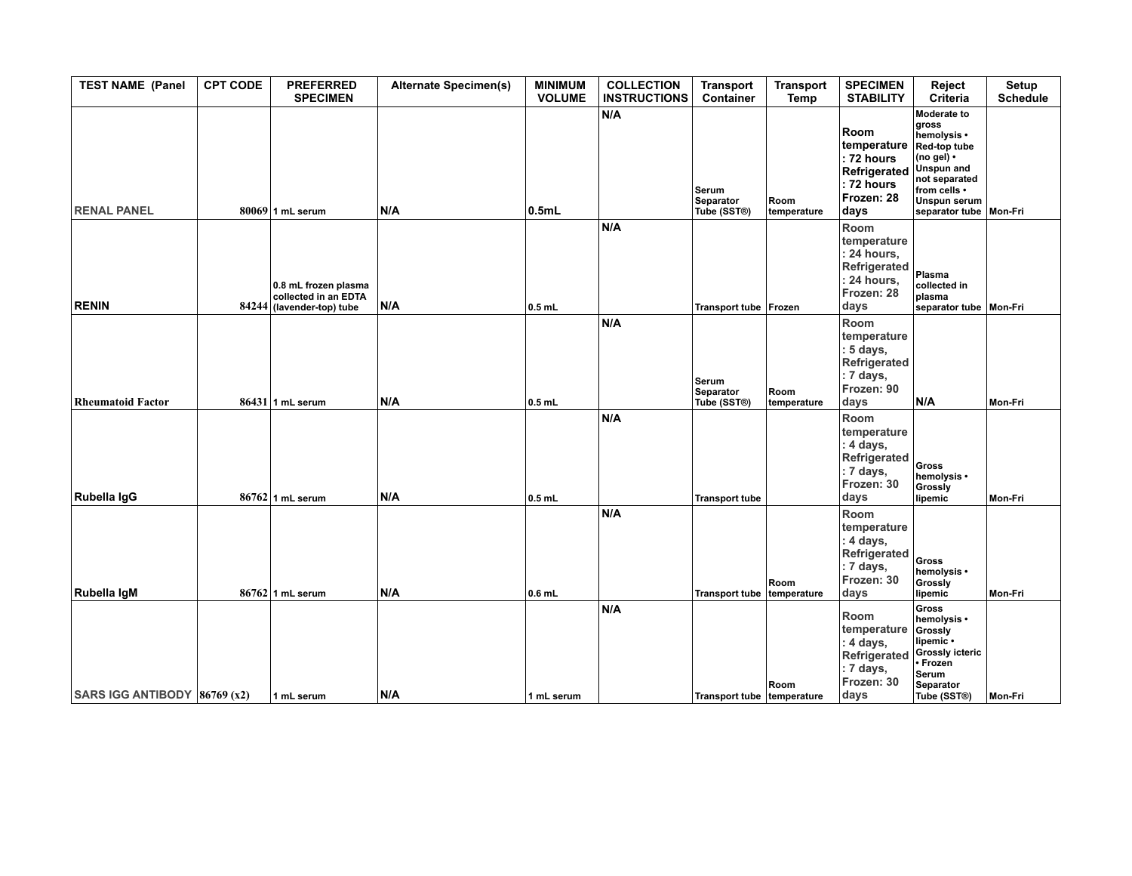| <b>TEST NAME (Panel</b>        | <b>CPT CODE</b> | <b>PREFERRED</b><br><b>SPECIMEN</b>                                       | <b>Alternate Specimen(s)</b> | <b>MINIMUM</b><br><b>VOLUME</b> | <b>COLLECTION</b><br><b>INSTRUCTIONS</b> | <b>Transport</b><br>Container            | <b>Transport</b><br>Temp | <b>SPECIMEN</b><br><b>STABILITY</b>                                                     | Reject<br>Criteria                                                                                                                                                               | Setup<br><b>Schedule</b> |
|--------------------------------|-----------------|---------------------------------------------------------------------------|------------------------------|---------------------------------|------------------------------------------|------------------------------------------|--------------------------|-----------------------------------------------------------------------------------------|----------------------------------------------------------------------------------------------------------------------------------------------------------------------------------|--------------------------|
| <b>RENAL PANEL</b>             |                 | $80069$ 1 mL serum                                                        | N/A                          | 0.5mL                           | N/A                                      | Serum<br><b>Separator</b><br>Tube (SST®) | Room<br>temperature      | Room<br>temperature<br>: 72 hours<br>Refrigerated<br>: 72 hours<br>Frozen: 28<br>days   | Moderate to<br>gross<br>hemolysis •<br>Red-top tube<br>(no gel) $\cdot$<br><b>Unspun</b> and<br>not separated<br>from cells •<br><b>Unspun serum</b><br>separator tube   Mon-Fri |                          |
| <b>RENIN</b>                   |                 | 0.8 mL frozen plasma<br>collected in an EDTA<br>84244 (lavender-top) tube | N/A                          | $0.5$ mL                        | N/A                                      | Transport tube   Frozen                  |                          | Room<br>temperature<br>: 24 hours,<br>Refrigerated<br>: 24 hours,<br>Frozen: 28<br>days | Plasma<br>collected in<br>plasma<br>separator tube   Mon-Fri                                                                                                                     |                          |
| <b>Rheumatoid Factor</b>       |                 | $86431$ 1 mL serum                                                        | N/A                          | $0.5$ mL                        | N/A                                      | Serum<br>Separator<br>Tube (SST®)        | Room<br>temperature      | Room<br>temperature<br>: 5 days,<br>Refrigerated<br>: 7 days,<br>Frozen: 90<br>days     | N/A                                                                                                                                                                              | Mon-Fri                  |
| Rubella IgG                    |                 | $86762$ 1 mL serum                                                        | N/A                          | $0.5$ mL                        | N/A                                      | <b>Transport tube</b>                    |                          | Room<br>temperature<br>: 4 days,<br>Refrigerated<br>: 7 days,<br>Frozen: 30<br>days     | Gross<br>hemolysis •<br>Grossly<br>lipemic                                                                                                                                       | Mon-Fri                  |
| Rubella IgM                    |                 | $86762$ 1 mL serum                                                        | N/A                          | $0.6$ mL                        | N/A                                      | <b>Transport tube</b>                    | Room<br>temperature      | Room<br>temperature<br>: 4 days,<br>Refrigerated<br>: 7 days,<br>Frozen: 30<br>days     | Gross<br>hemolysis •<br>Grossly<br>lipemic                                                                                                                                       | Mon-Fri                  |
| SARS IGG ANTIBODY $86769$ (x2) |                 | 1 mL serum                                                                | N/A                          | 1 mL serum                      | N/A                                      | Transport tube temperature               | Room                     | Room<br>temperature<br>: 4 days,<br>Refrigerated<br>: 7 days,<br>Frozen: 30<br>days     | <b>Gross</b><br>hemolysis •<br>Grossly<br>lipemic •<br><b>Grossly icteric</b><br>• Frozen<br>Serum<br><b>Separator</b><br>Tube (SST®)                                            | Mon-Fri                  |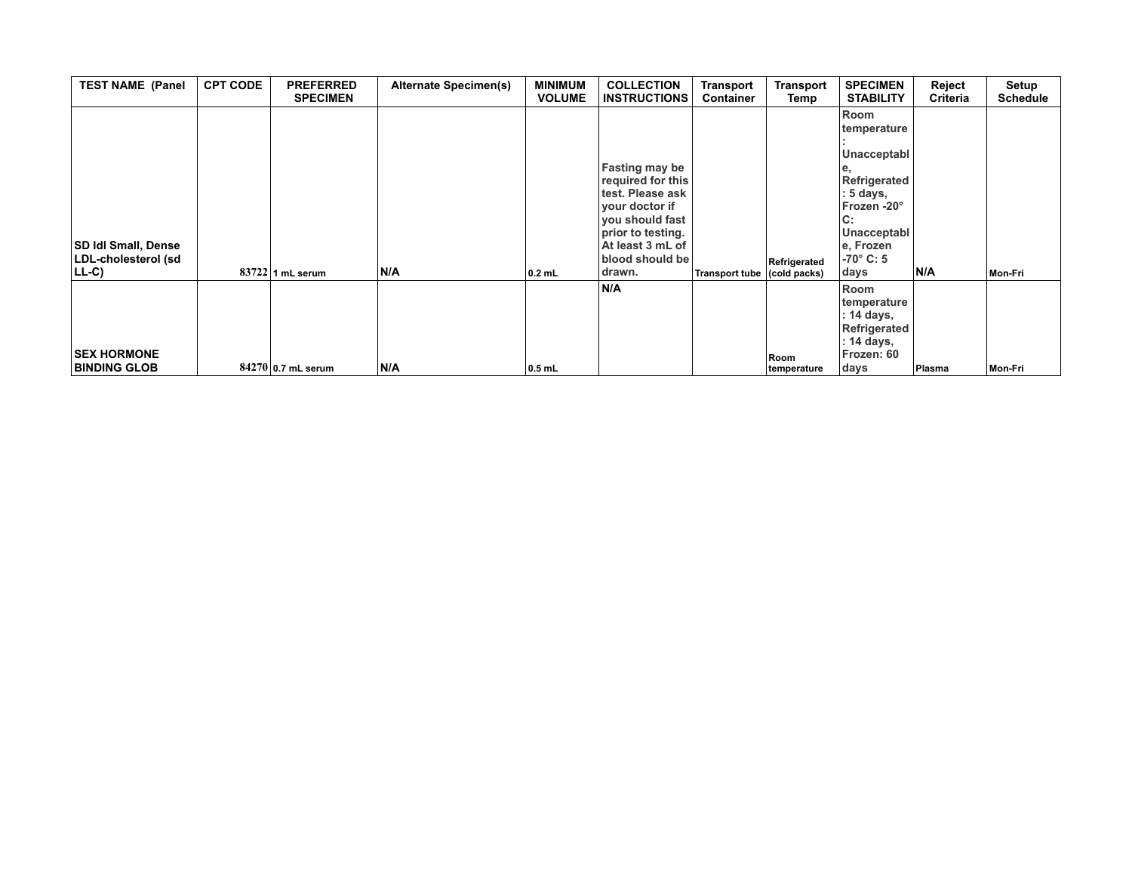| <b>TEST NAME (Panel</b>                           | <b>CPT CODE</b> | <b>PREFERRED</b><br><b>SPECIMEN</b> | <b>Alternate Specimen(s)</b> | <b>MINIMUM</b><br><b>VOLUME</b> | <b>COLLECTION</b><br><b>INSTRUCTIONS</b>                                                                                                                         | <b>Transport</b><br><b>Container</b> | <b>Transport</b><br>Temp | <b>SPECIMEN</b><br><b>STABILITY</b>                                                                            | Reject<br>Criteria | Setup<br><b>Schedule</b> |
|---------------------------------------------------|-----------------|-------------------------------------|------------------------------|---------------------------------|------------------------------------------------------------------------------------------------------------------------------------------------------------------|--------------------------------------|--------------------------|----------------------------------------------------------------------------------------------------------------|--------------------|--------------------------|
|                                                   |                 |                                     |                              |                                 |                                                                                                                                                                  |                                      |                          | Room<br>temperature                                                                                            |                    |                          |
| <b>SD Idl Small, Dense</b><br>LDL-cholesterol (sd |                 |                                     |                              |                                 | <b>Fasting may be</b><br>required for this<br>ltest. Please ask<br>your doctor if<br>you should fast<br>prior to testing.<br>At least 3 mL of<br>blood should be |                                      | Refrigerated             | Unacceptabl<br><b>Refrigerated</b><br>: 5 days,<br>Frozen -20°<br> C:<br>Unacceptabl<br>e, Frozen<br>-70° C: 5 |                    |                          |
| $ LL-C\rangle$                                    |                 | $83722$ 1 mL serum                  | N/A                          | $0.2$ mL                        | drawn.                                                                                                                                                           | Transport tube (cold packs)          |                          | days                                                                                                           | N/A                | Mon-Fri                  |
| <b>SEX HORMONE</b>                                |                 |                                     |                              |                                 | N/A                                                                                                                                                              |                                      | Room                     | Room<br>temperature<br>: 14 days,<br>Refrigerated<br>: 14 days,<br>Frozen: 60                                  |                    |                          |
| <b>BINDING GLOB</b>                               |                 | 84270 0.7 mL serum                  | N/A                          | $0.5$ mL                        |                                                                                                                                                                  |                                      | temperature              | days                                                                                                           | Plasma             | Mon-Fri                  |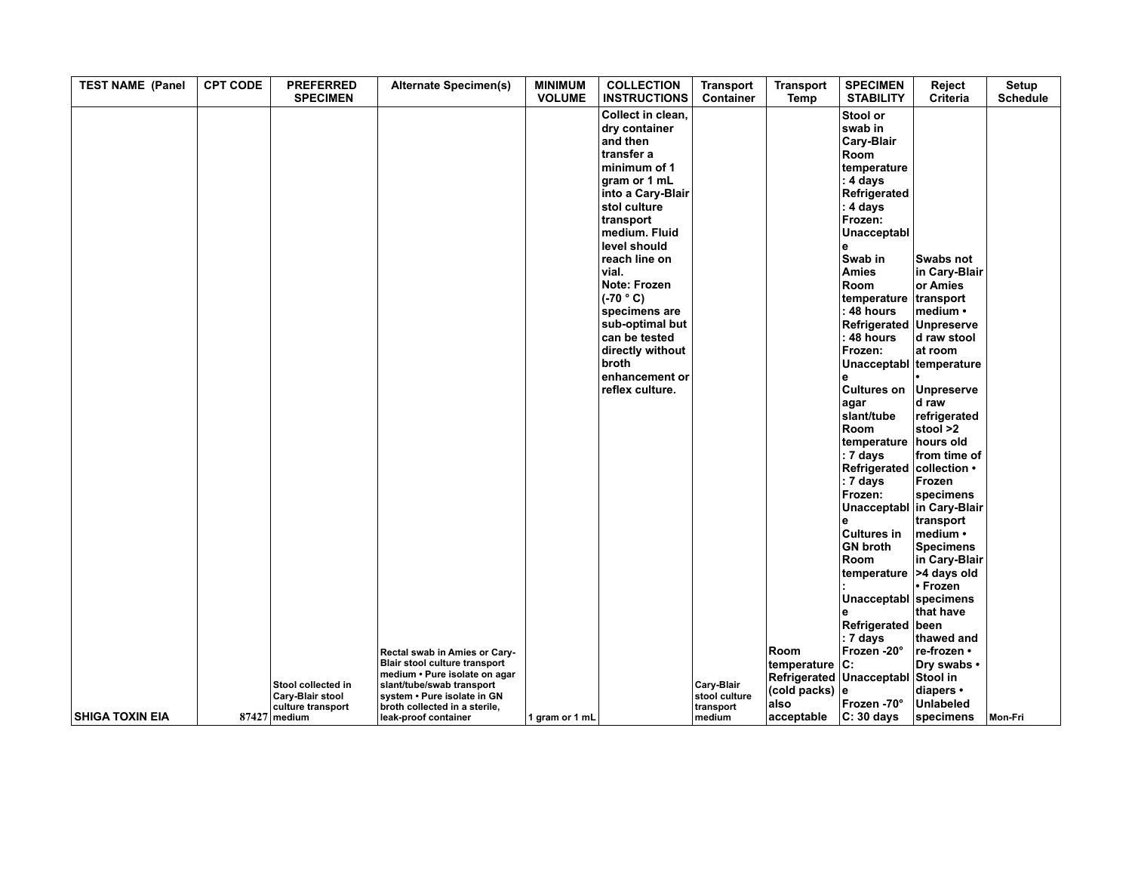| <b>TEST NAME (Panel</b> | <b>CPT CODE</b> | <b>PREFERRED</b><br><b>SPECIMEN</b>                                           | <b>Alternate Specimen(s)</b>                                                                                                                                                                                         | <b>MINIMUM</b><br><b>VOLUME</b> | <b>COLLECTION</b><br><b>INSTRUCTIONS</b>                                                                                                                                                                                                                                                                                                                         | <b>Transport</b><br>Container                      | <b>Transport</b><br>Temp                                           | <b>SPECIMEN</b><br><b>STABILITY</b>                                                                                                                                                                                                                                                                                          | Reject<br>Criteria                                                                                                      | Setup<br><b>Schedule</b> |
|-------------------------|-----------------|-------------------------------------------------------------------------------|----------------------------------------------------------------------------------------------------------------------------------------------------------------------------------------------------------------------|---------------------------------|------------------------------------------------------------------------------------------------------------------------------------------------------------------------------------------------------------------------------------------------------------------------------------------------------------------------------------------------------------------|----------------------------------------------------|--------------------------------------------------------------------|------------------------------------------------------------------------------------------------------------------------------------------------------------------------------------------------------------------------------------------------------------------------------------------------------------------------------|-------------------------------------------------------------------------------------------------------------------------|--------------------------|
|                         |                 |                                                                               |                                                                                                                                                                                                                      |                                 | Collect in clean,<br>dry container<br>and then<br>∣transfer a<br>minimum of 1<br>gram or 1 mL<br>into a Cary-Blair<br>stol culture<br>transport<br>medium. Fluid<br>level should<br>reach line on<br>vial.<br>Note: Frozen<br>$(C-70 °C)$<br>specimens are<br>sub-optimal but<br>can be tested<br>directly without<br>broth<br>enhancement or<br>reflex culture. |                                                    |                                                                    | Stool or<br>swab in<br><b>Cary-Blair</b><br>Room<br>temperature<br>: 4 days<br>Refrigerated<br>$: 4$ days<br>Frozen:<br>Unacceptabl<br>e<br>Swab in<br><b>Amies</b><br><b>Room</b><br>temperature<br>: 48 hours<br>Refrigerated Unpreserve<br>: 48 hours<br>Frozen:<br>Unacceptabl temperature<br><b>Cultures on</b><br>agar | Swabs not<br>in Cary-Blair<br>or Amies<br>transport<br>medium •<br>d raw stool<br>at room<br><b>Unpreserve</b><br>d raw |                          |
|                         |                 |                                                                               |                                                                                                                                                                                                                      |                                 |                                                                                                                                                                                                                                                                                                                                                                  |                                                    |                                                                    | slant/tube<br>Room<br>temperature<br>: 7 days<br>Refrigerated<br>: 7 days<br>Frozen:<br>Unacceptabl in Cary-Blair                                                                                                                                                                                                            | refrigerated<br>stool >2<br>hours old<br>from time of<br>collection •<br>Frozen<br>specimens                            |                          |
|                         |                 |                                                                               |                                                                                                                                                                                                                      |                                 |                                                                                                                                                                                                                                                                                                                                                                  |                                                    |                                                                    | <b>Cultures in</b><br><b>GN broth</b><br>Room<br>temperature<br>Unacceptabl specimens                                                                                                                                                                                                                                        | transport<br>medium •<br><b>Specimens</b><br>in Cary-Blair<br>>4 days old<br>• Frozen                                   |                          |
| <b>SHIGA TOXIN EIA</b>  |                 | Stool collected in<br>Cary-Blair stool<br>culture transport<br>$87427$ medium | Rectal swab in Amies or Cary-<br>Blair stool culture transport<br>medium . Pure isolate on agar<br>slant/tube/swab transport<br>system . Pure isolate in GN<br>broth collected in a sterile,<br>leak-proof container | 1 gram or 1 mL                  |                                                                                                                                                                                                                                                                                                                                                                  | Cary-Blair<br>stool culture<br>transport<br>medium | Room<br>temperature C:<br>(cold packs) $ e $<br>also<br>acceptable | Refrigerated<br>$: 7 \text{ days}$<br>Frozen -20°<br>Refrigerated Unacceptabl Stool in<br>Frozen -70°<br>$ C: 30$ days                                                                                                                                                                                                       | that have<br>been<br>thawed and<br>re-frozen •<br>Dry swabs •<br>diapers •<br><b>Unlabeled</b><br>specimens             | Mon-Fri                  |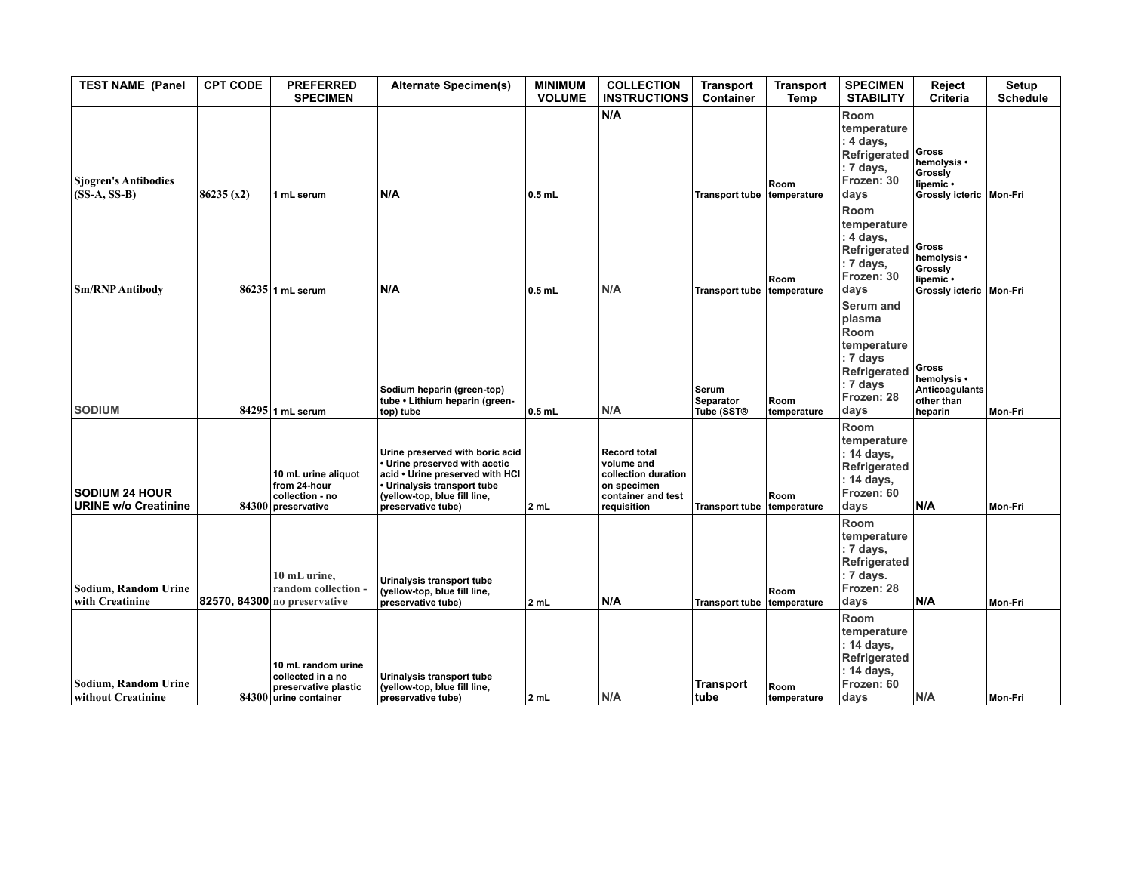| <b>TEST NAME (Panel</b>                              | <b>CPT CODE</b> | <b>PREFERRED</b><br><b>SPECIMEN</b>                                                      | <b>Alternate Specimen(s)</b>                                                                                                                                                             | <b>MINIMUM</b><br><b>VOLUME</b> | <b>COLLECTION</b><br><b>INSTRUCTIONS</b>                                                                     | <b>Transport</b><br>Container           | <b>Transport</b><br>Temp | <b>SPECIMEN</b><br><b>STABILITY</b>                                                                                                  | Reject<br>Criteria                                                        | Setup<br><b>Schedule</b> |
|------------------------------------------------------|-----------------|------------------------------------------------------------------------------------------|------------------------------------------------------------------------------------------------------------------------------------------------------------------------------------------|---------------------------------|--------------------------------------------------------------------------------------------------------------|-----------------------------------------|--------------------------|--------------------------------------------------------------------------------------------------------------------------------------|---------------------------------------------------------------------------|--------------------------|
| <b>Sjogren's Antibodies</b><br>$(SS-A, SS-B)$        | 86235(x2)       | 1 mL serum                                                                               | N/A                                                                                                                                                                                      | $0.5$ mL                        | N/A                                                                                                          | <b>Transport tube</b>                   | Room<br>temperature      | Room<br>temperature<br>: 4 days,<br>Refrigerated<br>: 7 days,<br>Frozen: 30<br>days                                                  | Gross<br>hemolysis •<br>Grossly<br>lipemic •<br>Grossly icteric   Mon-Fri |                          |
| <b>Sm/RNP Antibody</b>                               |                 | 86235 1 mL serum                                                                         | N/A                                                                                                                                                                                      | $0.5$ mL                        | N/A                                                                                                          | <b>Transport tube</b>                   | Room<br>temperature      | <b>Room</b><br>temperature<br>: 4 days,<br>Refrigerated<br>: 7 days,<br>Frozen: 30<br>days                                           | Gross<br>hemolysis •<br>Grossly<br>lipemic •<br>Grossly icteric   Mon-Fri |                          |
| <b>SODIUM</b>                                        |                 | 84295 1 mL serum                                                                         | Sodium heparin (green-top)<br>tube • Lithium heparin (green-<br>top) tube                                                                                                                | $0.5$ mL                        | N/A                                                                                                          | Serum<br><b>Separator</b><br>Tube (SST® | Room<br>temperature      | <b>Serum and</b><br>plasma<br>Room<br>temperature<br>: 7 days<br>Refrigerated<br>$: 7 \overline{\text{ days}}$<br>Frozen: 28<br>days | Gross<br>hemolysis •<br>Anticoagulants<br>other than<br>heparin           | Mon-Fri                  |
| <b>SODIUM 24 HOUR</b><br><b>URINE w/o Creatinine</b> |                 | 10 mL urine aliquot<br>from 24-hour<br>collection - no<br>84300 preservative             | Urine preserved with boric acid<br>• Urine preserved with acetic<br>acid . Urine preserved with HCI<br>· Urinalysis transport tube<br>(yellow-top, blue fill line,<br>preservative tube) | 2 mL                            | <b>Record total</b><br>volume and<br>collection duration<br>on specimen<br>container and test<br>requisition | Transport tube   temperature            | Room                     | Room<br>temperature<br>: 14 days,<br>Refrigerated<br>: 14 days,<br>Frozen: 60<br>days                                                | N/A                                                                       | Mon-Fri                  |
| Sodium, Random Urine<br>with Creatinine              |                 | 10 mL urine.<br>random collection -<br><b>82570, 84300</b> no preservative               | Urinalysis transport tube<br>(yellow-top, blue fill line,<br>preservative tube)                                                                                                          | 2 mL                            | N/A                                                                                                          | Transport tube   temperature            | Room                     | Room<br>temperature<br>: 7 days,<br>Refrigerated<br>: 7 days.<br>Frozen: 28<br>days                                                  | N/A                                                                       | Mon-Fri                  |
| Sodium, Random Urine<br>without Creatinine           |                 | 10 mL random urine<br>collected in a no<br>preservative plastic<br>84300 urine container | Urinalysis transport tube<br>(yellow-top, blue fill line,<br>preservative tube)                                                                                                          | 2 mL                            | N/A                                                                                                          | Transport<br>tube                       | Room<br>temperature      | Room<br>temperature<br>: 14 days,<br>Refrigerated<br>: 14 days,<br>Frozen: 60<br>days                                                | N/A                                                                       | Mon-Fri                  |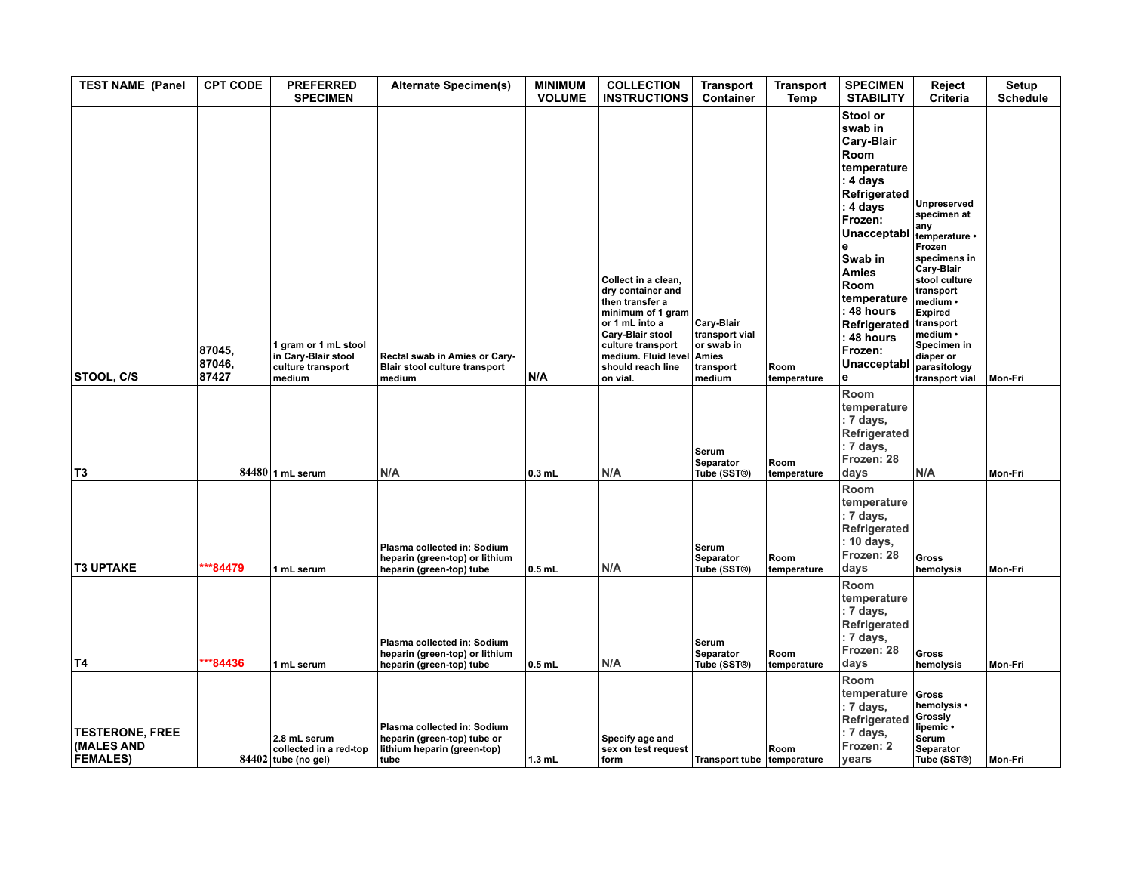| <b>TEST NAME (Panel</b>                                 | <b>CPT CODE</b>           | <b>PREFERRED</b><br><b>SPECIMEN</b>                                        | <b>Alternate Specimen(s)</b>                                                                      | <b>MINIMUM</b><br><b>VOLUME</b> | <b>COLLECTION</b><br><b>INSTRUCTIONS</b>                                                                                                                                                                  | <b>Transport</b><br>Container                                     | <b>Transport</b><br>Temp | <b>SPECIMEN</b><br><b>STABILITY</b>                                                                                                                                                                                                                                   | Reject<br>Criteria                                                                                                                                                                                                                                   | Setup<br><b>Schedule</b> |
|---------------------------------------------------------|---------------------------|----------------------------------------------------------------------------|---------------------------------------------------------------------------------------------------|---------------------------------|-----------------------------------------------------------------------------------------------------------------------------------------------------------------------------------------------------------|-------------------------------------------------------------------|--------------------------|-----------------------------------------------------------------------------------------------------------------------------------------------------------------------------------------------------------------------------------------------------------------------|------------------------------------------------------------------------------------------------------------------------------------------------------------------------------------------------------------------------------------------------------|--------------------------|
| STOOL, C/S                                              | 87045,<br>87046,<br>87427 | 1 gram or 1 mL stool<br>in Cary-Blair stool<br>culture transport<br>medium | Rectal swab in Amies or Cary-<br>Blair stool culture transport<br>medium                          | N/A                             | Collect in a clean,<br>dry container and<br>then transfer a<br>minimum of 1 gram<br>or 1 mL into a<br>Cary-Blair stool<br>culture transport<br>medium. Fluid level Amies<br>should reach line<br>on vial. | Cary-Blair<br>transport vial<br>or swab in<br>transport<br>medium | Room<br>temperature      | Stool or<br>swab in<br><b>Cary-Blair</b><br>Room<br>temperature<br>: 4 days<br>Refrigerated<br>: 4 days<br>Frozen:<br>Unacceptabl<br>e<br>Swab in<br><b>Amies</b><br>Room<br>temperature<br>: 48 hours<br>Refrigerated<br>$: 48$ hours<br>Frozen:<br>Unacceptabl<br>е | <b>Unpreserved</b><br>specimen at<br>any<br>temperature •<br>Frozen<br>specimens in<br>Cary-Blair<br>stool culture<br>transport<br>medium •<br><b>Expired</b><br>transport<br>medium •<br>Specimen in<br>diaper or<br>parasitology<br>transport vial | Mon-Fri                  |
| T <sub>3</sub>                                          |                           | $84480$ 1 mL serum                                                         | N/A                                                                                               | $0.3$ mL                        | N/A                                                                                                                                                                                                       | Serum<br>Separator<br>Tube (SST®)                                 | Room<br>temperature      | Room<br>temperature<br>: 7 days,<br>Refrigerated<br>: 7 days,<br>Frozen: 28<br>days                                                                                                                                                                                   | N/A                                                                                                                                                                                                                                                  | Mon-Fri                  |
| <b>T3 UPTAKE</b>                                        | $*84479$                  | 1 mL serum                                                                 | Plasma collected in: Sodium<br>heparin (green-top) or lithium<br>heparin (green-top) tube         | $0.5$ mL                        | N/A                                                                                                                                                                                                       | Serum<br>Separator<br>Tube (SST®)                                 | Room<br>temperature      | Room<br>temperature<br>: 7 days,<br>Refrigerated<br>: 10 days,<br>Frozen: 28<br>days                                                                                                                                                                                  | <b>Gross</b><br>hemolysis                                                                                                                                                                                                                            | Mon-Fri                  |
| <b>T4</b>                                               | ***84436                  | 1 mL serum                                                                 | Plasma collected in: Sodium<br>heparin (green-top) or lithium<br>heparin (green-top) tube         | $0.5$ mL                        | N/A                                                                                                                                                                                                       | Serum<br><b>Separator</b><br>Tube (SST®)                          | Room<br>temperature      | Room<br>temperature<br>: 7 days,<br>Refrigerated<br>: 7 days,<br>Frozen: 28<br>days                                                                                                                                                                                   | <b>Gross</b><br>hemolysis                                                                                                                                                                                                                            | Mon-Fri                  |
| <b>TESTERONE, FREE</b><br>(MALES AND<br><b>FEMALES)</b> |                           | 2.8 mL serum<br>collected in a red-top<br>84402 tube (no gel)              | Plasma collected in: Sodium<br>heparin (green-top) tube or<br>lithium heparin (green-top)<br>tube | $1.3$ mL                        | Specify age and<br>sex on test request<br>form                                                                                                                                                            | Transport tube temperature                                        | Room                     | Room<br>temperature<br>: 7 days,<br>Refrigerated<br>: 7 days,<br>Frozen: 2<br>vears                                                                                                                                                                                   | Gross<br>hemolysis •<br>Grossly<br>lipemic •<br><b>Serum</b><br>Separator<br>Tube (SST®)                                                                                                                                                             | Mon-Fri                  |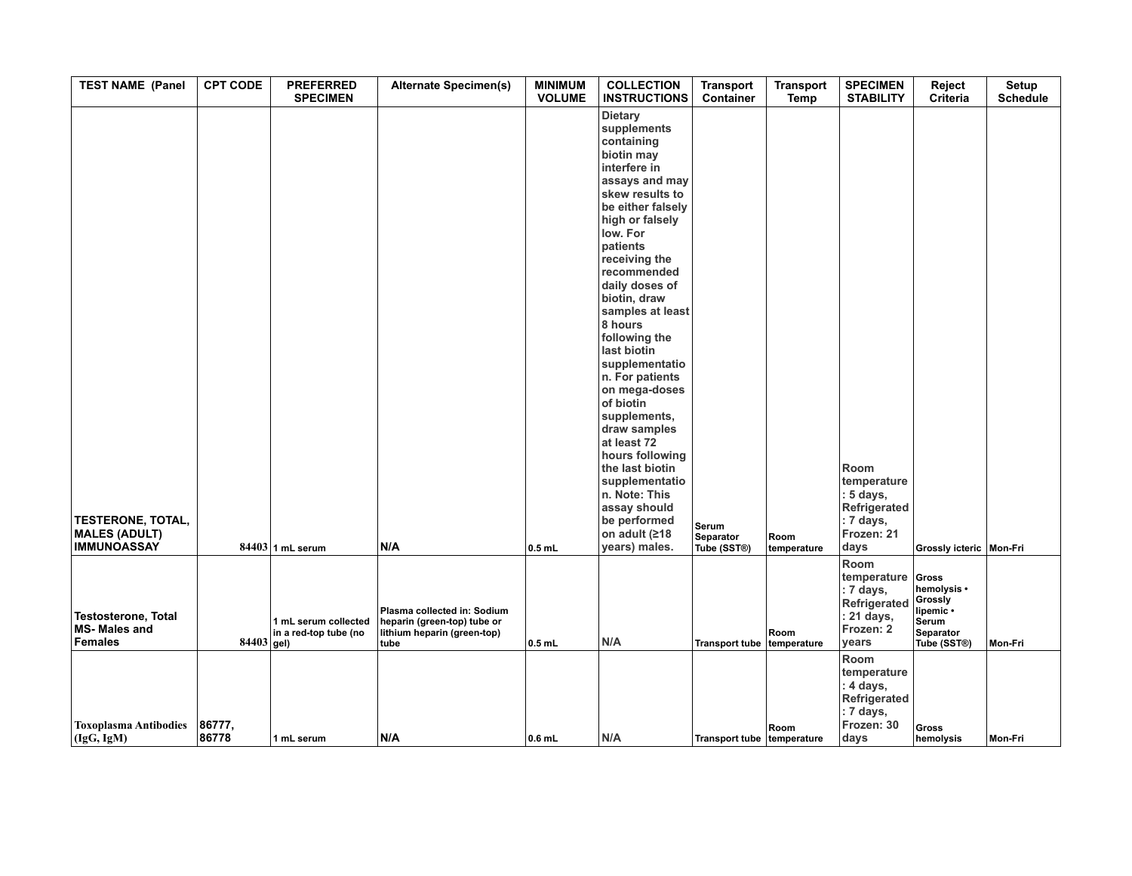| <b>TEST NAME (Panel</b>                                                | <b>CPT CODE</b> | <b>PREFERRED</b><br><b>SPECIMEN</b>           | <b>Alternate Specimen(s)</b>                                                                      | <b>MINIMUM</b><br><b>VOLUME</b> | <b>COLLECTION</b><br><b>INSTRUCTIONS</b>                                                                                                                                                                                                                                                                                                                                                                                                                                                                                                                                     | <b>Transport</b><br>Container            | <b>Transport</b><br><b>Temp</b> | <b>SPECIMEN</b><br><b>STABILITY</b>                                                  | Reject<br>Criteria                                                                                    | Setup<br><b>Schedule</b> |
|------------------------------------------------------------------------|-----------------|-----------------------------------------------|---------------------------------------------------------------------------------------------------|---------------------------------|------------------------------------------------------------------------------------------------------------------------------------------------------------------------------------------------------------------------------------------------------------------------------------------------------------------------------------------------------------------------------------------------------------------------------------------------------------------------------------------------------------------------------------------------------------------------------|------------------------------------------|---------------------------------|--------------------------------------------------------------------------------------|-------------------------------------------------------------------------------------------------------|--------------------------|
| <b>TESTERONE, TOTAL,</b><br><b>MALES (ADULT)</b><br><b>IMMUNOASSAY</b> |                 | $84403$ 1 mL serum                            | N/A                                                                                               | $0.5$ mL                        | <b>Dietary</b><br>supplements<br>containing<br>biotin may<br>interfere in<br>assays and may<br>skew results to<br>be either falsely<br>high or falsely<br>low. For<br>patients<br>receiving the<br>recommended<br>daily doses of<br>biotin, draw<br>samples at least<br>8 hours<br>following the<br>last biotin<br>supplementatio<br>n. For patients<br>on mega-doses<br>of biotin<br>supplements,<br>draw samples<br>at least 72<br>hours following<br>the last biotin<br>supplementatio<br>n. Note: This<br>assay should<br>be performed<br>on adult (≥18<br>years) males. | Serum<br><b>Separator</b><br>Tube (SST®) | Room<br>temperature             | Room<br>temperature<br>: 5 days,<br>Refrigerated<br>: 7 days,<br>Frozen: 21<br>days  | Grossly icteric   Mon-Fri                                                                             |                          |
| <b>Testosterone, Total</b><br><b>MS-Males and</b><br><b>Females</b>    | $84403$ gel)    | 1 mL serum collected<br>in a red-top tube (no | Plasma collected in: Sodium<br>heparin (green-top) tube or<br>lithium heparin (green-top)<br>tube | $0.5$ mL                        | N/A                                                                                                                                                                                                                                                                                                                                                                                                                                                                                                                                                                          | <b>Transport tube</b>                    | Room<br>temperature             | Room<br>temperature<br>: 7 days,<br>Refrigerated<br>: 21 days,<br>Frozen: 2<br>years | Gross<br>hemolysis •<br>Grossly<br>lipemic ·<br>Serum<br><b>Separator</b><br>Tube (SST <sup>®</sup> ) | Mon-Fri                  |
| <b>Toxoplasma Antibodies</b><br>(IgG, IgM)                             | 86777,<br>86778 | 1 mL serum                                    | N/A                                                                                               | $ 0.6$ mL                       | N/A                                                                                                                                                                                                                                                                                                                                                                                                                                                                                                                                                                          | Transport tube temperature               | Room                            | Room<br>temperature<br>: 4 days,<br>Refrigerated<br>: 7 days,<br>Frozen: 30<br>days  | <b>Gross</b><br>hemolysis                                                                             | Mon-Fri                  |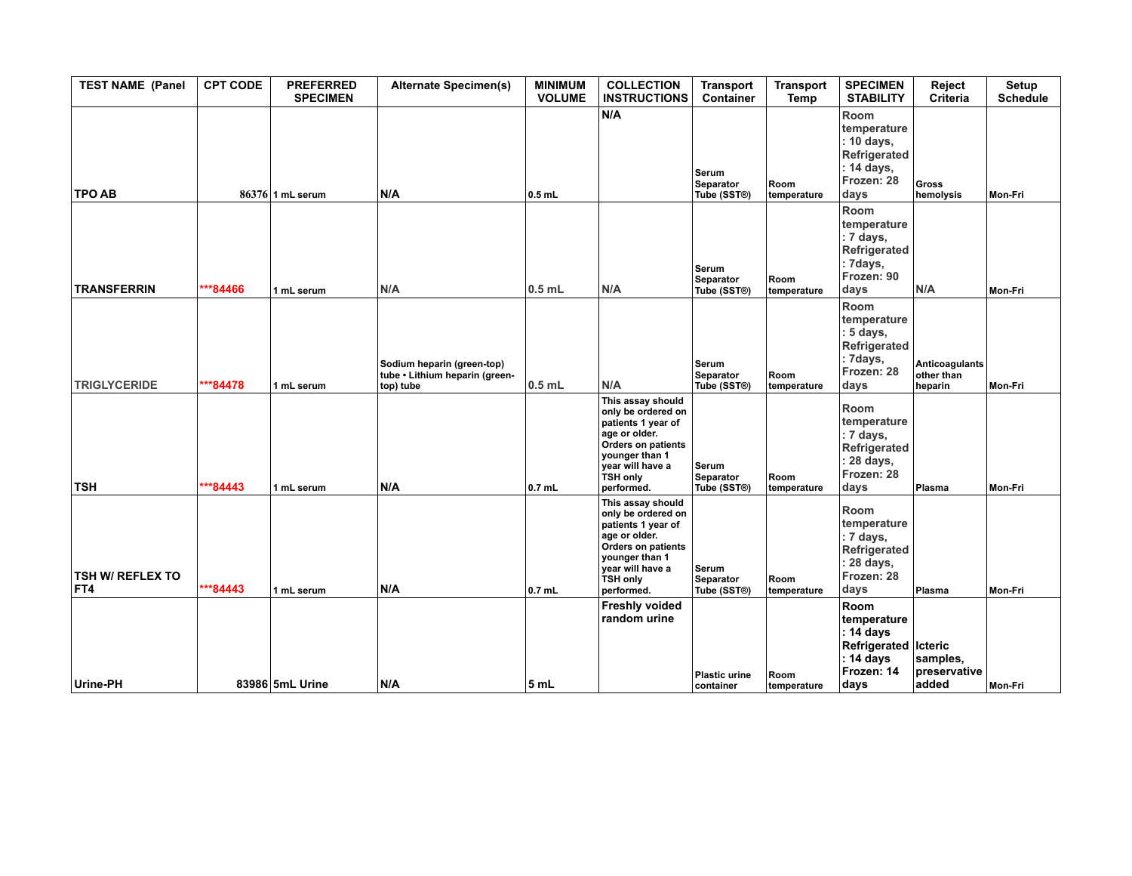| <b>TEST NAME (Panel</b>        | <b>CPT CODE</b> | <b>PREFERRED</b><br><b>SPECIMEN</b> | <b>Alternate Specimen(s)</b>                                              | <b>MINIMUM</b><br><b>VOLUME</b> | <b>COLLECTION</b><br><b>INSTRUCTIONS</b>                                                                                                                                           | <b>Transport</b><br>Container            | <b>Transport</b><br>Temp | <b>SPECIMEN</b><br><b>STABILITY</b>                                                           | Reject<br>Criteria                      | Setup<br><b>Schedule</b> |
|--------------------------------|-----------------|-------------------------------------|---------------------------------------------------------------------------|---------------------------------|------------------------------------------------------------------------------------------------------------------------------------------------------------------------------------|------------------------------------------|--------------------------|-----------------------------------------------------------------------------------------------|-----------------------------------------|--------------------------|
| <b>TPO AB</b>                  |                 | 86376 1 mL serum                    | N/A                                                                       | $0.5$ mL                        | N/A                                                                                                                                                                                | Serum<br>Separator<br>Tube (SST®)        | Room<br>temperature      | Room<br>temperature<br>: 10 days,<br>Refrigerated<br>: 14 days,<br>Frozen: 28<br>days         | <b>Gross</b><br>hemolysis               | Mon-Fri                  |
| <b>TRANSFERRIN</b>             | ***84466        | 1 mL serum                          | N/A                                                                       | $0.5$ mL                        | N/A                                                                                                                                                                                | Serum<br>Separator<br>Tube (SST®)        | Room<br>temperature      | Room<br>temperature<br>: 7 days,<br>Refrigerated<br>: 7days,<br>Frozen: 90<br>days            | N/A                                     | Mon-Fri                  |
| <b>TRIGLYCERIDE</b>            | ***84478        | 1 mL serum                          | Sodium heparin (green-top)<br>tube • Lithium heparin (green-<br>top) tube | $0.5$ mL                        | N/A                                                                                                                                                                                | Serum<br>Separator<br>Tube (SST®)        | Room<br>temperature      | Room<br>temperature<br>: 5 days,<br>Refrigerated<br>: 7days,<br>Frozen: 28<br>days            | Anticoagulants<br>other than<br>heparin | Mon-Fri                  |
| <b>TSH</b>                     | ***84443        | 1 mL serum                          | N/A                                                                       | $0.7$ mL                        | This assay should<br>only be ordered on<br>patients 1 year of<br>age or older.<br>Orders on patients<br>younger than 1<br>year will have a<br>TSH only<br>performed.               | Serum<br>Separator<br>Tube (SST®)        | Room<br>temperature      | Room<br>temperature<br>: 7 days,<br>Refrigerated<br>: 28 days,<br>Frozen: 28<br>days          | Plasma                                  | Mon-Fri                  |
| <b>TSH W/ REFLEX TO</b><br>FT4 | ***84443        | 1 mL serum                          | N/A                                                                       | $0.7$ mL                        | This assay should<br>only be ordered on<br>patients 1 year of<br>age or older.<br><b>Orders on patients</b><br>younger than 1<br>year will have a<br><b>TSH only</b><br>performed. | Serum<br><b>Separator</b><br>Tube (SST®) | Room<br>temperature      | Room<br>temperature<br>: 7 days,<br>Refrigerated<br>: 28 days,<br>Frozen: 28<br>days          | Plasma                                  | Mon-Fri                  |
| Urine-PH                       |                 | 83986 5mL Urine                     | N/A                                                                       | 5 <sub>mL</sub>                 | <b>Freshly voided</b><br>random urine                                                                                                                                              | <b>Plastic urine</b><br>container        | Room<br>temperature      | Room<br>temperature<br>: 14 days<br>Refrigerated   Icteric<br>: 14 days<br>Frozen: 14<br>days | samples,<br>preservative<br>added       | Mon-Fri                  |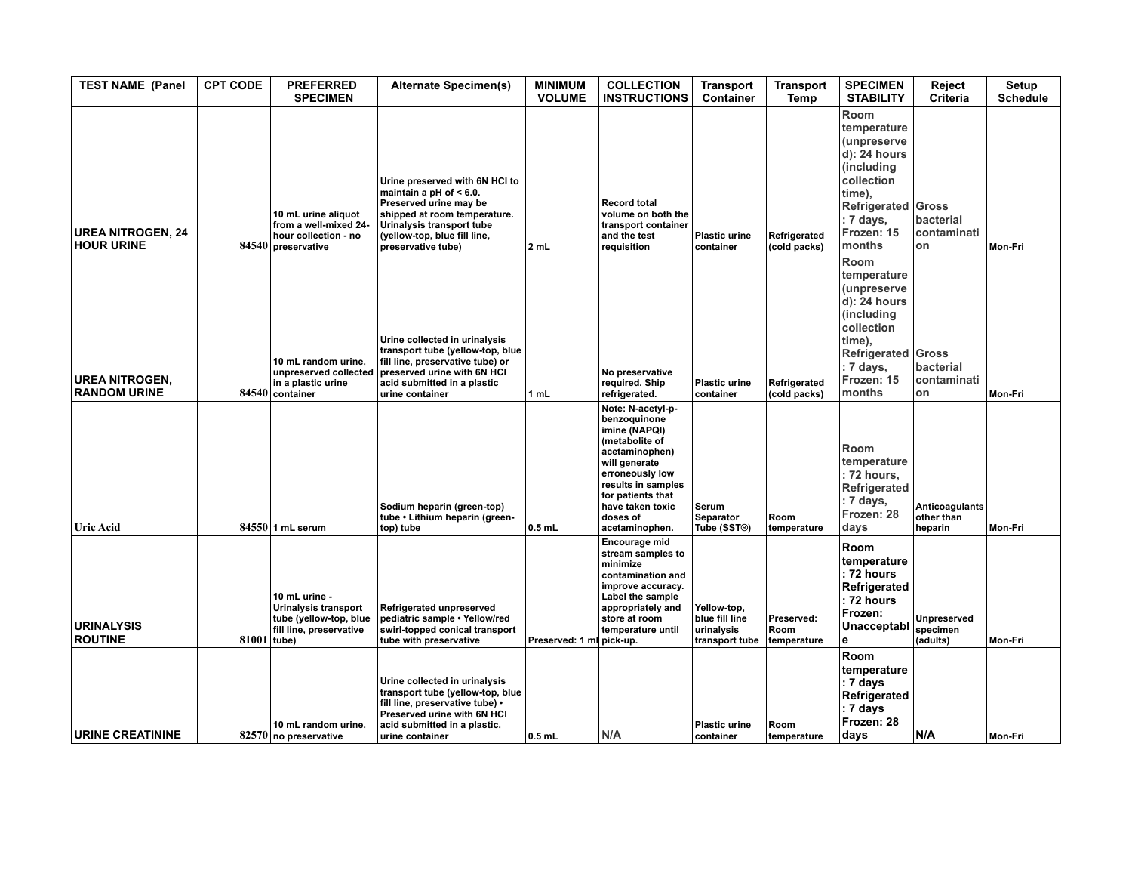| <b>TEST NAME (Panel</b>                       | <b>CPT CODE</b> | <b>PREFERRED</b><br><b>SPECIMEN</b>                                                          | <b>Alternate Specimen(s)</b>                                                                                                                                                                              | <b>MINIMUM</b><br><b>VOLUME</b> | <b>COLLECTION</b><br><b>INSTRUCTIONS</b>                                                                                                                                                                                | <b>Transport</b><br><b>Container</b>                          | Transport<br><b>Temp</b>          | <b>SPECIMEN</b><br><b>STABILITY</b>                                                                                                                  | Reject<br>Criteria                             | Setup<br><b>Schedule</b> |
|-----------------------------------------------|-----------------|----------------------------------------------------------------------------------------------|-----------------------------------------------------------------------------------------------------------------------------------------------------------------------------------------------------------|---------------------------------|-------------------------------------------------------------------------------------------------------------------------------------------------------------------------------------------------------------------------|---------------------------------------------------------------|-----------------------------------|------------------------------------------------------------------------------------------------------------------------------------------------------|------------------------------------------------|--------------------------|
| <b>UREA NITROGEN, 24</b><br><b>HOUR URINE</b> |                 | 10 mL urine aliquot<br>from a well-mixed 24-<br>hour collection - no<br>$84540$ preservative | Urine preserved with 6N HCI to<br>maintain a pH of $< 6.0$ .<br>Preserved urine may be<br>shipped at room temperature.<br>Urinalysis transport tube<br>(yellow-top, blue fill line,<br>preservative tube) | 2 mL                            | <b>Record total</b><br>volume on both the<br>transport container<br>and the test<br>requisition                                                                                                                         | <b>Plastic urine</b><br>container                             | Refrigerated<br>(cold packs)      | Room<br>temperature<br><i>(unpreserve</i><br>d): 24 hours<br>(including<br>collection<br>time),<br>Refrigerated<br>: 7 days,<br>Frozen: 15<br>months | Gross<br>bacterial<br>contaminati<br>on        | Mon-Fri                  |
| <b>UREA NITROGEN,</b><br><b>RANDOM URINE</b>  |                 | 10 mL random urine,<br>unpreserved collected<br>in a plastic urine<br>84540 container        | Urine collected in urinalysis<br>transport tube (yellow-top, blue<br>fill line, preservative tube) or<br>preserved urine with 6N HCI<br>acid submitted in a plastic<br>urine container                    | 1 mL                            | No preservative<br>required. Ship<br>refrigerated.                                                                                                                                                                      | <b>Plastic urine</b><br>container                             | Refrigerated<br>(cold packs)      | Room<br>temperature<br>(unpreserve<br>d): 24 hours<br>(including<br>collection<br>time),<br>Refrigerated Gross<br>: 7 days,<br>Frozen: 15<br>months  | bacterial<br>contaminati<br>on                 | Mon-Fri                  |
| <b>Uric Acid</b>                              |                 | $84550$ 1 mL serum                                                                           | Sodium heparin (green-top)<br>tube • Lithium heparin (green-<br>top) tube                                                                                                                                 | $0.5$ mL                        | Note: N-acetyl-p-<br>benzoquinone<br>imine (NAPQI)<br>(metabolite of<br>acetaminophen)<br>will generate<br>erroneously low<br>results in samples<br>for patients that<br>have taken toxic<br>doses of<br>acetaminophen. | Serum<br>Separator<br>Tube (SST®)                             | Room<br>temperature               | Room<br>temperature<br>: 72 hours,<br>Refrigerated<br>: 7 days,<br>Frozen: 28<br>days                                                                | <b>Anticoagulants</b><br>other than<br>heparin | Mon-Fri                  |
| <b>URINALYSIS</b><br><b>ROUTINE</b>           | $81001$ tube)   | 10 mL urine -<br>Urinalysis transport<br>tube (yellow-top, blue<br>fill line, preservative   | Refrigerated unpreserved<br>pediatric sample . Yellow/red<br>swirl-topped conical transport<br>tube with preservative                                                                                     | Preserved: 1 ml pick-up.        | Encourage mid<br>stream samples to<br>minimize<br>contamination and<br>improve accuracy.<br>Label the sample<br>appropriately and<br>store at room<br>temperature until                                                 | Yellow-top,<br>blue fill line<br>urinalysis<br>transport tube | Preserved:<br>Room<br>temperature | Room<br>temperature<br>: 72 hours<br>Refrigerated<br>: 72 hours<br>Frozen:<br>Unacceptabl<br>e                                                       | <b>Unpreserved</b><br>specimen<br>(adults)     | Mon-Fri                  |
| <b>URINE CREATININE</b>                       |                 | 10 mL random urine,<br>82570 no preservative                                                 | Urine collected in urinalysis<br>transport tube (yellow-top, blue<br>fill line, preservative tube) •<br>Preserved urine with 6N HCI<br>acid submitted in a plastic,<br>urine container                    | $\vert$ 0.5 mL                  | N/A                                                                                                                                                                                                                     | <b>Plastic urine</b><br>container                             | Room<br><b>temperature</b>        | <b>Room</b><br>temperature<br>: 7 days<br>Refrigerated<br>: 7 days<br>Frozen: 28<br>davs                                                             | N/A                                            | Mon-Fri                  |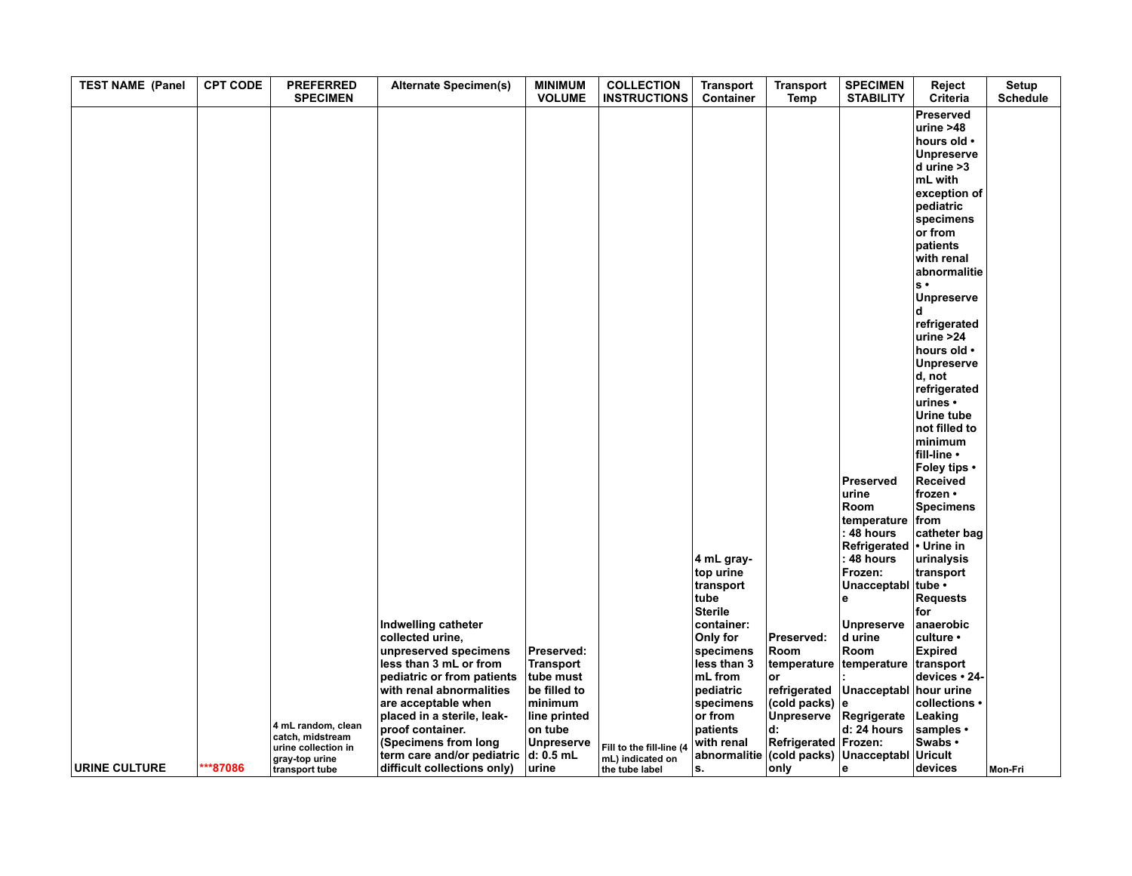| <b>TEST NAME (Panel</b> | <b>CPT CODE</b> | <b>PREFERRED</b><br><b>SPECIMEN</b>                     | <b>Alternate Specimen(s)</b>                                                                                                                                                       | <b>MINIMUM</b><br><b>VOLUME</b>                                                                   | <b>COLLECTION</b><br><b>INSTRUCTIONS</b>                       | <b>Transport</b><br>Container                                                        | <b>Transport</b><br>Temp                                            | <b>SPECIMEN</b><br><b>STABILITY</b>                                                   | Reject<br>Criteria                                                                                                                                                                                                                                                                                                           | Setup<br><b>Schedule</b> |
|-------------------------|-----------------|---------------------------------------------------------|------------------------------------------------------------------------------------------------------------------------------------------------------------------------------------|---------------------------------------------------------------------------------------------------|----------------------------------------------------------------|--------------------------------------------------------------------------------------|---------------------------------------------------------------------|---------------------------------------------------------------------------------------|------------------------------------------------------------------------------------------------------------------------------------------------------------------------------------------------------------------------------------------------------------------------------------------------------------------------------|--------------------------|
|                         |                 |                                                         |                                                                                                                                                                                    |                                                                                                   |                                                                |                                                                                      |                                                                     |                                                                                       | <b>Preserved</b><br>urine $>48$<br>hours old •<br><b>Unpreserve</b><br>$d$ urine $>3$<br>mL with<br>exception of<br>pediatric<br>specimens<br>or from<br>patients<br>with renal<br>abnormalitie<br>$s \cdot$<br><b>Unpreserve</b><br>$\mathbf d$<br>refrigerated<br>urine > 24<br>hours old •<br><b>Unpreserve</b><br>d, not |                          |
|                         |                 |                                                         |                                                                                                                                                                                    |                                                                                                   |                                                                | 4 mL gray-                                                                           |                                                                     | Preserved<br>urine<br>Room<br>temperature<br>: 48 hours<br>Refrigerated<br>: 48 hours | refrigerated<br>urines •<br>Urine tube<br>not filled to<br>minimum<br>fill-line •<br>Foley tips .<br>Received<br>frozen •<br><b>Specimens</b><br>from<br>catheter bag<br>• Urine in<br>urinalysis                                                                                                                            |                          |
|                         |                 |                                                         | Indwelling catheter<br>collected urine,                                                                                                                                            |                                                                                                   |                                                                | top urine<br>transport<br>tube<br><b>Sterile</b><br>container:<br>Only for           | Preserved:                                                          | Frozen:<br>Unacceptabl<br>l e<br><b>Unpreserve</b><br>d urine                         | transport<br>tube •<br><b>Requests</b><br>for<br>anaerobic<br>culture •                                                                                                                                                                                                                                                      |                          |
|                         |                 | 4 mL random, clean<br>catch, midstream                  | unpreserved specimens<br>less than 3 mL or from<br>pediatric or from patients<br>with renal abnormalities<br>are acceptable when<br>placed in a sterile, leak-<br>proof container. | Preserved:<br><b>Transport</b><br>tube must<br>be filled to<br>minimum<br>line printed<br>on tube |                                                                | specimens<br>less than 3<br>mL from<br>pediatric<br>specimens<br>or from<br>patients | Room<br>temperature<br>or<br>(cold packs) $ e $<br>Unpreserve<br>d: | Room<br>temperature<br>refrigerated Unacceptabl<br>Regrigerate<br>$d: 24$ hours       | <b>Expired</b><br>transport<br>devices · 24-<br>hour urine<br>collections •<br>Leaking<br>samples •                                                                                                                                                                                                                          |                          |
| URINE CULTURE           | ***87086        | urine collection in<br>gray-top urine<br>transport tube | (Specimens from long<br>term care and/or pediatric<br>difficult collections only)                                                                                                  | <b>Unpreserve</b><br>d: 0.5 mL<br>urine                                                           | Fill to the fill-line (4<br>mL) indicated on<br>the tube label | with renal<br>abnormalitie<br>ls.                                                    | Refrigerated   Frozen:<br>only                                      | (cold packs) Unacceptabl Uricult<br>l e                                               | Swabs •<br>devices                                                                                                                                                                                                                                                                                                           | <b>Mon-Fri</b>           |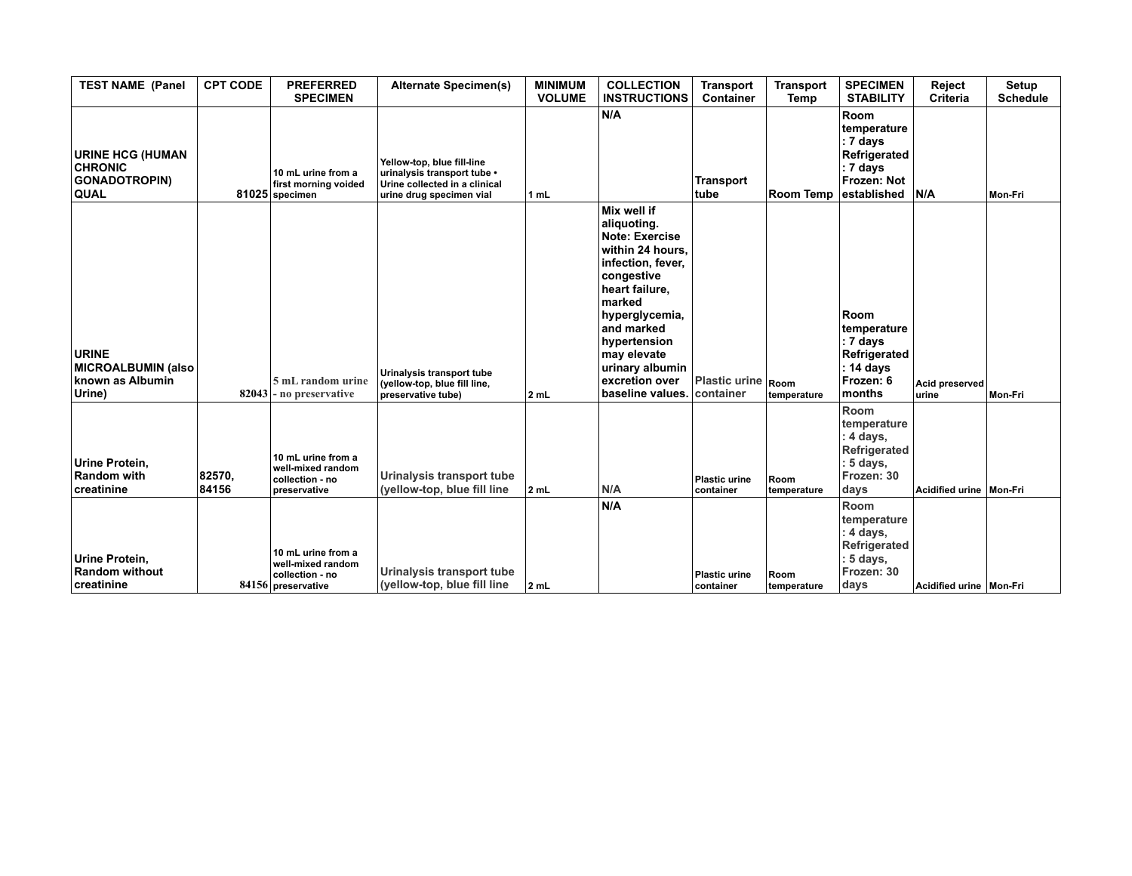| <b>TEST NAME (Panel</b>                                                          | <b>CPT CODE</b> | <b>PREFERRED</b><br><b>SPECIMEN</b>                                              | <b>Alternate Specimen(s)</b>                                                                                           | <b>MINIMUM</b><br><b>VOLUME</b> | <b>COLLECTION</b><br><b>INSTRUCTIONS</b>                                                                                                                                                                                                                       | <b>Transport</b><br><b>Container</b> | <b>Transport</b><br>Temp | <b>SPECIMEN</b><br><b>STABILITY</b>                                                              | Reject<br><b>Criteria</b> | <b>Setup</b><br><b>Schedule</b> |
|----------------------------------------------------------------------------------|-----------------|----------------------------------------------------------------------------------|------------------------------------------------------------------------------------------------------------------------|---------------------------------|----------------------------------------------------------------------------------------------------------------------------------------------------------------------------------------------------------------------------------------------------------------|--------------------------------------|--------------------------|--------------------------------------------------------------------------------------------------|---------------------------|---------------------------------|
| <b>URINE HCG (HUMAN</b><br><b>CHRONIC</b><br><b>GONADOTROPIN)</b><br><b>QUAL</b> |                 | 10 mL urine from a<br>first morning voided<br>81025 specimen                     | Yellow-top, blue fill-line<br>urinalysis transport tube •<br>Urine collected in a clinical<br>urine drug specimen vial | 1 mL                            | N/A                                                                                                                                                                                                                                                            | <b>Transport</b><br>tube             | Room Temp                | <b>Room</b><br>temperature<br>: 7 days<br>Refrigerated<br>: 7 days<br>Frozen: Not<br>established | N/A                       | Mon-Fri                         |
| <b>URINE</b><br>MICROALBUMIN (also<br>known as Albumin<br>Urine)                 |                 | 5 mL random urine<br>$82043$ - no preservative                                   | Urinalysis transport tube<br>(yellow-top, blue fill line,<br>preservative tube)                                        | 2 mL                            | Mix well if<br>aliquoting.<br><b>Note: Exercise</b><br>within 24 hours,<br>infection, fever,<br>congestive<br>heart failure,<br>marked<br>hyperglycemia,<br>and marked<br>hypertension<br>may elevate<br>urinary albumin<br>excretion over<br>baseline values. | <b>Plastic urine</b><br>container    | Room<br>temperature      | <b>Room</b><br>temperature<br>: 7 days<br>Refrigerated<br>: 14 days<br>Frozen: 6<br>months       | Acid preserved<br>lurine  | Mon-Fri                         |
| Urine Protein.<br><b>Random with</b><br>creatinine                               | 82570,<br>84156 | 10 mL urine from a<br>well-mixed random<br>collection - no<br>preservative       | Urinalysis transport tube<br>(yellow-top, blue fill line                                                               | 2 mL                            | N/A                                                                                                                                                                                                                                                            | <b>Plastic urine</b><br>container    | Room<br>temperature      | Room<br>temperature<br>: 4 days,<br>Refrigerated<br>: 5 days,<br>Frozen: 30<br>days              | Acidified urine Mon-Fri   |                                 |
| Urine Protein,<br><b>Random without</b><br><b>creatinine</b>                     |                 | 10 mL urine from a<br>well-mixed random<br>collection - no<br>84156 preservative | Urinalysis transport tube<br>(yellow-top, blue fill line                                                               | 2 <sub>mL</sub>                 | N/A                                                                                                                                                                                                                                                            | <b>Plastic urine</b><br>container    | Room<br>temperature      | Room<br>temperature<br>: 4 days,<br>Refrigerated<br>$: 5$ days,<br>Frozen: 30<br>days            | Acidified urine Mon-Fri   |                                 |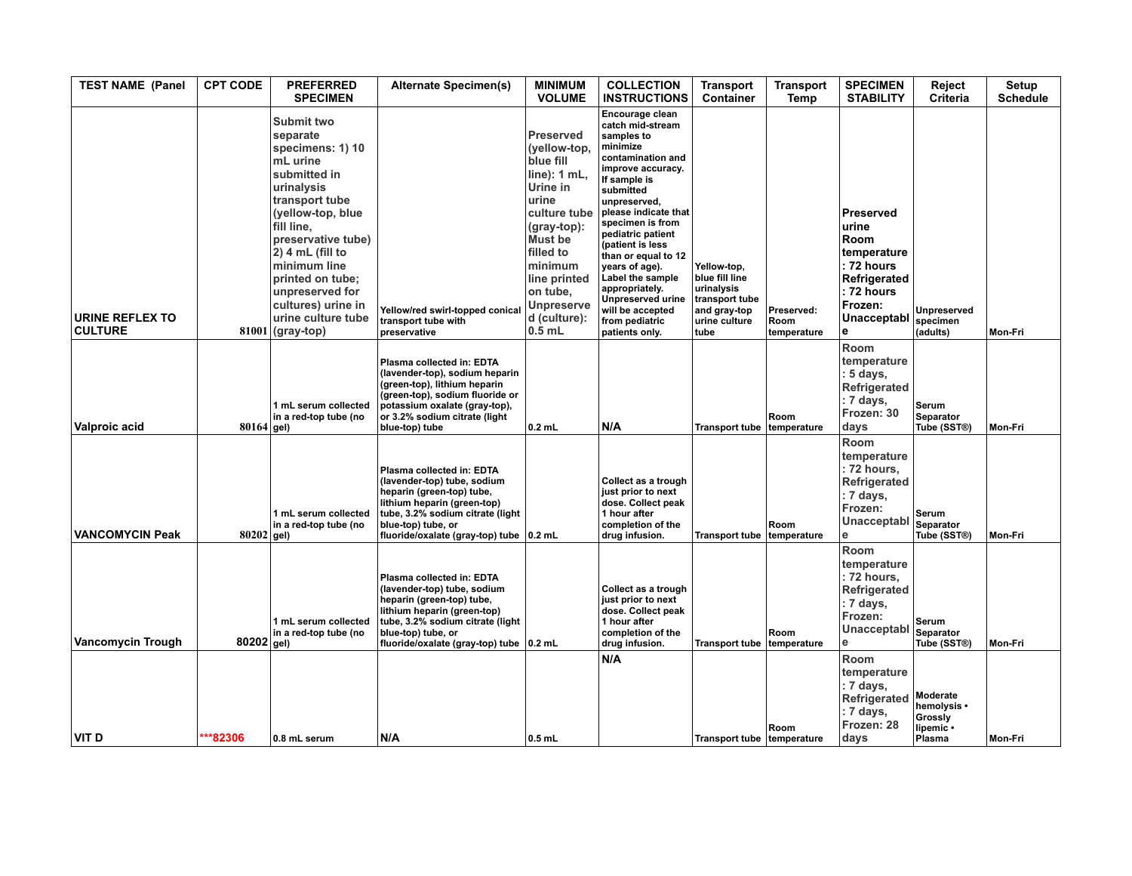| <b>TEST NAME (Panel</b>                  | <b>CPT CODE</b> | <b>PREFERRED</b><br><b>SPECIMEN</b>                                                                                                                                                                                                                                                                           | <b>Alternate Specimen(s)</b>                                                                                                                                                                                                | <b>MINIMUM</b><br><b>VOLUME</b>                                                                                                                                                                                                      | <b>COLLECTION</b><br><b>INSTRUCTIONS</b>                                                                                                                                                                                                                                                                                                                                                                     | <b>Transport</b><br>Container                                                                          | <b>Transport</b><br>Temp          | <b>SPECIMEN</b><br><b>STABILITY</b>                                                                                                | Reject<br>Criteria                                        | <b>Setup</b><br><b>Schedule</b> |
|------------------------------------------|-----------------|---------------------------------------------------------------------------------------------------------------------------------------------------------------------------------------------------------------------------------------------------------------------------------------------------------------|-----------------------------------------------------------------------------------------------------------------------------------------------------------------------------------------------------------------------------|--------------------------------------------------------------------------------------------------------------------------------------------------------------------------------------------------------------------------------------|--------------------------------------------------------------------------------------------------------------------------------------------------------------------------------------------------------------------------------------------------------------------------------------------------------------------------------------------------------------------------------------------------------------|--------------------------------------------------------------------------------------------------------|-----------------------------------|------------------------------------------------------------------------------------------------------------------------------------|-----------------------------------------------------------|---------------------------------|
| <b>URINE REFLEX TO</b><br><b>CULTURE</b> |                 | Submit two<br>separate<br>specimens: 1) 10<br>mL urine<br>submitted in<br>urinalysis<br>transport tube<br>(yellow-top, blue)<br>fill line.<br>preservative tube)<br>2) 4 mL (fill to<br>minimum line<br>printed on tube;<br>unpreserved for<br>cultures) urine in<br>urine culture tube<br>$81001$ (gray-top) | Yellow/red swirl-topped conical<br>transport tube with<br>preservative                                                                                                                                                      | Preserved<br>(yellow-top,<br>blue fill<br>line): 1 mL,<br>Urine in<br>urine<br>culture tube<br>$(gray-top)$ :<br><b>Must be</b><br>filled to<br>minimum<br>line printed<br>on tube,<br><b>Unpreserve</b><br>d (culture):<br>$0.5$ mL | Encourage clean<br>catch mid-stream<br>samples to<br>minimize<br>contamination and<br>improve accuracy.<br>If sample is<br>submitted<br>unpreserved,<br>please indicate that<br>specimen is from<br>pediatric patient<br>(patient is less<br>than or equal to 12<br>years of age).<br>Label the sample<br>appropriately.<br><b>Unpreserved urine</b><br>will be accepted<br>from pediatric<br>patients only. | Yellow-top,<br>blue fill line<br>urinalysis<br>transport tube<br>and gray-top<br>urine culture<br>tube | Preserved:<br>Room<br>temperature | <b>Preserved</b><br>urine<br><b>Room</b><br>temperature<br>: 72 hours<br>Refrigerated<br>: 72 hours<br>Frozen:<br>Unacceptabl<br>e | <b>Unpreserved</b><br>specimen<br>(adults)                | Mon-Fri                         |
| Valproic acid                            | $80164$ gel)    | 1 mL serum collected<br>in a red-top tube (no                                                                                                                                                                                                                                                                 | Plasma collected in: EDTA<br>(lavender-top), sodium heparin<br>(green-top), lithium heparin<br>(green-top), sodium fluoride or<br>potassium oxalate (gray-top),<br>or 3.2% sodium citrate (light<br>blue-top) tube          | $0.2$ mL                                                                                                                                                                                                                             | N/A                                                                                                                                                                                                                                                                                                                                                                                                          | Transport tube temperature                                                                             | Room                              | Room<br>temperature<br>5 days,<br>Refrigerated<br>: 7 days,<br>Frozen: 30<br>days                                                  | Serum<br>Separator<br>Tube (SST®)                         | Mon-Fri                         |
| <b>VANCOMYCIN Peak</b>                   | $80202$ gel)    | 1 mL serum collected<br>in a red-top tube (no                                                                                                                                                                                                                                                                 | Plasma collected in: EDTA<br>(lavender-top) tube, sodium<br>heparin (green-top) tube,<br>lithium heparin (green-top)<br>tube, 3.2% sodium citrate (light<br>blue-top) tube, or<br>fluoride/oxalate (gray-top) tube 0.2 mL   |                                                                                                                                                                                                                                      | Collect as a trough<br>just prior to next<br>dose. Collect peak<br>1 hour after<br>completion of the<br>drug infusion.                                                                                                                                                                                                                                                                                       | <b>Transport tube</b>                                                                                  | Room<br>temperature               | Room<br>temperature<br>: 72 hours,<br>Refrigerated<br>: 7 days,<br>Frozen:<br>Unacceptabl<br>$\mathbf e$                           | Serum<br>Separator<br>Tube (SST®)                         | Mon-Fri                         |
| <b>Vancomycin Trough</b>                 | $80202$ gel)    | 1 mL serum collected<br>in a red-top tube (no                                                                                                                                                                                                                                                                 | Plasma collected in: EDTA<br>(lavender-top) tube, sodium<br>heparin (green-top) tube,<br>lithium heparin (green-top)<br>tube, 3.2% sodium citrate (light<br>blue-top) tube, or<br>fluoride/oxalate (gray-top) tube   0.2 mL |                                                                                                                                                                                                                                      | Collect as a trough<br>just prior to next<br>dose. Collect peak<br>1 hour after<br>completion of the<br>drug infusion.                                                                                                                                                                                                                                                                                       | <b>Transport tube</b>                                                                                  | Room<br>temperature               | Room<br>temperature<br>: 72 hours,<br>Refrigerated<br>: 7 days,<br>Frozen:<br>Unacceptabl<br>$\mathbf{e}$                          | <b>Serum</b><br>Separator<br>Tube (SST®)                  | Mon-Fri                         |
| VIT <sub>D</sub>                         | ***82306        | 0.8 mL serum                                                                                                                                                                                                                                                                                                  | N/A                                                                                                                                                                                                                         | $0.5$ mL                                                                                                                                                                                                                             | N/A                                                                                                                                                                                                                                                                                                                                                                                                          | <b>Transport tube</b>                                                                                  | Room<br>temperature               | Room<br>temperature<br>: 7 days,<br>Refrigerated<br>: 7 days,<br>Frozen: 28<br>days                                                | Moderate<br>hemolysis •<br>Grossly<br>lipemic ·<br>Plasma | Mon-Fri                         |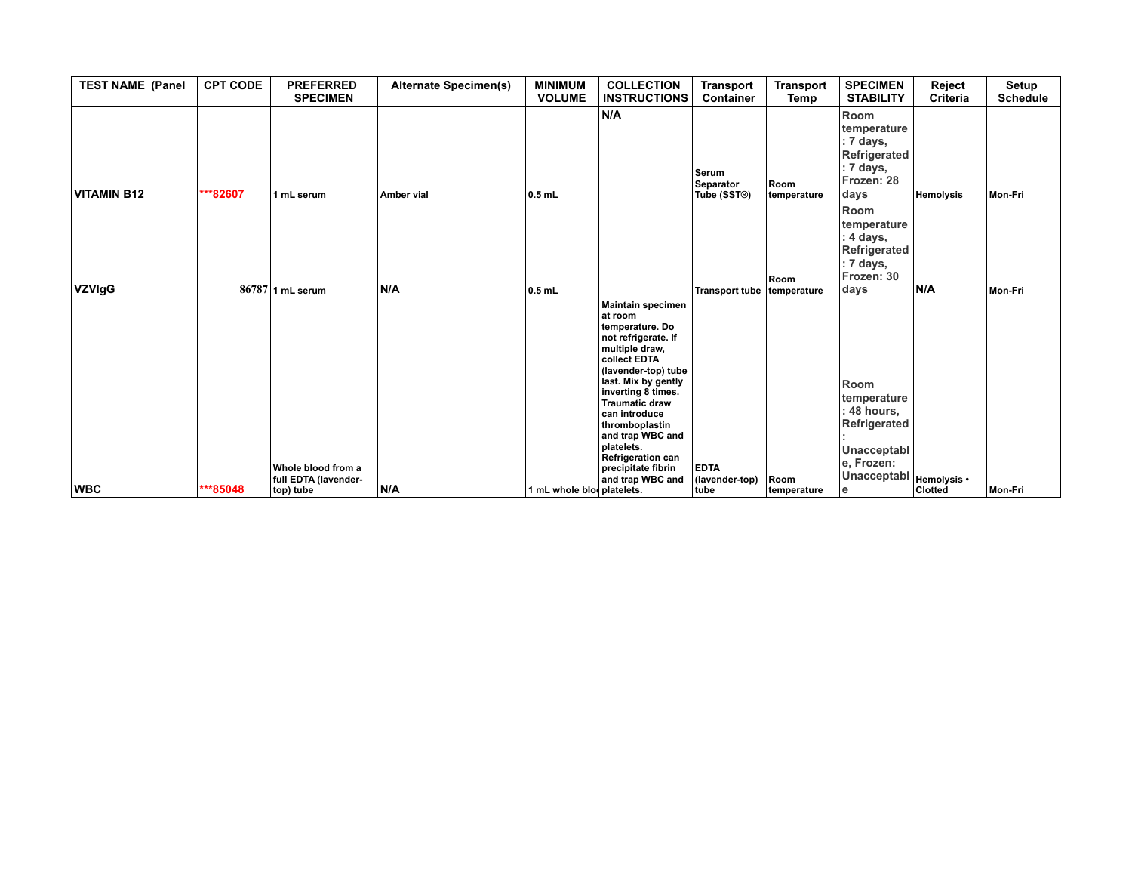| <b>TEST NAME (Panel</b> | <b>CPT CODE</b> | <b>PREFERRED</b><br><b>SPECIMEN</b>                     | <b>Alternate Specimen(s)</b> | <b>MINIMUM</b><br><b>VOLUME</b> | <b>COLLECTION</b><br><b>INSTRUCTIONS</b>                                                                                                                                                                                                                                                                                                          | <b>Transport</b><br><b>Container</b>  | <b>Transport</b><br>Temp | <b>SPECIMEN</b><br><b>STABILITY</b>                                                                             | Reject<br>Criteria            | Setup<br><b>Schedule</b> |
|-------------------------|-----------------|---------------------------------------------------------|------------------------------|---------------------------------|---------------------------------------------------------------------------------------------------------------------------------------------------------------------------------------------------------------------------------------------------------------------------------------------------------------------------------------------------|---------------------------------------|--------------------------|-----------------------------------------------------------------------------------------------------------------|-------------------------------|--------------------------|
| <b>VITAMIN B12</b>      | ***82607        | 1 mL serum                                              | Amber vial                   | $0.5$ mL                        | N/A                                                                                                                                                                                                                                                                                                                                               | Serum<br>Separator<br>Tube (SST®)     | Room<br>temperature      | Room<br>temperature<br>: 7 days,<br>Refrigerated<br>: 7 days,<br>Frozen: 28<br>days                             | Hemolysis                     | Mon-Fri                  |
| <b>VZVIgG</b>           |                 | $86787$ 1 mL serum                                      | N/A                          | $0.5$ mL                        |                                                                                                                                                                                                                                                                                                                                                   | Transport tube temperature            | Room                     | Room<br>temperature<br>4 days,<br>Refrigerated<br>: 7 days,<br>Frozen: 30<br>days                               | N/A                           | Mon-Fri                  |
| <b>WBC</b>              | ***85048        | Whole blood from a<br>full EDTA (lavender-<br>top) tube | N/A                          | 1 mL whole blooplatelets.       | Maintain specimen<br>lat room<br>temperature. Do<br>not refrigerate. If<br>multiple draw,<br>collect EDTA<br>(lavender-top) tube<br>last. Mix by gently<br>inverting 8 times.<br><b>Traumatic draw</b><br>can introduce<br>thromboplastin<br>and trap WBC and<br>platelets.<br><b>Refrigeration can</b><br>precipitate fibrin<br>and trap WBC and | <b>EDTA</b><br>(lavender-top)<br>tube | Room<br>temperature      | Room<br>temperature<br>48 hours,<br>Refrigerated<br><b>Unacceptabl</b><br>e, Frozen:<br><b>Unacceptabl</b><br>e | Hemolysis •<br><b>Clotted</b> | Mon-Fri                  |